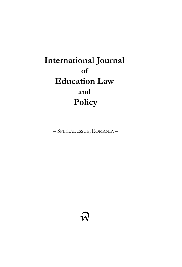# **International Journal of Education Law and Policy**

– SPECIAL ISSUE; ROMANIA –

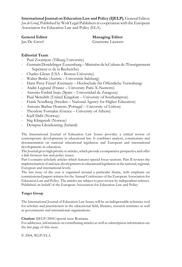#### **International Journal on Education Law and Policy (IJELP)**, General Editor;

*Jan de Groof*, Published by Wolf Legal Publishers in cooperation with the European Association for Education Law and Policy (ELA).

#### **General Editor**

Jan De Groof

**Managing Editor**  Gracienne Lauwers

#### **Editorial Team**

- Paul Zoontjens (Tilburg University)
- Germain Dondelinger (Luxemburg Ministère de la Culture de l'Enseignement Supérieur et de la Recherche)
- Charles Glenn (USA Boston University)
- Walter Berka (Austria Universität Salzburg)
- Hans Peter Füssel (Germany Hochschule für Öffentliche Verwaltung)
- André Legrand (France University Paris X-Nanterre)
- Antonio Embid Irujo (Spain Universidad de Zaragoza)
- Paul Meredith (United Kingdom University of Southampton)
- Frank Nordberg (Sweden National Agency for Higher Education)
- Antonio Barbas Homem (Portugal University of Lisbon)
- Theodore Fortsakis (Greece University of Athens)
- Kjell Dahl (Norway)
- Stig Klingstedt (Norway)
- Dympna Glendenning (Ireland)

The International Journal of Education Law Issues provides a critical review of contemporary developments in educational law. It combines analysis, commentary and documentation on national educational legislation and European and international developments in education.

The Journal gives high priority to articles, which provide a comparative perspective and offer a link between law and policy issues.

Part I contains scholarly articles which features special focus sections. Part II reviews the implementation of and new developments in educational legislation at the national, regional, European and international levels.

The last issue of the year is organised around a particular theme, with emphasis on commissioned papers written for the Annual Conference of the European Association for Education Law and Policy. The articles are subject to peer review by independent referees. Published on behalf of the European Association for Education Law and Policy

#### **Target Group**

The International Journal of Education Law Issues will be an indispensable reference tool for scholars and practitioners in the educational field, libraries, research institutes as well as governments and international organisations.

#### **Citation:** IJELP/2004/special issue Romania.

For addresses, information on contributing articles as well as subscription-information see the last page of this issue.

© 2004, WLP/ELA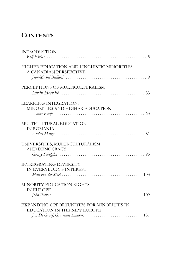# **CONTENTS**

| <b>INTRODUCTION</b>                                                                                     |  |
|---------------------------------------------------------------------------------------------------------|--|
|                                                                                                         |  |
| HIGHER EDUCATION AND LINGUISTIC MINORITIES:<br>A CANADIAN PERSPECTIVE                                   |  |
|                                                                                                         |  |
| PERCEPTIONS OF MULTICULTURALISM                                                                         |  |
| István Horváth $\ldots \ldots \ldots \ldots \ldots \ldots \ldots \ldots \ldots \ldots \ldots \ldots$ 33 |  |
| <b>LEARNING INTEGRATION:</b>                                                                            |  |
| MINORITIES AND HIGHER EDUCATION                                                                         |  |
|                                                                                                         |  |
| MULTICULTURAL EDUCATION                                                                                 |  |
| IN ROMANIA                                                                                              |  |
|                                                                                                         |  |
| UNIVERSITIES, MULTI-CULTURALISM                                                                         |  |
| <b>AND DEMOCRACY</b>                                                                                    |  |
|                                                                                                         |  |
| <b>INTREGRATING DIVERSITY:</b>                                                                          |  |
| IN EVERYBODY'S INTEREST                                                                                 |  |
|                                                                                                         |  |
| MINORITY EDUCATION RIGHTS                                                                               |  |
| <b>IN EUROPE</b>                                                                                        |  |
|                                                                                                         |  |
| EXPANDING OPPORTUNITIES FOR MINORITIES IN                                                               |  |
| EDUCATION IN THE NEW EUROPE                                                                             |  |
| Jan De Groof, Gracienne Lauwers  131                                                                    |  |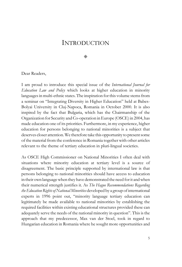# INTRODUCTION

 $\ast$ 

Dear Readers,

I am proud to introduce this special issue of the *International Journal for Education Law and Policy* which looks at higher education in minority languages in multi-ethnic states. The inspiration for this volume stems from a seminar on "Integrating Diversity in Higher Education" held at Babes-Bolyai University in Cluj-Napoca, Romania in October 2000. It is also inspired by the fact that Bulgaria, which has the Chairmanship of the Organization for Security and Co-operation in Europe (OSCE) in 2004, has made education one of its priorities. Furthermore, in my experience, higher education for persons belonging to national minorities is a subject that deserves closer attention. We therefore take this opportunity to present some of the material from the conference in Romania together with other articles relevant to the theme of tertiary education in pluri-lingual societies.

As OSCE High Commissioner on National Minorities I often deal with situations where minority education at tertiary level is a source of disagreement. The basic principle supported by international law is that persons belonging to national minorities should have access to education in their own language when they have demonstrated the need for it and when their numerical strength justifies it. As *The Hague Recommendations Regarding the Education Rights of National Minorities* developed by a group of international experts in 1996 point out, "minority language tertiary education can legitimately be made available to national minorities by establishing the required facilities within existing educational structures provided these can adequately serve the needs of the national minority in question". This is the approach that my predecessor, Max van der Stoel, took in regard to Hungarian education in Romania where he sought more opportunities and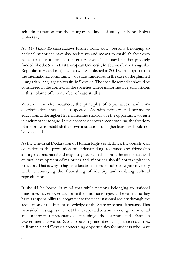#### ROLF EKÉUS

self-administration for the Hungarian "line" of study at Babes-Bolyai University.

As *The Hague Recommendations* further point out, "persons belonging to national minorities may also seek ways and means to establish their own educational institutions at the tertiary level". This may be either privately funded, like the South East European University in Tetovo (former Yugoslav Republic of Macedonia) – which was established in 2001 with support from the international community – or state-funded, as in the case of the planned Hungarian-language university in Slovakia. The specific remedies should be considered in the context of the societies where minorities live, and articles in this volume offer a number of case studies.

Whatever the circumstances, the principles of equal access and nondiscrimination should be respected. As with primary and secondary education, at the highest level minorities should have the opportunity to learn in their mother tongue. In the absence of government funding, the freedom of minorities to establish their own institutions of higher learning should not be restricted.

As the Universal Declaration of Human Rights underlines, the objective of education is the promotion of understanding, tolerance and friendship among nations, racial and religious groups. In this spirit, the intellectual and cultural development of majorities and minorities should not take place in isolation. That is why in higher education it is essential to integrate diversity while encouraging the flourishing of identity and enabling cultural reproduction.

It should be borne in mind that while persons belonging to national minorities may enjoy education in their mother tongue, at the same time they have a responsibility to integrate into the wider national society through the acquisition of a sufficient knowledge of the State or official language. This two-sided message is one that I have repeated to a number of governmental and minority representatives, including: the Latvian and Estonian Governments as well as Russian-speaking minorities living in those countries; in Romania and Slovakia concerning opportunities for students who have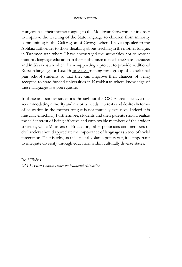#### **INTRODUCTION**

Hungarian as their mother tongue; to the Moldovan Government in order to improve the teaching of the State language to children from minority communities; in the Gali region of Georgia where I have appealed to the Abhkaz authorities to show flexibility about teaching in the mother tongue; in Turkmenistan where I have encouraged the authorities not to restrict minority language education in their enthusiasm to teach the State language; and in Kazakhstan where I am supporting a project to provide additional Russian language or Kazakh language training for a group of Uzbek final year school students so that they can improve their chances of being accepted to state-funded universities in Kazakhstan where knowledge of these languages is a prerequisite.

In these and similar situations throughout the OSCE area I believe that accommodating minority and majority needs, interests and desires in terms of education in the mother tongue is not mutually exclusive. Indeed it is mutually enriching. Furthermore, students and their parents should realize the self-interest of being effective and employable members of their wider societies, while Ministers of Education, other politicians and members of civil society should appreciate the importance of language as a tool of social integration. That is why, as this special volume points out, it is important to integrate diversity through education within culturally diverse states.

Rolf Ekéus *OSCE High Commissioner on National Minorities*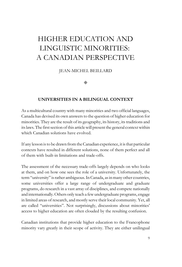# HIGHER EDUCATION AND LINGUISTIC MINORITIES: A CANADIAN PERSPECTIVE

JEAN-MICHEL BEILLARD

 $\ast$ 

## **UNIVERSITIES IN A BILINGUAL CONTEXT**

As a multicultural country with many minorities and two official languages, Canada has devised its own answers to the question of higher education for minorities. They are the result of its geography, its history, its traditions and its laws. The first section of this article will present the general context within which Canadian solutions have evolved.

If any lesson is to be drawn from the Canadian experience, it is that particular contexts have resulted in different solutions, none of them perfect and all of them with built-in limitations and trade-offs.

The assessment of the necessary trade-offs largely depends on who looks at them, and on how one sees the role of a university. Unfortunately, the term "university" is rather ambiguous. In Canada, as in many other countries, some universities offer a large range of undergraduate and graduate programs, do research in a vast array of disciplines, and compete nationally and internationally. Others only teach a few undergraduate programs, engage in limited areas of research, and mostly serve their local community. Yet, all are called "universities". Not surprisingly, discussions about minorities' access to higher education are often clouded by the resulting confusion.

Canadian institutions that provide higher education to the Francophone minority vary greatly in their scope of activity. They are either unilingual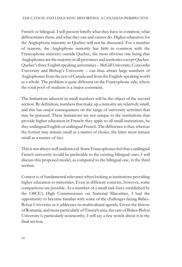French or bilingual. I will present briefly what they have in common, what differentiates them, and what they can and cannot do. Higher education for the Anglophone minority in Quebec will not be discussed. For a number of reasons, the Anglophone minority has little in common with the Francophone minority outside Quebec, the most obvious one being that Anglophones are the majority in all provinces and territories except Quebec. Quebec's three English speaking universities – McGill University, Concordia University and Bishop's University – can thus attract large numbers of Anglophones from the rest of Canada and from the English-speaking world as a whole. The problem is quite different on the Francophone side, where the total pool of students is a major constraint.

The limitations inherent in small numbers will be the object of the second section. By definition, numbers that make up a minority are relatively small, and this has major consequences on the range of university activities that may be pursued. These limitations are not unique to the institutions that provide higher education in French: they apply to all small institutions, be they unilingual English or unilingual French. The difference is that, whereas the former may remain small as a matter of choice, the latter must remain small as a matter of fact.

This is not always well understood. Some Francophones feel that a unilingual French university would be preferable to the existing bilingual ones. I will discuss this proposed model, as compared to the bilingual one, in the third section.

Context is of fundamental relevance when looking at institutions providing higher education to minorities. Even in different contexts, however, some comparisons are possible. As a member of a small task force established by the OSCE's High Commissioner on National Minorities, I had the opportunity to become familiar with some of the challenges facing Babes-Bolyai University as it addresses its multicultural agenda. Given the history of Romania, and more particularly of Transylvania, the case of Babes-Bolyai University is particularly noteworthy. I will say a few words about it in the final section.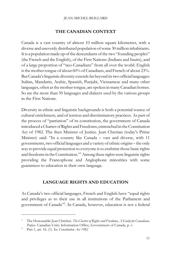#### JEAN-MICHEL BEILLARD

#### **THE CANADIAN CONTEXT**

Canada is a vast country of almost 10 million square kilometres, with a diverse and unevenly distributed population of some 30 million inhabitants. It is a population made up of the descendants of the two "founding peoples" (the French and the English), of the First Nations (Indians and Inuits), and of a large proportion of "neo-Canadians" from all over the world. English is the mother tongue of about 60% of Canadians, and French of about 23%. But Canada's linguistic diversity extends far beyond its two official languages: Italian, Mandarin, Arabic, Spanish, Punjabi, Vietnamese and many other languages, often as the mother tongue, are spoken in many Canadian homes. So are the more than 50 languages and dialects used by the various groups in the First Nations.

Diversity in ethnic and linguistic backgrounds is both a potential source of cultural enrichment, and of tension and discriminatory practices. As part of the process of "patriation" of its constitution, the government of Canada introduced a Charter of Rights and Freedoms, entrenched in the Constitution Act of 1982. The then Minister of Justice. Jean Chretian (today's Prime Minister) said: "In a country like Canada – vast and diverse, with 11 governments, two official languages and a variety of ethnic origins – the only way to provide equal protection to everyone is to enshrine those basic rights and freedoms in the Constitution."1 Among these rights were linguistic rights providing the Francophone and Anglophone minorities with some guarantees to education in their own language.

#### **LANGUAGE RIGHTS AND EDUCATION**

As Canada's two official languages, French and English have "equal rights and privileges as to their use in all institutions of the Parliament and government of Canada"2 . In Canada, however, education is not a federal

<sup>&</sup>lt;sup>1</sup> The Honourable Jean Chrétien. *The Charter of Rights and Freedoms, A Guide for Canadians*, *Preface*. Canadian Unity Information Office, Government of Canada, p. v.

<sup>2</sup> Part 1, art. 16. (1). In: *Constitution Act 1982*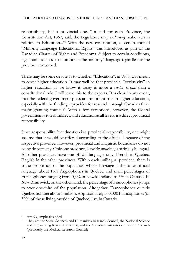responsibility, but a provincial one. "In and for each Province, the Constitution Act, 1867, said, the Legislature may *exclusively* make laws in relation to Education..."<sup>3</sup> With the new constitution, a section entitled "Minority Language Educational Rights" was introduced as part of the Canadian Charter of Rights and Freedoms. Subject to certain conditions, it guarantees access to education in the minority's language regardless of the province concerned.

There may be some debate as to whether "Education", in 1867, was meant to cover higher education. It may well be that provincial "exclusivity" in higher education as we know it today is more a *modus vivendi* than a constitutional rule. I will leave this to the experts. It is clear, in any event, that the federal government plays an important role in higher education, especially with the funding it provides for research through Canada's three major granting councils<sup>4</sup>. With a few exceptions, however, the federal government's role is indirect, and education at all levels, is a direct provincial responsibility

Since responsibility for education is a provincial responsibility, one might assume that it would be offered according to the official language of the respective province. However, provincial and linguistic boundaries do not coincide perfectly. Only one province, New Brunswick, is officially bilingual. All other provinces have one official language only, French in Quebec, English in the other provinces. Within each unilingual province, there is some proportion of the population whose language is the other official language: about 13% Anglophones in Quebec, and small percentages of Francophones ranging from 0,4% in Newfoundland to 5% in Ontario. In New Brunswick, on the other hand, the percentage of Francophones jumps to over one-third of the population. Altogether, Francophones outside Quebec number about 1 million. Approximately 500,000 Francophones (or 50% of those living outside of Quebec) live in Ontario.

 $\frac{3}{4}$  Art. 93, emphasis added

They are the Social Sciences and Humanities Research Council, the National Science and Engineering Research Council, and the Canadian Institutes of Health Research (previously the Medical Research Council)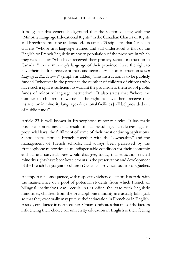#### JEAN-MICHEL BEILLARD

It is against this general background that the section dealing with the "Minority Language Educational Rights" in the Canadian Charter or Rights and Freedoms must be understood. Its article 23 stipulates that Canadian citizens "whose first language learned and still understood is that of the English or French linguistic minority population of the province in which they reside..." or "who have received their primary school instruction in Canada..." in the minority's language of their province "have the right to have their children receive primary and secondary school instruction *in that language in that province*" (emphasis added). This instruction is to be publicly funded "wherever in the province the number of children of citizens who have such a right is sufficient to warrant the provision to them out of public funds of minority language instruction". It also states that "where the number of children so warrants, the right to have them receive that instruction in minority language educational facilities [will be] provided out of public funds".

Article 23 is well known in Francophone minority circles. It has made possible, sometimes as a result of successful legal challenges against provincial laws, the fulfilment of some of their most enduring aspirations. School instruction in French, together with the "ownership" and the management of French schools, had always been perceived by the Francophone minorities as an indispensable condition for their economic and cultural survival. Few would disagree, today, that education-related minority rights have been key elements in the preservation and development of the French language and culture in Canadian provinces outside of Quebec.

An important consequence, with respect to higher education, has to do with the maintenance of a pool of potential students from which French or bilingual institutions can recruit. As is often the case with linguistic minorities, children from the Francophone minority are usually bilingual, so that they eventually may pursue their education in French or in English. A study conducted in north-eastern Ontario indicates that one of the factors influencing their choice for university education in English is their feeling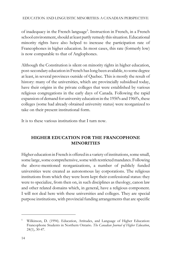#### EDUCATION AND LINGUISTIC MINORITIES: A CANADIAN PERSPECTIVE

of inadequacy in the French language<sup>5</sup>. Instruction in French, in a French school environment, should at least partly remedy this situation. Educational minority rights have also helped to increase the participation rate of Francophones in higher education. In most cases, this rate (formerly low) is now comparable to that of Anglophones.

Although the Constitution is silent on minority rights in higher education, post-secondary education in French has long been available, to some degree at least, in several provinces outside of Quebec. This is mostly the result of history: many of the universities, which are provincially subsidised today, have their origins in the private colleges that were established by various religious congregations in the early days of Canada. Following the rapid expansion of demand for university education in the 1950's and 1960's, these colleges (some had already obtained university status) were reorganized to take on their present institutional form.

It is to these various institutions that I turn now.

# **HIGHER EDUCATION FOR THE FRANCOPHONE MINORITIES**

Higher education in French is offered in a variety of institutions, some small, some large, some comprehensive, some with restricted mandates. Following the above-mentioned reorganizations, a number of publicly funded universities were created as autonomous lay corporations. The religious institutions from which they were born kept their confessional status: they were to specialize, from then on, in such disciplines as theology, canon law and other related domains which, in general, have a religious component. I will not deal here with these universities and colleges. They are special purpose institutions, with provincial funding arrangements that are specific

<sup>&</sup>lt;sup>5</sup> Wilkinson, D. (1994). Education, Attitudes, and Language of Higher Education: Francophone Students in Northern Ontario. *The Canadian Journal of Higher Education*, 24(1), 30-47.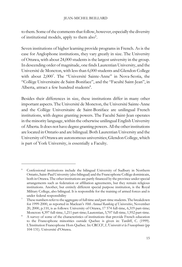to them. Some of the comments that follow, however, especially the diversity of institutional models, apply to them also<sup>6</sup>.

Seven institutions of higher learning provide programs in French. As is the case for Anglophone institutions, they vary greatly in size. The University of Ottawa, with about 24,000 students is the largest university in the group. In descending order of magnitude, one finds Laurentian University, and the Université de Moncton, with less than 6,000 students and Glendon College with about 2,000<sup>7</sup>. The "Université Sainte-Anne" in Nova-Scotia, the "Collège Universitaire de Saint-Boniface", and the "Faculté Saint-Jean", in Alberta, attract a few hundred students<sup>8</sup>.

Besides their differences in size, these institutions differ in many other important aspects. The Université de Moncton, the Université Sainte-Anne and the Collège Universitaire de Saint-Boniface are unilingual French institutions, with degree granting powers. The Faculté Saint-Jean operates in the minority language, within the otherwise unilingual English University of Alberta. It does not have degree granting powers. All the other institutions are located in Ontario and are bilingual. Both Laurentian University and the University of Ottawa are autonomous universities; Glendon College, which is part of York University, is essentially a Faculty.

<sup>6</sup> Confessional institutions include the bilingual University of Sudbury in Northern Ontario, Saint-Paul University (also bilingual) and the Francophone Collège dominicain, both in Ottawa. The other institutions are partly financed by the province under special arrangements such as federation or affiliation agreements, but they remain religious institutions. Another, but entirely different special purpose institution, is the Royal Military College, also bilingual. It is responsible for the training of armed forces and is under federal responsibility

<sup>7</sup> These numbers refer to the aggregate of full time and part-time students. The breakdown for 1999-2000, as reported in Maclean's *10th Annual Ranking of Universities*, November 20, 2000, p.110, is as follows: University of Ottawa, 17 574 full-time, 6,319 part-time; Moncton: 4,397 full-time, 1,211 part-time; Laurentian, 3,707 full-time, 1,952 part-time.

<sup>&</sup>lt;sup>8</sup> A survey of some of the characteristics of institutions that provide French education to the Francophone minorities outside Quebec is given in: Tardiff, C. (1999). L'Institution Francophone Hors Québec. In: CRCCF, *L'Université et la Francophonie* (pp 104-131). Université d'Ottawa.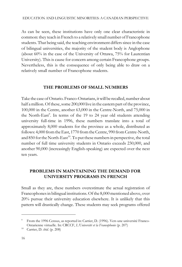As can be seen, these institutions have only one clear characteristic in common: they teach in French to a relatively small number of Francophone students. That being said, the teaching environment differs since in the case of bilingual universities, the majority of the student body is Anglophone (about 60% in the case of the University of Ottawa, 75% for Laurentian University). This is cause for concern among certain Francophone groups. Nevertheless, this is the consequence of only being able to draw on a relatively small number of Francophone students.

#### **THE PROBLEMS OF SMALL NUMBERS**

Take the case of Ontario. Franco-Ontarians, it will be recalled, number about half a million. Of these, some 200,000 live in the eastern part of the province, 100,000 in the Centre, another 63,000 in the Centre-North, and 75,000 in the North-East<sup>9</sup>. In terms of the 19 to 24 year old students attending university full-time in 1996, these numbers translate into a total of approximately 8,000 students for the province as a whole, distributed as follows: 4,000 from the East, 1770 from the Centre, 990 from Centre-North, and 850 for the North-East<sup>10</sup>. To put these numbers in perspective, the total number of full time university students in Ontario exceeds 230,000, and another 90,000 (increasingly English-speaking) are expected over the next ten years.

### **PROBLEMS IN MAINTAINING THE DEMAND FOR UNIVERSITY PROGRAMS IN FRENCH**

Small as they are, these numbers overestimate the actual registration of Francophones in bilingual institutions. Of the 8,000 mentioned above, over 20% pursue their university education elsewhere. It is unlikely that this pattern will drastically change. These students may seek programs offered

<sup>&</sup>lt;sup>9</sup> From the 1996 Census, as reported in: Carrier, D. (1996). Vers une université Franco-Ontarienne virtuelle. In: CRCCF, *L'Université et la Francophonie* (p. 207)

<sup>10</sup> Carrier, D. *ibid*. (p. 208)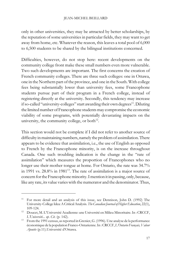only in other universities, they may be attracted by better scholarships, by the reputation of some universities in particular fields, they may want to get away from home, etc. Whatever the reason, this leaves a total pool of 6,000 to 6,500 students to be shared by the bilingual institutions concerned.

Difficulties, however, do not stop here: recent developments on the community college front make these small numbers even more vulnerable. Two such developments are important. The first concerns the creation of French community colleges. There are three such colleges: one in Ottawa, one in the Northern part of the province, and one in the South. With college fees being substantially lower than university fees, some Francophone students pursue part of their program in a French college, instead of registering directly at the university. Secondly, this tendency may increase if so-called "university-colleges" start awarding their own degrees<sup>11</sup>. Diluting the limited number of Francophone students may compromise the economic viability of some programs, with potentially devastating impacts on the university, the community college, or both $12$ .

This section would not be complete if I did not refer to another source of difficulty in maintaining numbers, namely the problem of assimilation. There appears to be evidence that assimilation, i.e., the use of English as opposed to French by the Francophone minority, is on the increase throughout Canada. One such troubling indication is the change in the "rate of assimilation" which measures the proportion of Francophones who no longer use their mother tongue at home. For Ontario, the rate was 34.7% in 1991 vs.  $28.8\%$  in 1981<sup>13</sup>. The rate of assimilation is a major source of concern for the Francophone minority. I mention it in passing, only, because, like any rate, its value varies with the numerator and the denominator. Thus,

<sup>11</sup> For more detail and an analysis of this issue, see Dennison, John D. (1992) The University-College Idea: A Critical Analysis. *The Canadian Journal of Higher Education*, 22(1), 109-124.

<sup>12</sup> Doucet, M. L'Université Acadienne: une Université en Milieu Minoritaire. In : CRCCF, *L'Université... op. Cit*. (p. 142).

<sup>&</sup>lt;sup>13</sup> From the 1991 census, as reported in Grenier, G. (1996). Une analyse de la performance économique de la population Franco-Ontarienne. In : CRCCF, *L'Ontario Français, Valeur Ajoutée* (p.11).Université d'Ottawa.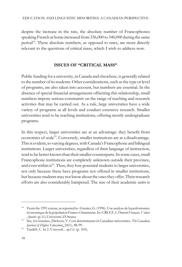despite the increase in the rate, the absolute number of Francophones speaking French at home increased from 336,000 to 340,000 during the same period<sup>14</sup>. These absolute numbers, as opposed to rates, are more directly relevant to the questions of critical mass, which I wish to address now.

#### **ISSUES OF "CRITICAL MASS"**

Public funding for a university, in Canada and elsewhere, is generally related to the number of its students. Other considerations, such as the type or level of programs, are also taken into account, but numbers are essential. In the absence of special financial arrangements offsetting this relationship, small numbers impose serious constraints on the range of teaching and research activities that may be carried out. As a rule, large universities have a wide variety of programs at all levels and conduct extensive research. Smaller universities tend to be teaching institutions, offering mostly undergraduate programs.

In this respect, larger universities are at an advantage: they benefit from economies of scale<sup>15</sup>. Conversely, smaller institutions are at a disadvantage. This is evident, to varying degrees, with Canada's Francophone and bilingual institutions. Larger universities, regardless of their language of instruction, tend to be better known than their smaller counterparts. In some cases, small Francophone institutions are completely unknown outside their province, and even within  $it^{16}$ . Thus, they lose potential students to larger universities, not only because these have programs not offered in smaller institutions, but because students may not know about the ones they offer. Their research efforts are also considerably hampered. The size of their academic units is

<sup>14</sup> From the 1991 census, as reported in : Grenier, G. (1996). Une analyse de la performance économique de la population Franco-Ontarienne. In : CRCCF, *L'Ontario Français, Valeur Ajoutée* (p.11).Université d'Ottawa.

<sup>15</sup> See, for instance, Dickson, V. Cost determinants in Canadian universities. *The Canadian Journal of Higher Education*, 24(1), 88-99.

<sup>16</sup> Tardiff, C. In *L'Université... op.Cit.* (p. 105).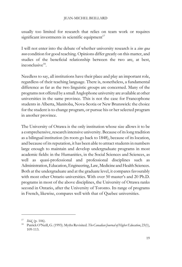#### JEAN-MICHEL BEILLARD

usually too limited for research that relies on team work or requires significant investments in scientific equipment $17$ 

I will not enter into the debate of whether university research is a *sine qua non* condition for good teaching. Opinions differ greatly on this matter, and studies of the beneficial relationship between the two are, at best,  $inconclusive<sup>18</sup>$ 

Needless to say, all institutions have their place and play an important role, regardless of their teaching language. There is, nonetheless, a fundamental difference as far as the two linguistic groups are concerned. Many of the programs not offered by a small Anglophone university are available at other universities in the same province. This is not the case for Francophone students in Alberta, Manitoba, Nova-Scotia or New Brunswick: the choice for the student is to change program, or pursue his or her selected program in another province.

The University of Ottawa is the only institution whose size allows it to be a comprehensive, research intensive university. Because of its long tradition as a bilingual institution (its roots go back to 1848), because of its location, and because of its reputation, it has been able to attract students in numbers large enough to maintain and develop undergraduate programs in most academic fields: in the Humanities, in the Social Sciences and Sciences, as well as quasi-professional and professional disciplines such as Administration, Education, Engineering, Law, Medicine and Health Sciences. Both at the undergraduate and at the graduate level, it compares favourably with most other Ontario universities. With over 50 master's and 20 Ph.D. programs in most of the above disciplines, the University of Ottawa ranks second in Ontario, after the University of Toronto. Its range of programs in French, likewise, compares well with that of Quebec universities.

<sup>17</sup> *Ibid.* (p. 106).

<sup>18</sup> Patrick O'Neill, G. (1993). Myths Revisited. *The Canadian Journal of Higher Education*, 23(1), 109-113.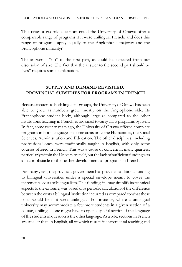This raises a twofold question: could the University of Ottawa offer a comparable range of programs if it were unilingual French, and does this range of programs apply equally to the Anglophone majority and the Francophone minority?

The answer is "no" to the first part, as could be expected from our discussion of size. The fact that the answer to the second part should be "yes" requires some explanation.

### **SUPPLY AND DEMAND REVISITED: PROVINCIAL SUBSIDIES FOR PROGRAMS IN FRENCH**

Because it caters to both linguistic groups, the University of Ottawa has been able to grow as numbers grew, mostly on the Anglophone side. Its Francophone student body, although large as compared to the other institutions teaching in French, is too small to carry all its programs by itself. In fact, some twenty years ago, the University of Ottawa offered complete programs in both languages in some areas only: the Humanities, the Social Sciences, Administration and Education. The other disciplines, including professional ones, were traditionally taught in English, with only some courses offered in French. This was a cause of concern in many quarters, particularly within the University itself, but the lack of sufficient funding was a major obstacle to the further development of programs in French.

For many years, the provincial government had provided additional funding to bilingual universities under a special envelope meant to cover the incremental costs of bilingualism. This funding, if I may simplify its technical aspects to the extreme, was based on a periodic calculation of the difference between the costs a bilingual institution incurred as compared to what these costs would be if it were unilingual. For instance, where a unilingual university may accommodate a few more students in a given section of a course, a bilingual one might have to open a special section if the language of the students in question is the other language. As a rule, sections in French are smaller than in English, all of which results in incremental teaching and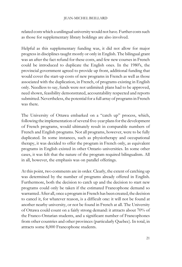related costs which a unilingual university would not have. Further costs such as those for supplementary library holdings are also involved.

Helpful as this supplementary funding was, it did not allow for major progress in disciplines taught mostly or only in English. The bilingual grant was an after the fact refund for these costs, and few new courses in French could be introduced to duplicate the English ones. In the 1980's, the provincial government agreed to provide up front, additional funding that would cover the start-up costs of new programs in French as well as those associated with the duplication, in French, of programs existing in English only. Needless to say, funds were not unlimited: plans had to be approved, need shown, feasibility demonstrated, accountability respected and reports submitted. Nevertheless, the potential for a full array of programs in French was there.

The University of Ottawa embarked on a "catch up" process, which, following the implementation of several five-year plans for the development of French programs, would ultimately result in comparable numbers of French and English programs. Not all programs, however, were to be fully duplicated. In some instances, such as physiotherapy and occupational therapy, it was decided to offer the program in French only, as equivalent programs in English existed in other Ontario universities. In some other cases, it was felt that the nature of the program required bilingualism. All in all, however, the emphasis was on parallel offerings.

At this point, two comments are in order. Clearly, the extent of catching up was determined by the number of programs already offered in English. Furthermore, both the decision to catch up and the decision to start new programs could only be taken if the estimated Francophone demand so warranted. After all, once a program in French has been created, the decision to cancel it, for whatever reason, is a difficult one: it will not be found at another nearby university, or not be found in French at all. The University of Ottawa could count on a fairly strong demand: it attracts about 70% of the Franco-Ontarian students, and a significant number of Francophones from other countries and other provinces (particularly Quebec). In total, in attracts some 8,000 Francophone students.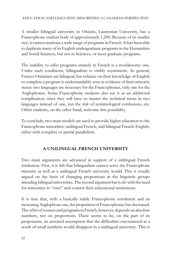#### EDUCATION AND LINGUISTIC MINORITIES: A CANADIAN PERSPECTIVE

A smaller bilingual university in Ontario, Laurentian University, has a Francophone student body of approximately 1,200. Because of its smaller size, it cannot maintain a wide range of programs in French. It has been able to duplicate many of its English undergraduate programs in the Humanities and Social Sciences, but not in Sciences, or most graduate programs.

The inability to offer programs entirely in French is a troublesome one. Under such conditions, bilingualism is visibly asymmetric. In general, Franco-Ontarians are bilingual, but reliance on their knowledge of English to complete a program is understandably seen as evidence of their minority status: two languages are necessary for the Francophones, only one for the Anglophones. Some Francophone students also see it as an additional complication, since they will have to master the technical terms in two languages instead of one, run the risk of terminological confusions, etc. Other students, on the other hand, welcome this possibility.

To conclude, two main models are used to provide higher education to the Francophone minorities: unilingual French, and bilingual French-English, either with complete or partial parallelism.

### **A UNILINGUAL FRENCH UNIVERSITY**

Two main arguments are advanced in support of a unilingual French institution. First, it is felt that bilingualism cannot serve the Francophone minority as well as a unilingual French university would. This is usually argued on the basis of changing proportions in the linguistic groups attending bilingual universities. The second argument has to do with the need for minorities to "own" and control their educational institutions.

It is true that, with a basically stable Francophone enrolment and an increasing Anglophone one, the proportion of Francophones has decreased. The offer of courses and programs in French, however, depends on absolute numbers, not on proportions. There seems to be, on the part of its proponents, an unstated assumption that the difficulties encountered as a result of small numbers would disappear in a unilingual university. This is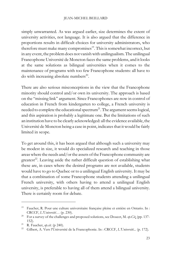simply unwarranted. As was argued earlier, size determines the extent of university activities, not language. It is also argued that the difference in proportions results in difficult choices for university administrators, who therefore must make many compromises<sup>19</sup>. This is somewhat incorrect, but in any event, the problem does not vanish with unilingualism. The unilingual Francophone Université de Moncton faces the same problems, and it looks at the same solutions as bilingual universities when it comes to the maintenance of programs with too few Francophone students: all have to do with increasing absolute numbers $^{20}$ .

There are also serious misconceptions in the view that the Francophone minority should control and/or own its university. The approach is based on the "missing link" argument. Since Francophones are now in control of education in French from kindergarten to college, a French university is needed to complete the educational spectrum<sup>21</sup>. The argument seems logical, and this aspiration is probably a legitimate one. But the limitations of such an institution have to be clearly acknowledged: all the evidence available, the Université de Moncton being a case in point, indicates that it would be fairly limited in scope.

To get around this, it has been argued that although such a university may be modest in size, it would do specialized research and teaching in those areas where the needs and/or the assets of the Francophone community are  $greatest<sup>22</sup>$ . Leaving aside the rather difficult question of establishing what these are, in cases where the desired programs are not available, students would have to go to Quebec or to a unilingual English university. It may be that a combination of some Francophone students attending a unilingual French university, with others having to attend a unilingual English university, is preferable to having all of them attend a bilingual university. There is certainly room for debate.

<sup>&</sup>lt;sup>19</sup> Faucher, R. Pour une culture universitaire française pleine et entière en Ontario. In : CRCCF, *L'Université…* (p. 230).

<sup>20</sup> For a survey of the challenges and proposed solutions, see Doucet, M. *op.Cit.* (pp. 137- 152).

<sup>21</sup> R. Faucher, *op.cit.* (p 240).

<sup>&</sup>lt;sup>22</sup> Gilbert, A. Vers l'Université de la Francophonie. In : CRCCF, *L'Université...* (p. 172).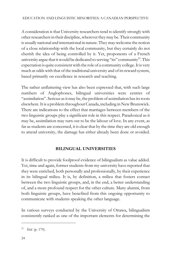A consideration is that University researchers tend to identify strongly with other researchers in their discipline, wherever they may be. Their community is usually national and international in nature. They may welcome the notion of a close relationship with the local community, but they certainly do not cherish the idea of being controlled by it. Yet, proponents of a French university argue that it would be dedicated to serving "its" community<sup>23</sup>. This expectation is quite consistent with the role of a community college. It is very much at odds with that of the traditional university and of its reward system, based primarily on excellence in research and teaching.

The rather unflattering view has also been expressed that, with such large numbers of Anglophones, bilingual universities were centres of "assimilation". Serious as it may be, the problem of assimilation has its roots elsewhere. It is a problem throughout Canada, including in New Brunswick. There are indications to the effect that marriages between members of the two linguistic groups play a significant role in this respect. Paradoxical as it may be, assimilation may turn out to be the labour of love. In any event, as far as students are concerned, it is clear that by the time they are old enough to attend university, the damage has either already been done or avoided.

## **BILINGUAL UNIVERSITIES**

It is difficult to provide foolproof evidence of bilingualism as value added. Yet, time and again, former students from my university have reported that they were enriched, both personally and professionally, by their experience in its bilingual milieu. It is, by definition, a milieu that fosters contact between the two linguistic groups, and, in the end, a better understanding of, and a more profound respect for the other culture. Many alumni, from both linguistic groups, have benefited from this ongoing opportunity to communicate with students speaking the other language.

In various surveys conducted by the University of Ottawa, bilingualism consistently ranked as one of the important elements for determining the

<sup>23</sup> *Ibid.* (p. 170).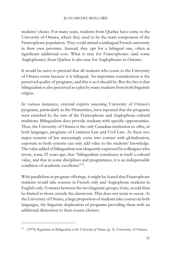students' choice. For many years, students from Quebec have come to the University of Ottawa, where they used to be the main component of the Francophone population. They could attend a unilingual French university in their own province. Instead, they opt for a bilingual one, often at significant additional cost. What is true for Francophones (and some Anglophones) from Quebec is also true for Anglophones in Ontario.

It would be naive to pretend that all students who come to the University of Ottawa come because it is bilingual. An important consideration is the perceived quality of programs, and this is as it should be. But the fact is that bilingualism is also perceived as a plus by many students from both linguistic origins.

In various instances, external experts assessing University of Ottawa's programs, particularly in the Humanities, have reported that the programs were enriched by the mix of the Francophone and Anglophone cultural traditions. Bilingualism does provide students with specific opportunities. Thus, the University of Ottawa is the only Canadian institution to offer, in both languages, programs of Common Law and Civil Law. As these two major systems of law increasingly come into contact with globalization, exposure to both systems can only add value to the students' knowledge. The value added of bilingualism was eloquently expressed by colleagues who wrote, some 25 years ago, that "bilingualism constitutes in itself a cultural value, and that in some disciplines and programmes, it is an indispensable condition of academic excellence"<sup>24</sup>.

With parallelism in program offerings, it might be feared that Francophone students would take courses in French only and Anglophone students in English only. Contacts between the two linguistic groups, if any, would then be limited to those outside the classroom. This does not seem to occur. At the University of Ottawa, a large proportion of students take courses in both languages, the linguistic duplication of programs providing them with an additional dimension to their course choices.

<sup>24</sup> (1974) *Regulation on Bilingualism at the University of Ottawa* (p. 3). University of Ottawa.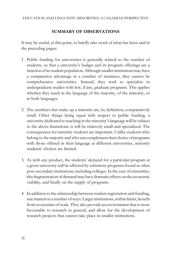# **SUMMARY OF OBSERVATIONS**

It may be useful, at this point, to briefly take stock of what has been said in the preceding pages:

- 1. Public funding for universities is generally related to the number of students, so that a university's budget and its program offerings are a function of its student population. Although smaller institutions may have a comparative advantage in a number of instances, they cannot be comprehensive universities. Instead, they tend to specialize in undergraduate studies with few, if any, graduate programs. This applies whether they teach in the language of the majority, of the minority, or in both languages.
- 2. The numbers that make up a minority are, by definition, comparatively small. Other things being equal with respect to public funding, a university dedicated to teaching in the minority's language will be subject to the above limitations: it will be relatively small and specialized. The consequences for minority students are important. Unlike students who belong to the majority and who can complement their choice of programs with those offered in their language at different universities, minority students' choices are limited.
- 3. As with any product, the students' demand for a particular program at a given university will be affected by substitute programs found at other post-secondary institutions, including colleges. In the case of minorities, this fragmentation of demand may have dramatic effects on the economic viability, and finally on the supply of programs.
- 4. In addition to the relationship between student registration and funding, size matters in a number of ways. Larger institutions, within limits, benefit from economies of scale. They also provide an environment that is more favourable to research in general, and allow for the development of research projects that cannot take place in smaller institutions.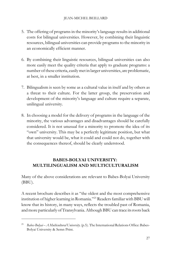- 5. The offering of programs in the minority's language results in additional costs for bilingual universities. However, by combining their linguistic resources, bilingual universities can provide programs to the minority in an economically efficient manner.
- 6. By combining their linguistic resources, bilingual universities can also more easily meet the quality criteria that apply to graduate programs: a number of these criteria, easily met in larger universities, are problematic, at best, in a smaller institution.
- 7. Bilingualism is seen by some as a cultural value in itself and by others as a threat to their culture. For the latter group, the preservation and development of the minority's language and culture require a separate, unilingual university.
- 8. In choosing a model for the delivery of programs in the language of the minority, the various advantages and disadvantages should be carefully considered. It is not unusual for a minority to promote the idea of its "own" university. This may be a perfectly legitimate position, but what that university would be, what it could and could not do, together with the consequences thereof, should be clearly understood.

# **BABES-BOLYAI UNIVERSITY: MULTILINGUALISM AND MULTICULTURALISM**

Many of the above considerations are relevant to Babes-Bolyai University (BBU).

A recent brochure describes it as "the oldest and the most comprehensive institution of higher learning in Romania."25 Readers familiar with BBU will know that its history, in many ways, reflects the troubled past of Romania, and more particularly of Transylvania. Although BBU can trace its roots back

<sup>25</sup> *Babes-Bolyai – A Multicultural University*. (p.5). The International Relations Office: Babes-Bolyai University & Semn Print.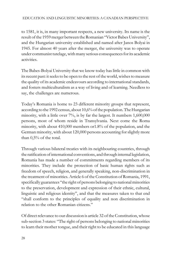#### EDUCATION AND LINGUISTIC MINORITIES: A CANADIAN PERSPECTIVE

to 1581, it is, in many important respects, a new university. Its name is the result of the 1959 merger between the Romanian "Victor Babes University", and the Hungarian university established and named after Janos Bolyai in 1945. For almost 40 years after the merger, the university was to operate under communist tutelage, with many serious consequences for its academic activities.

The Babes-Bolyai University that we know today has little in common with its recent past: it seeks to be open to the rest of the world, wishes to measure the quality of its academic endeavours according to international standards, and fosters multiculturalism as a way of living and of learning. Needless to say, the challenges are numerous.

Today's Romania is home to 23 different minority groups that represent, according to the 1992 census, about 10,6% of the population. The Hungarian minority, with a little over 7%, is by far the largest. It numbers 1,600,000 persons, most of whom reside in Transylvania. Next come the Roma minority, with about 410,000 members or1.8% of the population, and the German minority, with about 120,000 persons accounting for slightly more than 0,5% of the total.

Through various bilateral treaties with its neighbouring countries, through the ratification of international conventions, and through internal legislation, Romania has made a number of commitments regarding members of its minorities. They include the protection of basic human rights such as freedom of speech, religion, and generally speaking, non-discrimination in the treatment of minorities. Article 6 of the Constitution of Romania, 1991, specifically guarantees "the right of persons belonging to national minorities to the preservation, development and expression of their ethnic, cultural, linguistic and religious identity", and that the measures taken to that end "shall conform to the principles of equality and non discrimination in relation to the other Romanian citizens."

Of direct relevance to our discussion is article 32 of the Constitution, whose sub-section 3 states: "The right of persons belonging to national minorities to learn their mother tongue, and their right to be educated in this language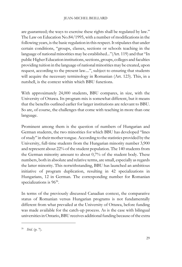are guaranteed; the ways to exercise these rights shall be regulated by law." The Law on Education No.84/1995, with a number of modifications in the following years, is the basic regulation in this respect. It stipulates that under certain conditions, "groups, classes, sections or schools teaching in the language of national minorities may be established..."(Art. 119) and that "In public Higher Education institutions, sections, groups, colleges and faculties providing tuition in the language of national minorities may be created, upon request, according to the present law....", subject to ensuring that students will acquire the necessary terminology in Romanian (Art. 123). This, in a nutshell, is the context within which BBU functions.

With approximately 24,000 students, BBU compares, in size, with the University of Ottawa. Its program mix is somewhat different, but it means that the benefits outlined earlier for larger institutions are relevant to BBU. So are, of course, the challenges that come with teaching in more than one language.

Prominent among them is the question of numbers of Hungarian and German students, the two minorities for which BBU has developed "lines of study" in their mother tongue. According to the statistics provided by the University, full-time students from the Hungarian minority number 3,900 and represent about 22% of the student population. The 140 students from the German minority amount to about 0,7% of the student body. These numbers, both in absolute and relative terms, are small, especially as regards the latter minority. This notwithstanding, BBU has launched an ambitious initiative of program duplication, resulting in 42 specializations in Hungarians, 12 in German. The corresponding number for Romanian specializations is 96<sup>26</sup>.

In terms of the previously discussed Canadian context, the comparative status of Romanian versus Hungarian programs is not fundamentally different from what prevailed at the University of Ottawa, before funding was made available for the catch-up process. As is the case with bilingual universities in Ontario, BBU receives additional funding because of the extra

<sup>26</sup> *Ibid.* (p. 7).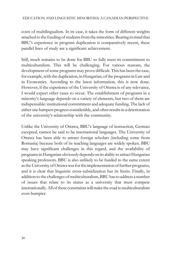costs of multilingualism. In its case, it takes the form of different weights attached to the funding of students from the minorities. Bearing in mind that BBU's experience in program duplication is comparatively recent, these parallel lines of study are a significant achievement.

Still, much remains to be done for BBU to fully meet its commitment to multiculturalism. This will be challenging. For various reasons, the development of some programs may prove difficult. This has been the case, for example, with the duplication, in Hungarian, of the programs in Law and in Economics. According to the latest information, this is now done. However, if the experience of the University of Ottawa is of any relevance, I would expect other cases to occur. The establishment of programs in a minority's language depends on a variety of elements, but two of them are indispensable: institutional commitment and adequate funding. The lack of either one hampers progress considerably, and often results in a deterioration of the university's relationship with the community.

Unlike the University of Ottawa, BBU's language of instruction, German excepted, cannot be said to be international languages. The University of Ottawa has been able to attract foreign scholars (including some from Romania) because both of its teaching languages are widely spoken. BBU may have significant challenges in this regard, and the availability of programs in Hungarian obviously depends on its ability to attract Hungarian speaking professors. BBU is also unlikely to be funded to the same extent as the University of Ottawa was for the implementation of further programs, and it is clear that linguistic cross-subsidization has its limits. Finally, in addition to the challenges of multiculturalism, BBU has to address a number of issues that relate to its status as a university that must compete internationally. All of these constraints will make the road to multiculturalism even bumpier.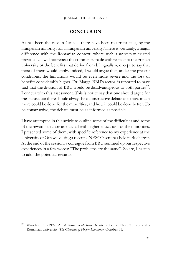#### JEAN-MICHEL BEILLARD

#### **CONCLUSION**

As has been the case in Canada, there have been recurrent calls, by the Hungarian minority, for a Hungarian university. There is, certainly, a major difference with the Romanian context, where such a university existed previously. I will not repeat the comments made with respect to the French university or the benefits that derive from bilingualism, except to say that most of them would apply. Indeed, I would argue that, under the present conditions, the limitations would be even more severe and the loss of benefits considerably higher. Dr. Marga, BBU's rector, is reported to have said that the division of BBU would be disadvantageous to both parties<sup> $27$ </sup>. I concur with this assessment. This is not to say that one should argue for the status quo: there should always be a constructive debate as to how much more could be done for the minorities, and how it could be done better. To be constructive, the debate must be as informed as possible.

I have attempted in this article to outline some of the difficulties and some of the rewards that are associated with higher education for the minorities. I presented some of them, with specific reference to my experience at the University of Ottawa, during a recent UNESCO seminar held in Bucharest. At the end of the session, a colleague from BBU summed up our respective experiences in a few words: "The problems are the same". So are, I hasten to add, the potential rewards.

<sup>&</sup>lt;sup>27</sup> Woodard, C. (1997) An Affirmative-Action Debate Reflects Ethnic Tensions at a Romanian University. *The Chronicle of Higher Education*, October 31.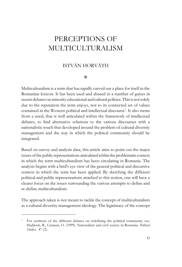# PERCEPTIONS OF MULTICULTURALISM

# ISTVÁN HORVÁTH

#### $\ast$

Multiculturalism is a term that has rapidly carved out a place for itself in the Romanian lexicon. It has been used and abused in a number of guises in recent debates on minority educational and cultural policies. This is not solely due to the reputation the term enjoys, nor to its connected set of values contained in the Western political and intellectual discourse<sup>1</sup>. It also stems from a need, that is well articulated within the framework of intellectual debates, to find alternative solutions to the various discourses with a nationalistic touch that developed around the problem of cultural diversity management and the way in which the political community should be integrated.

Based on survey and analysis data, this article aims to point out the major issues of the public representations articulated within the problematic context in which the term multiculturalism has been circulating in Romania. The analysis begins with a bird's eye view of the general political and discursive context in which the term has been applied. By sketching the different political and public representations attached to this notion, one will have a clearer focus on the issues surrounding the various attempts to define and re-define multiculturalism.

The approach taken is not meant to tackle the concept of multiculturalism as a cultural diversity management ideology. The legitimacy of the concept

<sup>1</sup> For synthesis of the different debates on redefining the political community see: Haddock, B., Caraiani, O. (1999). Nationalism and civil society in Romania. *Political Studies,* 47 (2).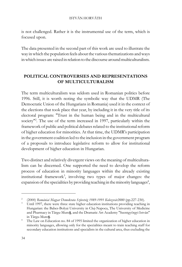is not challenged. Rather it is the instrumental use of the term, which is focused upon.

The data presented in the second part of this work are used to illustrate the way in which the population feels about the various thematizations and ways in which issues are raised in relation to the discourse around multiculturalism.

# **POLITICAL CONTROVERSIES AND REPRESENTATIONS OF MULTICULTURALISM**

The term multiculturalism was seldom used in Romanian politics before 1996. Still, it is worth noting the symbolic way that the UDMR (The Democratic Union of the Hungarians in Romania) used it in the context of the elections that took place that year, by including it in the very title of its electoral program: "Trust in the human being and in the multicultural society"<sup>2</sup>. The use of the term increased in 1997, particularly within the framework of public and political debates related to the institutional reform of higher education for minorities. At that time, the UDMR's participation in the government coalition led to the inclusion in the government program of a proposals to introduce legislative reform to allow for institutional development of higher education in Hungarian.

Two distinct and relatively divergent views on the meaning of multiculturalism can be discerned. One supported the need to develop the reform process of education in minority languages within the already existing institutional framework<sup>3</sup>, involving two types of major changes: the expansion of the specialities by providing teaching in the minority languages<sup>4</sup>,

<sup>2</sup> (2000) *Romániai Magyar Demokrata Szövetség 1989-1991 Kolozsvár2000* (pp.227-230).

<sup>&</sup>lt;sup>3</sup> Until 1997, there were three state higher education institutions providing teaching in Hungarian: the Babes-Bolyai University in Cluj-Napoca, The University of Medicine and Pharmacy in Târgu-MureŞ, and the Dramatic Art Academy "Szentgyörgyi István" in Târgu-Mure**Ş**.

<sup>&</sup>lt;sup>4</sup> The Law on Education no. 84 of 1995 limited the organization of higher education in minority languages, allowing only for the specialities meant to train teaching staff for secondary education institutions and specialists in the cultural area, thus excluding the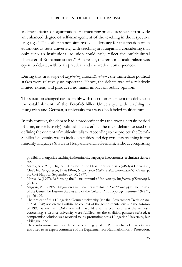#### PERCEPTIONS OF MULTICULTURALISM

and the initiation of organizational restructuring procedures meant to provide an enhanced degree of self-management of the teaching in the respective languages<sup>5</sup>. The other standpoint involved advocacy for the creation of an autonomous state university, with teaching in Hungarian, considering that only such an institutional solution could truly reflect the multicultural character of Romanian society<sup>6</sup>. As a result, the term multiculturalism was open to debate, with both practical and theoretical consequences.

During this first stage of *negotiating multiculturalism7* , the immediate political stakes were relatively unimportant. Hence, the debate was of a relatively limited extent, and produced no major impact on public opinion.

The situation changed considerably with the commencement of a debate on the establishment of the Petöfi-Schiller University<sup>8</sup>, with teaching in Hungarian and German, a university that was also labeled multicultural.

In this context, the debate had a predominantly (and over a certain period of time, an exclusively) political character<sup>9</sup>, as the main debate focused on defining the content of multiculturalism. According to the project, the Petöfi-Schiller University was to include faculties and departments teaching in the minority languages (that is in Hungarian and in German), without comprising

possibility to organize teaching in the minority languages in economics, technical sciences etc.

<sup>&</sup>lt;sup>5</sup> Marga, A. (1998). Higher Education in the Next Century: "Babe<sup>S</sup>-Bolyai Universitz, Cluj". In: Grigorescu, D. & Păun, N. *European Studies Today. International Conference*, p. 80, Cluj-Napoca, September 29-30, 1997.

<sup>6</sup> Marga, A. (1997). Reforming the Postcommunist Unniversity. In: *Journal of Democray* 8 (2) 163.

<sup>&</sup>lt;sup>7</sup> Magyari, V. E. (1997). Negocierea multiculturalismului. In: *Caietele tranzifiei*. The Review of the Center for Eastern Studies and of the Cultural Anthropology Institute, 1997/1, pp. 96-103.

<sup>&</sup>lt;sup>8</sup> The project of this Hungarian-German university (see the Government Decision no. 687 of 1998) was created within the context of the governmental crisis in the autumn of 1998, when the UDMR warned it would exit the coalition, least the requests concerning a distinct university were fulfilled. As the coalition partners refused, a compromise solution was resorted to, by promoting not a Hungarian University, but a bilingual one.

<sup>&</sup>lt;sup>9</sup> The clarification of matters related to the setting up of the Petöfi-Schiller University was entrusted to an expert committee of the Department for National Minority Protection.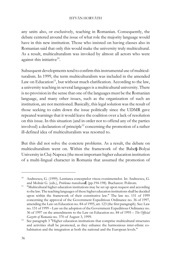#### ISTVÁN HORVÁTH

any units also, or exclusively, teaching in Romanian. Consequently, the debate centered around the issue of what role the majority language would have in this new institution. Those who insisted on having classes also in Romanian said that only this would make the university truly multicultural. As a result, multiculturalism was invoked by almost all actors who were against this initiative<sup>10</sup>.

Subsequent developments tend to confirm this instrumental use of multiculturalism. In 1999, the term multiculturalism was included in the amended Law on Education<sup>11</sup>, but without much clarification. According to the law, a university teaching in several languages is a multicultural university. There is no provision in the sense that one of the languages must be the Romanian language, and many other issues, such as the organization of such an institution, are not mentioned. Basically, this legal solution was the result of those seeking to calm down the issue politically since the UDMR gave repeated warnings that it would leave the coalition over a lack of resolution on this issue. In this situation (and in order not to offend any of the parties involved) a declaration of principle<sup>12</sup> concerning the promotion of a rather ill-defined idea of multiculturalism was resorted to.

But this did not solve the concrete problems. As a result, the debate on multiculturalism went on. Within the framework of the BabeŞ-Bolyai University in Cluj-Napoca (the most important higher education institution of a multi-lingual character in Romania that assumed the promotion of

<sup>10</sup> Andreescu, G. (1999). Lentiarea conceptelor viteza evenimentelor. In: Andreescu, G. and Molnár G. (eds.), *Problema transilvan* $\tilde{a}$ , (pp.194-198). Bucharest: Polirom.

<sup>&</sup>lt;sup>11</sup> "Multicultural higher education institutions may be set up upon request and according to the law. The teaching languages of these higher education institutions shall be decided upon within the framework of their constitutive law." The law no. 151 of 1999 concerning the approval of the Government Expeditious Ordinance no. 36 of 1997, amending the Law on Education no. 84 of 1995, art. 123 (the first paragraph). See: Law no. 151 of 1999 – Law on the adoption of the Government Expeditious Ordinance no. 36 of 1997 on the amendments to the Law on Education no. 84 of 1995 – *The Official Gazette of Romania* no. 370 of August 3, 1999.

<sup>&</sup>lt;sup>12</sup> See paragraph 3 "Higher education institutions that comprise multicultural structures and activities shall be promoted, as they enhance the harmonious inter-ethnic cohabitation and the integration at both the national and the European levels."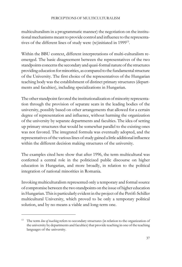multiculturalism in a programmatic manner) the negotiation on the institutional mechanisms meant to provide control and influence to the representatives of the different lines of study were (re)initiated in 1999<sup>13</sup>.

Within the BBU context, different interpretations of multi-culturalism reemerged. The basic disagreement between the representatives of the two standpoints concerns the secondary and quasi-formal nature of the structures providing education for minorities, as compared to the fundamental structure of the University. The first choice of the representatives of the Hungarian teaching body was the establishment of distinct primary structures (departments and faculties), including specializations in Hungarian.

The other standpoint favored the institutionalization of minority representation through the provision of separate seats in the leading bodies of the university, possibly based on other arrangements that allowed for a certain degree of representation and influence, without harming the organization of the university by separate departments and faculties. The idea of setting up primary structures that would be somewhat parallel to the existing ones was not favored. The integrated formula was eventually adopted, and the representatives of the various lines of study gained a little additional influence within the different decision making structures of the university.

The examples cited here show that after 1996, the term multicultural was conferred a central role in the politicized public discourse on higher education in Hungarian, and more broadly, in relation to the political integration of national minorities in Romania.

Invoking multiculturalism represented only a temporary and formal source of compromise between the two standpoints on the issue of higher education in Hungarian. This is particularly evident in the project of the Petöfi-Schiller multicultural University, which proved to be only a temporary political solution, and by no means a viable and long-term one.

<sup>&</sup>lt;sup>13</sup> The term *line of teaching* refers to secondary structures (in relation to the organization of the university by departments and faculties) that provide teaching in one of the teaching languages of the university.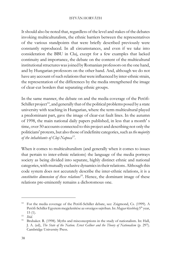It should also be noted that, regardless of the level and stakes of the debates invoking multiculturalism, the ethnic barriers between the representatives of the various standpoints that were briefly described previously were constantly reproduced. In all circumstances, and even if we take into consideration the BBU in Cluj, except for a few examples that lacked continuity and importance, the debate on the content of the multicultural institutional structures was joined by Romanian professors on the one hand, and by Hungarian professors on the other hand. And, although we do not have any account of such relations that were influenced by inter-ethnic strain, the representation of the differences by the media strengthened the image of clear-cut borders that separating ethnic groups.

In the same manner, the debate on and the media coverage of the Petöfi-Schiller project<sup>14</sup>, and generally that of the political problems posed by a state university with teaching in Hungarian, where the term multicultural played a predominant part, gave the image of clear-cut fault lines. In the autumn of 1998, the main national daily papers published, in less that a month' s time, over 50 accounts connected to this project and describing not only the politicians' protests, but also those of indefinite categories, such as *the majority of the inhabitants of Cluj-Napoca15*.

When it comes to multiculturalism (and generally when it comes to issues that pertain to inter-ethnic relations) the language of the media portrays society as being divided into separate, highly distinct ethnic and national categories, with mutually exclusive dynamics in their relations. Although this code system does not accurately describe the inter-ethnic relations, it is a constitutive dimension of these relations<sup>16</sup>. Hence, the dominant image of these relations pre-eminently remains a dichotomous one.

<sup>&</sup>lt;sup>14</sup> For the media coverage of the Petöfi-Schiller debate, see: Zsigmond, Cs. (1999). A Petöfi-Schiller Egyetem megjelenítése az országos sajtóban. In: *Magyar kisebbség* 5<sup>th</sup> year, 15 (1).

 $\frac{15}{16}$  *Ibid.* 

Brubaker. R. (1998). Myths and misconceptions in the study of nationalism. In: Hall, J. A. (ed), *The State of the Nation. Ernst Gellner and the Theory of Nationalism* (p. 297)*.* Cambridge University Press.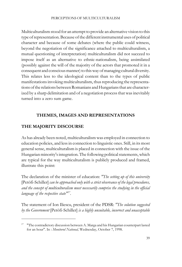Multiculturalism stood for an attempt to provide an alternative vision to this type of representation. Because of the different instrumental uses of political character and because of some debates (where the public could witness, beyond the negotiation of the significance attached to multiculturalism, a mutual questioning of interpretation) multiculturalism did not succeed to impose itself as an alternative to ethnic-nationalism, being assimilated (possibly against the will of the majority of the actors that promoted it in a consequent and conscious manner) to this way of managing cultural diversity. This relates less to the ideological content than to the types of public manifestations invoking multiculturalism, thus reproducing the representations of the relations between Romanians and Hungarians that are characterized by a sharp delimitation and of a negotiation process that was inevitably turned into a zero sum game.

# **THEMES, IMAGES AND REPRESENTATIONS**

# **THE MAJORITY DISCOURSE**

As has already been noted, multiculturalism was employed in connection to education policies, and less in connection to linguistic ones. Still, in its most general sense, multiculturalism is placed in connection with the issue of the Hungarian minority's integration. The following political statements, which are typical for the way multiculturalism is publicly produced and framed, illustrate this point:

The declaration of the minister of education: *"The setting up of this university* [Petöfi-Schiller] *can be approached only with a strict observance of the legal procedures, and the concept of multiculturalism must necessarily comprise the studying in the official language of the respective state"17.*

The statement of Ion Iliescu, president of the PDSR: *"The solution suggested by the Government* [Petöfi-Schiller] *is a highly unsuitable, incorrect and unacceptable*

<sup>&</sup>lt;sup>17</sup> "The contradictory discussion between A. Marga and his Hungarian counterpart lasted for an hour". In : *Monitorul National,* Wednesday, October 7, 1998.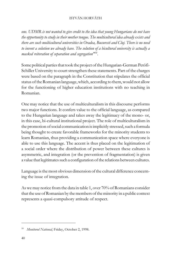*one. UDMR is not wanted to give credit to the idea that young Hungarians do not have the opportunity to study in their mother tongue. The multicultural idea already exists and there are such multicultural universities in Oradea, Bucuresti and Cluj. There is no need to invent a solution we already have. The solution of a bicultural university is actually a masked reiteration of separation and segregation"18*.

Some political parties that took the project of the Hungarian-German Petöfi-Schiller University to court strengthen these statements. Part of the charges were based on the paragraph in the Constitution that stipulates the official status of the Romanian language, which, according to them, would not allow for the functioning of higher education institutions with no teaching in Romanian.

One may notice that the use of multiculturalism in this discourse performs two major functions. It confers value to the official language, as compared to the Hungarian language and takes away the legitimacy of the mono- or, in this case, bi-cultural institutional project. The role of multiculturalism in the promotion of social communication is implicitly stressed, such a formula being thought to create favorable frameworks for the minority students to learn Romanian, thus providing a communication space where everyone is able to use this language. The accent is thus placed on the legitimation of a social order where the distribution of power between these cultures is asymmetric, and integration (or the prevention of fragmentation) is given a value that legitimates such a configuration of the relations between cultures.

Language is the most obvious dimension of the cultural difference concerning the issue of integration.

As we may notice from the data in table 1, over 70% of Romanians consider that the use of Romanian by the members of the minority in a public context represents a quasi-compulsory attitude of respect.

<sup>18</sup> *Monitorul National,* Friday, October 2, 1998.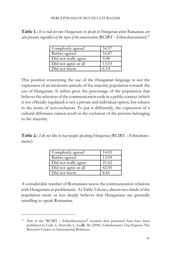| Completely agreed    | 54.37 |
|----------------------|-------|
| Rather agreed        | 16.87 |
| Did not really agree | 9.08  |
| Did not agree at all | 13.53 |
| Did not know         |       |

**Table 1.-** *It is rude for two Hungarians to speak in Hungarian when Romanians are also present, regardless of the topic of the conversation*  $(RCIRT - Ethnobarometer)^{19}$ 

This position concerning the use of the Hungarian language is not the expression of an intolerant attitude of the majority population towards the use of Hungarian. It rather gives the percentage of the population that believes the selection of the communication code in a public context (which is not officially regulated) is not a private and individual option, but subject to the norm of non-exclusion. To put it differently, the expression of a cultural difference cannot result in the exclusion of the persons belonging to the majority.

**Table 2.-** *I do not like to hear people speaking Hungarian* (RCIRT – Ethnobarometer)

| Completely agreed    | 14.03 |
|----------------------|-------|
| Rather agreed        | 13.09 |
| Did not really agree | 21.62 |
| Did not agree at all | 42.45 |
| Did not know         |       |

A considerable number of Romanians assess the communication relations with Hungarians as problematic. As Table 3 shows, almost two thirds of the population more or less deeply believes that Hungarians are generally unwilling to speak Romanian.

Part of the "RCIRT – Ethnobarometer" research data presented here have been published in: Culic, I., Horváth, I., Laz**ă**r, M. (2000). *Ethnobarometer*. Cluj-Napoca: The Research Center on International Relations.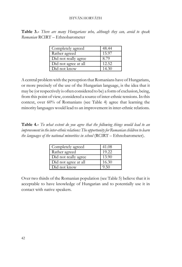|  |  | Table 3.- There are many Hungarians who, although they can, avoid to speak |  |  |  |  |
|--|--|----------------------------------------------------------------------------|--|--|--|--|
|  |  | Romanian RCIRT - Ethnobarometer                                            |  |  |  |  |

| Completely agreed    | 48.44 |
|----------------------|-------|
| Rather agreed        | 15.97 |
| Did not really agree | 8.79  |
| Did not agree at all | 12.52 |
| Did not know         |       |

A central problem with the perception that Romanians have of Hungarians, or more precisely of the use of the Hungarian language, is the idea that it may be (or respectively is often considered to be) a form of exclusion, being, from this point of view, considered a source of inter-ethnic tensions. In this context, over 60% of Romanians (see Table 4) agree that learning the minority languages would lead to an improvement in inter-ethnic relations.

**Table 4.-** *To what extent do you agree that the following things would lead to an improvement in the inter-ethnic relations: The opportunity for Romanian children to learn the languages of the national minorities in school* (RCIRT – Ethnobarometer).

| Completely agreed    | 41.08 |
|----------------------|-------|
| Rather agreed        | 19.22 |
| Did not really agree | 13.90 |
| Did not agree at all | 16.30 |
| Did not know         |       |

Over two thirds of the Romanian population (see Table 5) believe that it is acceptable to have knowledge of Hungarian and to potentially use it in contact with native speakers.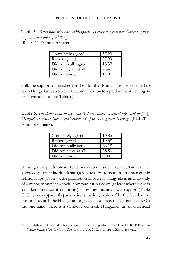**Table 5.-** *Romanians who learned Hungarian in order to speak it to their Hungarian acquaintances did a good thing.*  (RCIRT – Ethnobarometer).

| Completely agreed    | 37.29 |
|----------------------|-------|
| Rather agreed        | 27.99 |
| Did not really agree | 15.37 |
| Did not agree at all | 7.54  |
| Did not know         | 11 81 |

Still, the support diminishes for the idea that Romanians are expected to learn Hungarian, as a token of accommodation to a predominantly Hungarian environment (see Table 6).

**Table 6.** *The Romanians in the areas that are almost completed inhabited (only) by Hungarians should have a good command of the Hungarian language.* (RCIRT – Ethnobarometer).

| Completely agreed    | 19.86 |
|----------------------|-------|
| Rather agreed        | 19.38 |
| Did not really agree | 26.18 |
| Did not agree at all | 25.50 |
| Did not know         |       |

Although the predominant tendency is to consider that a certain level of knowledge of minority languages leads to relaxation in inter-ethnic relationships (Table 4), the promotion of societal bilingualism and not only of a minority one<sup>20</sup> as a social communication norm (at least where there is a marked presence of a minority) enjoys significantly lower support (Table 6). This is an apparently paradoxical situation, explained by the fact that the position towards the Hungarian language involves two different levels. On the one hand, there is a symbolic contrast: Hungarian, as an unofficial

<sup>20</sup> On different types of bilingualism and multi-lingualism, see: Fasold, R (1987). *The Sociolinguistics of Society* (pp.1-33). Oxford UK & Cambridge USA: Blackwell.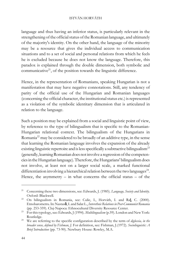language and thus having an inferior status, is particularly relevant in the strengthening of the official status of the Romanian language, and ultimately of the majority's identity. On the other hand, the language of the minority may be a resource that gives the individual access to communication situations and to a set of social and personal relations from which he feels he is excluded because he does not know the language. Therefore, this paradox is explained through the double dimension, both symbolic and communicative<sup>21</sup>, of the position towards the linguistic difference.

Hence, in the representation of Romanians, speaking Hungarian is not a manifestation that may have negative connotations. Still, any tendency of parity of the official use of the Hungarian and Romanian languages (concerning the official character, the institutional status etc.) is represented as a violation of the symbolic identitary dimension that is articulated in relation to the language.

Such a position may be explained from a social and linguistic point of view, by reference to the type of bilingualism that is specific to the Romanian-Hungarian relational context. The bilingualism of the Hungarians in Romania<sup>22</sup> may be considered to be broadly of an additive type, in the sense that learning the Romanian language involves the expansion of the already existing linguistic repertoire and is less specifically a subtractive bilingualism<sup>23</sup> (generally, learning Romanian does not involve a regression of the competencies in the Hungarian language). Therefore, the Hungarians' bilingualism does not involve, at least not on a larger social scale, a marked functional differentiation involving a hierarchical relation between the two languages<sup>24</sup>. Hence, the asymmetry – in what concerns the official status – of the

<sup>21</sup> Concerning these two dimensions, see: Edwards, J. (1985). *Language, Society and Identity.* Oxford: Blackwell.

 $22$  On bilingualism in Romania, see: Culic, I., Horváth, I. and Ra $\ddagger$ , C. (2000). Etnobarometru. In: Nastas|, L and Salat L., *Interethnic Relations in Post-Communist Romania* (pp. 253-359). Cluj-Napoca: Ethnocultural Diversity Resource Center.

<sup>&</sup>lt;sup>23</sup> For this typology, see: Edwards, J (1994). *Multilingualism* (p.59). London and New York: Routledge.

<sup>24</sup> We are referring to the specific configuration described by the term of *diglossia, in the broader sense, defined by Fishman, J.* For definition, see: Fishman, J.(1972). *Sociolinguistic: A Brief Introduction* (pp. 73-90). Newbury House: Rowley, M.A.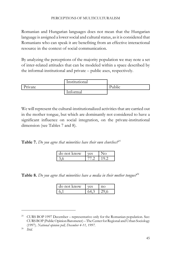Romanian and Hungarian languages does not mean that the Hungarian language is assigned a lower social and cultural status, as it is considered that Romanians who can speak it are benefiting from an effective interactional resource in the context of social communication.

By analyzing the perceptions of the majority population we may note a set of inter-related attitudes that can be modeled within a space described by the informal-institutional and private – public axes, respectively.

|         | Institutional |        |
|---------|---------------|--------|
| Private |               | Public |
|         | Informal      |        |

We will represent the cultural-institutionalized activities that are carried out in the mother tongue, but which are dominantly not considered to have a significant influence on social integration, on the private-institutional dimension (see Tables 7 and 8).

**Table 7.** *Do you agree that minorities have their own churches?25*

| do not<br>r know |  |
|------------------|--|
|                  |  |

**Table 8.** *Do you agree that minorities have a media in their mother tongue?26*

| do not know | P٢ |  |
|-------------|----|--|
|             |    |  |

<sup>&</sup>lt;sup>25</sup> CURS BOP 1997 December – representative only for the Romanian population. See: CURS BOP (Public Opinion Barometer) – The Center for Regional and Urban Sociology (1997). *National opinion poll, December 4-11, 1997.*

<sup>26</sup> *Ibid.*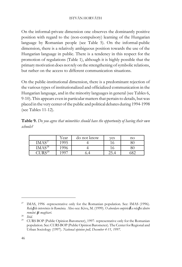On the informal-private dimension one observes the dominantly positive position with regard to the (non-compulsory) learning of the Hungarian language by Romanian people (see Table 5). On the informal-public dimension, there is a relatively ambiguous position towards the use of the Hungarian language in public. There is a tendency in this respect for the promotion of regulations (Table 1), although it is highly possible that the primary motivation does not rely on the strengthening of symbolic relations, but rather on the access to different communication situations.

On the public-institutional dimension, there is a predominant rejection of the various types of institutionalized and officialized communication in the Hungarian language, and in the minority languages in general (see Tables 6, 9-10). This appears even in particular matters that pertain to details, but was placed in the very center of the public and political debates during 1994-1998 (see Tables 11-12).

**Table 9.** *Do you agree that minorities should have the opportunity of having their own schools?*

|                        | Year | do not know | ves | no |
|------------------------|------|-------------|-----|----|
| $TM_{H}$               | 1995 |             |     |    |
| C <sub>28</sub><br>UМA | 1996 |             | 10  |    |
| ∩29                    | .007 |             |     |    |

<sup>&</sup>lt;sup>27</sup> IMAS, 1996 -representative only for the Romanian population. See: IMAS (1996). *Rela*Û*iile interetnice în România.* Also see: Kivu, M. (1999). *O abordare empiric*| *a rela*Û*iei dintre români* Õ*i maghiari*.

 $\frac{28}{29}$  *Ibid.* 

CURS BOP (Public Opinion Barometer), 1997- representative only for the Romanian population. See: CURS BOP (Public Opinion Barometer). The Center for Regional and Urban Sociology (1997). *National opinion poll, December 4-11, 1997.*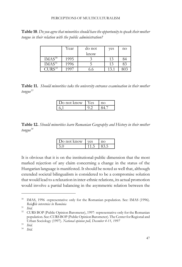**Table 10**. *Do you agree that minorities should have the opportunity to speak their mother tongue in their relation with the public administration?* 

|                         | Year | do not | yes  | no |
|-------------------------|------|--------|------|----|
|                         |      | know   |      |    |
| IMAS <sup>30</sup>      | 1995 |        | 13   |    |
| IMAS <sup>31</sup>      | 1996 |        | 13   | 83 |
| $CIIR\overline{S^{32}}$ | 1997 | 5.6    | 13.1 |    |

**Table 11.** *Should minorities take the university entrance examination in their mother tongue33*

| Do not know | ∸ |  |
|-------------|---|--|
|             |   |  |

**Table 12.** *Should minorities learn Romanian Geography and History in their mother tongue34*

| Do not know | ρç |  |
|-------------|----|--|
|             |    |  |

It is obvious that it is on the institutional-public dimension that the most marked rejection of any claim concerning a change in the status of the Hungarian language is manifested. It should be noted as well that, although extended societal bilingualism is considered to be a compromise solution that would lead to a relaxation in inter-ethnic relations, its actual promotion would involve a partial balancing in the asymmetric relation between the

<sup>&</sup>lt;sup>30</sup> IMAS, 1996 -representative only for the Romanian population. See: IMAS (1996). *Rela*Û*iile interetnice în România*

<sup>31</sup> *Ibid.*

<sup>&</sup>lt;sup>32</sup> CURS BOP (Public Opinion Barometer), 1997- representative only for the Romanian population. See: CURS BOP (Public Opinion Barometer). The Center for Regional and Urban Sociology (1997). *National opinion poll, December 4-11, 1997*

<sup>33</sup> *Ibid.*

<sup>34</sup> *Ibid.*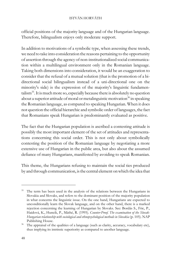official positions of the majority language and of the Hungarian language. Therefore, bilingualism enjoys only moderate support.

In addition to motivations of a symbolic type, when assessing these trends, we need to take into consideration the reasons pertaining to the opportunity of assertion through the agency of non-institutionalized social communication within a multilingual environment only in the Romanian language. Taking both dimensions into consideration, it would be an exaggeration to consider that the refusal of a mutual solution (that is the promotion of a bidirectional social bilingualism instead of a uni-directional one on the minority's side) is the expression of the majority's linguistic fundamentalism35. It is much more so, especially because there is absolutely no question about a superior attitude of moral or metalinguistic motivation<sup>36</sup> in speaking the Romanian language, as compared to speaking Hungarian. When it does not question the official hierarchic and symbolic order of languages, the fact that Romanians speak Hungarian is predominantly evaluated as positive.

The fact that the Hungarian population is ascribed a contesting attitude is possibly the most important element of the set of attitudes and representations concerning this social order. This is not only about symbolically contesting the position of the Romanian language by negotiating a more extensive use of Hungarian in the public area, but also about the assumed defiance of many Hungarians, manifested by avoiding to speak Romanian.

This theme, the Hungarians refusing to maintain the social ties produced by and through communication, is the central element on which the idea that

The term has been used in the analysis of the relations between the Hungarians in Slovakia and Slovaks, and refers to the dominant position of the majority population in what concerns the linguistic issue. On the one hand, Hungarians are expected to unconditionally learn the Slovak language, and on the other hand, there is a marked rejection concerning the learning of Hungarian by Slovaks. See: Bordás S., Fric, P., Haidová, K., Huncik, P., Máthé, R. (1995). *Counter-Proof. The examination of the Slovak-Hungarian relationship with sociological and ethnopsychological methods in Slovakia* (p. 105). NAP Publishing House.<br><sup>36</sup> The appraisal of the qualities of a language (such as clarity, accuracy, vocabulary etc),

thus implying its intrinsic superiority as compared to another language.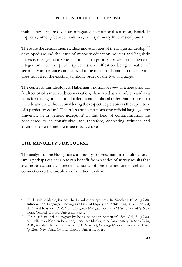multiculturalism involves an integrated institutional situation, based. It implies symmetry between cultures, but asymmetry in terms of power.

These are the central themes, ideas and attributes of the linguistic ideology<sup>37</sup> developed around the issue of minority education policies and linguistic diversity management. One can notice that priority is given to the theme of integration into the public space, its diversification being a matter of secondary importance and believed to be non-problematic to the extent it does not affect the existing symbolic order of the two languages.

The center of this ideology is Habermas's notion of *public* as a metaphor for (a direct or of a mediated) conversation, elaborated as an emblem and as a basis for the legitimization of a democratic political order that proposes to include *everyone* without considering the respective persons as the repository of a particular value<sup>38</sup>. The rules and institutions (the official language, the university in its generic acception) in this field of communication are considered to be constitutive, and therefore, contesting attitudes and attempts to re-define them seem subversive.

# **THE MINORITY'S DISCOURSE**

The analysis of the Hungarian community's representation of multiculturalism is perhaps easier as one can benefit from a series of survey results that are more accurately directed to some of the themes under debate in connection to the problems of multiculturalism.

<sup>37</sup> On linguistic ideologies, see the introductory synthesis in: Woolard, K. A. (1998). Introduction. Language Ideology as a Field of Inquiry. In: Schieffelin, B. B., Woolard, K. A. and Kriskrity, P. V. (eds.), *Language Ideologies. Practice and Theory,* (pp.3-47). New York, Oxford: Oxford University Press.

<sup>38</sup> "Proposed to include *everyone* by being no-one-in particular". See: Gal, S. (1998). Multiplicity and Contention among Language Ideologies. A Commentary. In: Schieffelin, B. B., Woolard, K. A. and Kroskrity, P. V. (eds.), *Language Ideologies. Practice and Theory* (p.326). New York, Oxford: Oxford University Press.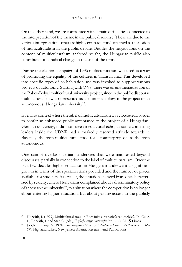On the other hand, we are confronted with certain difficulties connected to the interpretation of the theme in the public discourse. These are due to the various interpretations (that are highly contradictory) attached to the notion of multiculturalism in the public debate. Besides the negotiations on the content of multiculturalism analyzed so far, the Hungarian public also contributed to a radical change in the use of the term.

During the election campaign of 1996 multiculturalism was used as a way of promoting the equality of the cultures in Transylvania. This developed into specific types of co-habitation and was invoked to support various projects of autonomy. Starting with 1997, there was an anathematization of the Babes-Bolyai multicultural university project, since in the public discourse multiculturalism was represented as a counter-ideology to the project of an autonomous Hungarian university<sup>39</sup>.

Even in a context where the label of multiculturalism was circulated in order to confer an enhanced public acceptance to the project of a Hungarian-German university, it did not have an equivocal echo, as some contesting leaders inside the UDMR had a markedly reserved attitude towards it. Basically, the term multicultural stood for a counterproposal to the term autonomous.

One cannot overlook certain tendencies that were manifested beyond discourses, partially in connection to the label of multiculturalism. Over the past few decades higher education in Hungarian underwent a significant growth in terms of the specializations provided and the number of places available for students. As a result, the situation changed from one characterized by scarcity, where Hungarians complained about a discriminatory policy of access to the university<sup>40</sup>, to a situation where the competition is no longer about entering higher education, but about gaining access to the publicly

<sup>&</sup>lt;sup>39</sup> Horváth, I. (1999). Multiculturalismul în România: alternativă sau eschivă. In: Culic, I., Horváth, I. and Stan C. (eds.), *Reflecții aszpra diferenței* (pp.1-11). ClujŞ Limes.

<sup>40</sup> Joó, R., Ludányi, A. (1994). *The Hungarian Minority's Situation in Ceausescu's Romania* (pp.66- 67). Highland Lakes, New Jersey: Atlantic Research and Publications.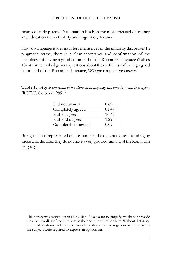financed study places. The situation has become more focused on money and education than ethnicity and linguistic grievance.

How do language issues manifest themselves in the minority discourse? In pragmatic terms, there is a clear acceptance and confirmation of the usefulness of having a good command of the Romanian language (Tables 13-14). When asked general questions about the usefulness of having a good command of the Romanian language, 98% gave a positive answer.

**Table 13.** *A good command of the Romanian language can only be useful to everyone*  $(RCIRT, October 1999)^{41}$ 

| Did not answer       | 0.69  |
|----------------------|-------|
| Completely agreed    | 81.47 |
| Rather agreed        | 16.47 |
| Rather disagreed     | 1.29  |
| Completely disagreed |       |

Bilingualism is represented as a resource in the daily activities including by those who declared they do not have a very good command of the Romanian language.

<sup>&</sup>lt;sup>41</sup> This survey was carried out in Hungarian. As we want to simplify, we do not provide the exact wording of the questions as the one in the questionnaire. Without distorting the initial questions, we have tried to catch the idea of the interrogations or of statements the subjects were required to express an opinion on.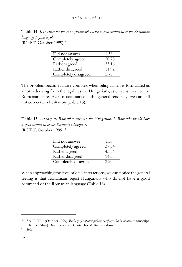**Table 14.** *It is easier for the Hungarians who have a good command of the Romanian language to find a job.* (RCIRT, October 1999)<sup>42</sup>

| Did not answer       | 1 38  |
|----------------------|-------|
| Completely agreed    | 50.78 |
| Rather agreed        | 33.16 |
| Rather disagreed     | 11.92 |
| Completely disagreed |       |

The problem becomes more complex when bilingualism is formulated as a norm deriving from the legal ties the Hungarians, as citizens, have to the Romanian state. Even if acceptance is the general tendency, we can still notice a certain hesitation (Table 15).

**Table 15.** *As they are Romanian citizens, the Hungarians in Romania should have a good command of the Romanian language.*  $(RCIRT, October 1999)^{43}$ 

| Did not answer       | 1.56  |
|----------------------|-------|
| Completely agreed    | 37.34 |
| Rather agreed        | 43.56 |
| Rather disagreed     | 14.35 |
| Completely disagreed | 3.20  |

When approaching the level of daily interactions, we can notice the general feeling is that Romanians reject Hungarians who do not have a good command of the Romanian language (Table 16).

<sup>42</sup> See: RCIRT (October 1999). *Radiografia opiniei publice maghiare din România,* manuscript. The Ion AluaŞ Documentation Center for Multiculturalism.

<sup>43</sup> *Ibid.*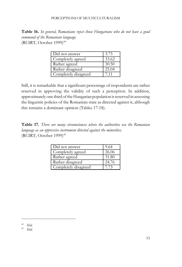**Table 16.** *In general, Romanians reject those Hungarians who do not have a good command of the Romanian language.* (RCIRT, October 1999)<sup>44</sup>

| Did not answer       | 3.73  |
|----------------------|-------|
| Completely agreed    | 33.62 |
| Rather agreed        | 30.50 |
| Rather disagreed     | 25.04 |
| Completely disagreed | 711   |

Still, it is remarkable that a significant percentage of respondents are rather reserved in approving the validity of such a perception. In addition, approximately one third of the Hungarian population is reserved in assessing the linguistic policies of the Romanian state as directed against it, although this remains a dominant opinion (Tables 17-18).

**Table 17.** *There are many circumstances where the authorities use the Romanian language as an oppressive instrument directed against the minorities.* (RCIRT, October 1999)<sup>45</sup>

| Did not answer       | 9.64  |
|----------------------|-------|
| Completely agreed    | 26.06 |
| Rather agreed        | 31.80 |
| Rather disagreed     | 24.76 |
| Completely disagreed | 7 73  |

<sup>44</sup> *Ibid.*

<sup>45</sup> *Ibid.*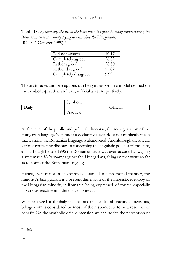**Table 18.** *By imposing the use of the Romanian language in many circumstances, the Romanian state is actually trying to assimilate the Hungarians.* (RCIRT, October 1999)<sup>46</sup>

| Did not answer       | 10.17 |
|----------------------|-------|
| Completely agreed    | 26.32 |
| Rather agreed        | 28.50 |
| Rather disagreed     | 25.02 |
| Completely disagreed |       |

These attitudes and perceptions can be synthesized in a model defined on the symbolic-practical and daily-official axes, respectively.

|                     | Symbolic  |                         |
|---------------------|-----------|-------------------------|
| $\cdot$<br>$D$ ailv |           | $\sqrt{\text{fficial}}$ |
|                     | Practical |                         |

At the level of the public and political discourse, the re-negotiation of the Hungarian language's status at a declarative level does not implicitly mean that learning the Romanian language is abandoned. And although there were various contesting discourses concerning the linguistic policies of the state, and although before 1996 the Romanian state was even accused of waging a systematic *Kulturkampf* against the Hungarians, things never went so far as to contest the Romanian language.

Hence, even if not in an expressly assumed and promoted manner, the minority's bilingualism is a present dimension of the linguistic ideology of the Hungarian minority in Romania, being expressed, of course, especially in various reactive and defensive contexts.

When analyzed on the daily-practical and on the official-practical dimensions, bilingualism is considered by most of the respondents to be a resource or benefit. On the symbolic-daily dimension we can notice the perception of

<sup>46</sup> *Ibid.*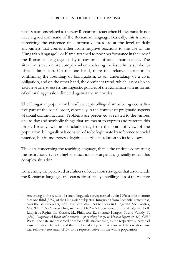tense situations related to the way Romanians react when Hungarians do not have a good command of the Romanian language. Basically, this is about perceiving the existence of a normative pressure at the level of daily encounters that comes either from negative reactions to the use of the Hungarian language<sup>47</sup>, or blame attached to poor performance in the use of the Romanian language in day-to-day or in official circumstances. The situation is even more complex when analyzing the issue in its symbolicofficial dimension. On the one hand, there is a relative hesitation in confirming the founding of bilingualism, as an undertaking of a civic obligation, and on the other hand, the dominant trend, which is not also an exclusive one, to assess the linguistic policies of the Romanian state as forms of cultural aggression directed against the minorities.

The Hungarian population broadly accepts bilingualism as being a constitutive part of the social order, especially in the context of pragmatic aspects of social communication. Problems are perceived as related to the various day-to-day and symbolic things that are meant to express and reiterate this order. Broadly, we can conclude that, from the point of view of the population, bilingualism is considered to be legitimate by reference to social practice, but it undergoes a legitimacy crisis in relation to its ideology.

The data concerning the teaching language, that is the options concerning the institutional type of higher education in Hungarian, generally reflect this complex situation.

Concerning the perceived usefulness of education strategies that also include the Romanian language, one can notice a steady unwillingness of the relative

According to the results of a socio-linguistic survey carried out in 1996, a little bit more that one third (38%) of the Hungarian subjects (Hungarians from Romania) stated that, over the last two years, they have been asked not to speak in Hungarian. See: Kontra, M. (1999). "Don't speak Hungarian in Public!" – A Documentation and Analysis of Folk Linguistic Rights. In: Kontra, M., Philipson, R., Skuntab-Kangas, T. and Várady, T. (eds.), *Language: A Right and a resource. Approaching Linguistic Human Rights,* (p. 84). CEU Press. The data are presented only for an illustrative sake, as the respective survey had a investigation character and the number of subjects that answered the questionnaire was relatively too small (216) to be representative for the whole population.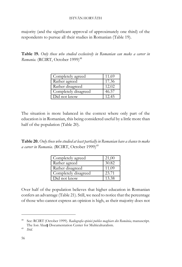majority (and the significant approval of approximately one third) of the respondents to pursue all their studies in Romanian (Table 19).

**Table 19.** *Only those who studied exclusively in Romanian can make a career in* Romania. (RCIRT, October 1999)<sup>48</sup>

| Completely agreed    | 11.69 |
|----------------------|-------|
| Rather agreed        | 17.36 |
| Rather disagreed     | 12.02 |
| Completely disagreed | 46.57 |
| Did not know         | 12.45 |

The situation is more balanced in the context where only part of the education is in Romanian, this being considered useful by a little more than half of the population (Table 20).

**Table 20.** *Only those who studied at least partially in Romanian have a chance to make* a career in Romania. (RCIRT, October 1999)<sup>49</sup>

| Completely agreed    | 21,00 |
|----------------------|-------|
| Rather agreed        | 30.82 |
| Rather disagreed     | 11.09 |
| Completely disagreed | 23.71 |
| Did not know         | 13.38 |

Over half of the population believes that higher education in Romanian confers an advantage (Table 21). Still, we need to notice that the percentage of those who cannot express an opinion is high, as their majority does not

<sup>48</sup> See: RCIRT (October 1999). *Radiografia opiniei publice maghiare din România,* manuscript. The Ion AluaŞ Documentation Center for Multiculturalism.

<sup>49</sup> *Ibid.*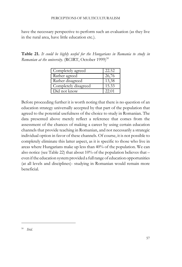have the necessary perspective to perform such an evaluation (as they live in the rural area, have little education etc.).

**Table 21.** *It could be highly useful for the Hungarians in Romania to study in* Romanian at the university. (RCIRT, October 1999)<sup>50</sup>

| Completely agreed    | 22.52   |
|----------------------|---------|
| Rather agreed        | 26,76   |
| Rather disagreed     | 13,38   |
| Completely disagreed | 15.33   |
| Did not know         | $-22.0$ |

Before proceeding further it is worth noting that there is no question of an education strategy universally accepted by that part of the population that agreed to the potential usefulness of the choice to study in Romanian. The data presented above merely reflect a reference that comes from the assessment of the chances of making a career by using certain education channels that provide teaching in Romanian, and not necessarily a strategic individual option in favor of these channels. Of course, it is not possible to completely eliminate this latter aspect, as it is specific to those who live in areas where Hungarians make up less than 40% of the population. We can also notice (see Table 22) that about 10% of the population believes that – even if the education system provided a full range of education opportunities (at all levels and disciplines)- studying in Romanian would remain more beneficial.

<sup>50</sup> *Ibid.*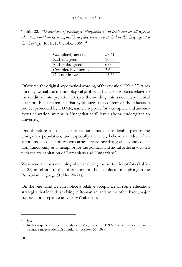**Table 22.** *The provision of teaching in Hungarian at all levels and for all types of education would make it impossible to place those who studied in this language at a* disadvantage. (RCIRT, October 1999)<sup>51</sup>

| Completely agreed    | 57.41 |
|----------------------|-------|
| Rather agreed        | 16.68 |
| Rather disagreed     | 6.60  |
| Completely disagreed | 3.64  |
| Did not know         | 15.66 |

Of course, the original hypothetical wording of the question (Table 22) raises not only formal and methodological problems, but also problems related to the validity of interpretation. Despite the wording, this is not a hypothetical question, but a statement that synthesizes the content of the education project promoted by UDMR, namely support for a complete and autonomous education system in Hungarian at all levels (from kindergarten to university).

One therefore has to take into account that a considerable part of the Hungarian population, and especially the elite, believe the idea of an autonomous education system carries a relevance that goes beyond education, functioning as a metaphor for the political and moral order associated with the co-habitation of Romanians and Hungarians<sup>52</sup>.

We can notice the same thing when analyzing the next series of data (Tables 23-25) in relation to the information on the usefulness of studying in the Romanian language (Tables 20-21).

On the one hand we can notice a relative acceptance of some education strategies that include studying in Romanian, and on the other hand, major support for a separate university (Table 23).

<sup>51</sup> *Ibid.*

<sup>52</sup> In this respect, also see the analysis in: Magyari, V. E. (1999). A kolosyvárz egzetem és a roániai magyar identitáspolitika. In: *Replika,* 37, 1999.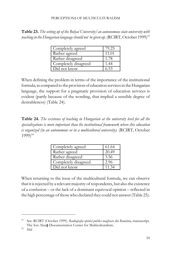| <b>Table 23.</b> The setting up of the Bolyai University/ an autonomous state university with  |  |
|------------------------------------------------------------------------------------------------|--|
| teaching in the Hungarian language should not be given up. (RCIRT, October 1999) <sup>53</sup> |  |

| Completely agreed    | 79.25 |
|----------------------|-------|
| Rather agreed        | 11.01 |
| Rather disagreed     | 1.78  |
| Completely disagreed | 1.44  |
| Did not know         | 6.53  |

When defining the problem in terms of the importance of the institutional formula, as compared to the provision of education services in the Hungarian language, the support for a pragmatic provision of education services is evident (partly because of the wording, that implied a sensible degree of desirableness) (Table 24).

**Table 24.** *The existence of teaching in Hungarian at the university level for all the specializations is more important than the institutional framework where this education is organized (in an autonomous or in a multicultural university).* (RCIRT, October 1999)<sup>54</sup>

| Completely agreed    | 61.64 |
|----------------------|-------|
| Rather agreed        | 20.49 |
| Rather disagreed     | 3.56  |
| Completely disagreed | 2.96  |
| Did not know         |       |

When returning to the issue of the multicultural formula, we can observe that it is rejected by a relevant majority of respondents, but also the existence of a confusion – or the lack of a dominant equivocal opinion – reflected in the high percentage of those who declared they could not answer (Table 25).

<sup>53</sup> See: RCIRT (October 1999). *Radiografia opiniei publice maghiare din România,* manuscript. The Ion AluaŞ Documentation Center for Multiculturalism.

<sup>54</sup> *Ibid.*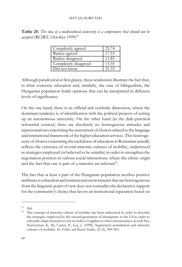| Table 25. The idea of a multicultural university is a compromise that should not be |  |  |  |
|-------------------------------------------------------------------------------------|--|--|--|
| <i>accepted</i> (RCIRT, October 1999) <sup>55</sup>                                 |  |  |  |

| Completely agreed    | 25.74 |
|----------------------|-------|
| Rather agreed        | 17.53 |
| Rather disagreed     | 11.85 |
| Completely disagreed | 13.55 |
| Did not know         | 31.33 |

Although paradoxical at first glance, these tendencies illustrate the fact that, in what concerns education and, similarly, the case of bilingualism, the Hungarian population holds opinions that can be interpreted in different levels of significance.

On the one hand, there is an official and symbolic dimension, where the dominant tendency is of identification with the political projects of setting up an autonomous university. On the other hand (in the daily-practical referential context) there are absolutely no homogenous attitudes and representations concerning the assessment of choices related to the language and institutional framework of the higher education services. This heterogeneity of choices concerning the usefulness of education in Romanian actually reflects the existence of several minority cultures of mobility, understood as strategies employed (or believed to be suitable) in order to strengthen the negotiation position in various social interactions, where the ethnic origin and the fact that one is part of a minority are relevant<sup>56</sup>.

The fact that at least a part of the Hungarian population ascribes positive attributes to education and institutional environments that are heterogeneous from the linguistic point of view does not contradict the declarative support for the community's choice that favors an institutional separation based on

<sup>55</sup> *Ibid.*

<sup>&</sup>lt;sup>56</sup> The concept of minority culture of mobility has been elaborated in order to describe the strategies employed by the second generation of immigrants to the US in order to culturally adapt themselves, but we believe it applies to other circumstances as well. See: Neckerman, K. M., Carter, P., Lee, J. (1999). Segmented assimilation and minority cultures of mobility. In: *Ethnic and Racial Studies,* 22 (6), 945-965.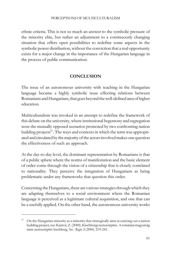ethnic criteria. This is not so much an answer to the symbolic pressure of the minority elite, but rather an adjustment to a continuously changing situation that offers open possibilities to redefine some aspects in the symbolic power distribution, without the conviction that a real opportunity exists for a major change in the importance of the Hungarian language in the process of public communication.

# **CONCLUSION**

The issue of an autonomous university with teaching in the Hungarian language became a highly symbolic issue effecting relations between Romanians and Hungarians, that goes beyond the well-defined area of higher education.

Multiculturalism was invoked in an attempt to redefine the framework of this debate on the university, where institutional hegemony and segregation were the mutually opposed scenarios promoted by two confronting nation building projects<sup>57</sup>. The ways and contexts in which the term was appropriated and circulated by the majority of the actors involved makes one question the effectiveness of such an approach.

At the day-to-day level, the dominant representation by Romanians is that of a public sphere where the norms of manifestation and the basic element of order come through the vision of a citizenship that is closely correlated to nationality. They perceive the integration of Hungarians as being problematic under any frameworks that question this order.

Concerning the Hungarians, there are various strategies through which they are adapting themselves to a social environment where the Romanian language is perceived as a legitimate cultural acquisition, and one that can be a usefully applied. On the other hand, the autonomous university works

<sup>57</sup> On the Hungarian minority as a minority that strategically aims at carrying out a nation building project, see: Kántor, Z. (2000). Kisebbségi nemzetépítés. A romániai magyarság mint nemzetépítö kisebbség. In: *Regio* 3/2000, 219-241.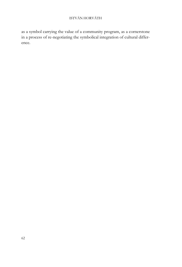as a symbol carrying the value of a community program, as a cornerstone in a process of re-negotiating the symbolical integration of cultural difference.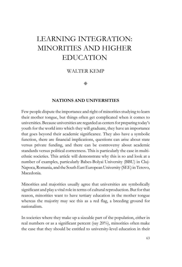# LEARNING INTEGRATION: MINORITIES AND HIGHER EDUCATION

WALTER KEMP

 $\ast$ 

## **NATIONS AND UNIVERSITIES**

Few people dispute the importance and right of minorities studying to learn their mother tongue, but things often get complicated when it comes to universities. Because universities are regarded as centers for preparing today's youth for the world into which they will graduate, they have an importance that goes beyond their academic significance. They also have a symbolic function, there are financial implications, questions can arise about state versus private funding, and there can be controversy about academic standards versus political correctness. This is particularly the case in multiethnic societies. This article will demonstrate why this is so and look at a number of examples, particularly Babes-Bolyai University (BBU) in Cluj-Napoca, Romania, and the South East European University (SEE) in Tetovo, Macedonia.

Minorities and majorities usually agree that universities are symbolically significant and play a vital role in terms of cultural reproduction. But for that reason, minorities want to have tertiary education in the mother tongue whereas the majority may see this as a red flag, a breeding ground for nationalism.

In societies where they make up a sizeable part of the population, either in real numbers or as a significant percent (say 20%), minorities often make the case that they should be entitled to university-level education in their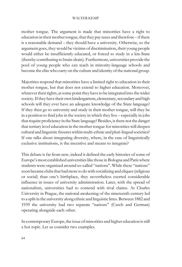#### WALTER KEMP

mother tongue. The argument is made that minorities have a right to education in their mother tongue, that they pay taxes and therefore – if there is a reasonable demand – they should have a university. Otherwise, so the argument goes, they would be victims of discrimination, their young people would either be insufficiently educated, or forced to study in a kin-State (thereby contributing to brain-drain). Furthermore, universities provide the pool of young people who can teach in minority-language schools and become the elite who carry on the culture and identity of the national group.

Majorities respond that minorities have a limited right to education in their mother tongue, but that does not extend to higher education. Moreover, whatever their rights, at some point they have to be integrated into the wider society. If they have their own kindergartens, elementary, secondary and high schools will they ever have an adequate knowledge of the State language? If they then go to university and study in their mother tongue, will they be in a position to find jobs in the society in which they live – especially in jobs that require proficiency in the State language? Besides, is there not the danger that tertiary level education in the mother tongue for minorities will deepen cultural and linguistic fissures within multi-ethnic and pluri-lingual societies? If one talks about integrating diversity, where, in the case of linguistically exclusive institutions, is the incentive and means to integrate?

This debate is far from new, indeed it defined the early histories of some of Europe's most established universities like those in Bologna and Paris where students were organized around so-called "nations". While these "nations" soon became clubs that had more to do with socializing and cliques (religious or social) than one's birthplace, they nevertheless exerted considerable influence in issues of university administration. Later, with the spread of nationalism, universities had to contend with rival claims. At Charles University in Prague, the national awakening of the nineteenth century led to a split in the university along ethnic and linguistic lines. Between 1882 and 1939 the university had two separate "nations" (Czech and German) operating alongside each other.

In contemporary Europe, the issue of minorities and higher education is still a hot topic. Let us consider two examples.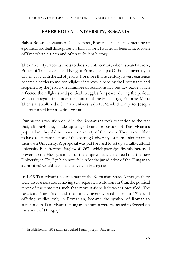## LEARNING INTEGRATION: MINORITIES AND HIGHER EDUCATION

# **BABES-BOLYAI UNIVERSITY, ROMANIA**

Babes-Bolyai University in Cluj-Napoca, Romania, has been something of a political football throughout its long history. Its fate has been a microcosm of Transylvania's rich and often turbulent history.

The university traces its roots to the sixteenth century when Istvan Bathory, Prince of Transylvania and King of Poland, set up a Catholic University in Cluj in 1581 with the aid of Jesuits. For more than a century its very existence became a battleground for religious interests, closed by the Protestants and reopened by the Jesuits on a number of occasions in a see-saw battle which reflected the religious and political struggles for power during the period. When the region fell under the control of the Habsburgs, Empress Maria Theresia established a German University (in 1776), which Emperor Joseph II later turned into a Latin Lyceum.

During the revolution of 1848, the Romanians took exception to the fact that, although they made up a significant proportion of Transylvania's population, they did not have a university of their own. They asked either to have a separate section of the existing University, or permission to open their own University. A proposal was put forward to set up a multi-cultural university. But after the *Ausgleich* of 1867 – which gave significantly increased powers to the Hungarian half of the empire – it was decreed that the new University in Cluj58 (which now fell under the jurisdiction of the Hungarian authorities) would teach exclusively in Hungarian.

In 1918 Transylvania became part of the Romanian State. Although there were discussions about having two separate institutions in Cluj, the political tenor of the time was such that more nationalistic voices prevailed. The resultant King Ferdinand the First University established in 1919 and offering studies only in Romanian, became the symbol of Romanian statehood in Transylvania. Hungarian studies were relocated to Szeged (in the south of Hungary).

<sup>58</sup> Established in 1872 and later called Franz Joseph University.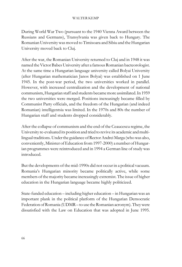### WALTER KEMP

During World War Two (pursuant to the 1940 Vienna Award between the Russians and Germans), Transylvania was given back to Hungary. The Romanian University was moved to Timisoara and Sibiu and the Hungarian University moved back to Cluj.

After the war, the Romanian University returned to Cluj and in 1948 it was named the Victor Babes University after a famous Romanian bacteorologist. At the same time a Hungarian language university called Bolyai University (after Hungarian mathematician Janos Bolyai) was established on 1 June 1945. In the post-war period, the two universities worked in parallel. However, with increased centralization and the development of national communism, Hungarian staff and students became more assimilated. In 1959 the two universities were merged. Positions increasingly became filled by Communist Party officials, and the freedom of the Hungarian (and indeed Romanian) intelligentsia was limited. In the 1970s and 80s the number of Hungarian staff and students dropped considerably.

After the collapse of communism and the end of the Ceaucescu regime, the University re-evaluated its position and tried to revive its academic and multilingual traditions. Under the guidance of Rector Andrei Marga (who was also, conveniently, Minister of Education from 1997-2000) a number of Hungarian programmes were reintroduced and in 1994 a German line of study was introduced.

But the developments of the mid-1990s did not occur in a political vacuum. Romania's Hungarian minority became politically active, while some members of the majority became increasingly extremist. The issue of higher education in the Hungarian language became highly politicized.

State-funded education – including higher education – in Hungarian was an important plank in the political platform of the Hungarian Democratic Federation of Romania (UDMR – to use the Romanian acronym). They were dissatisfied with the Law on Education that was adopted in June 1995.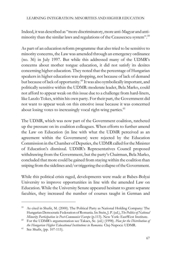Indeed, it was described as "more discriminatory, more anti-Magyar and antiminority than the similar laws and regulations of the Ceausecscu system".<sup>59</sup>

As part of an education reform programme that also tried to be sensitive to minority concerns, the Law was amended through an emergency ordinance (no. 36) in July 1997. But while this addressed many of the UDMR's concerns about mother tongue education, it did not satisfy its desires concerning higher education. They noted that the percentage of Hungarian speakers in higher education was dropping, not because of lack of demand but because of lack of opportunity.<sup>60</sup> It was also symbolically important, and politically sensitive within the UDMR: moderate leader, Bela Marko, could not afford to appear weak on this issue due to a challenge from hard-liners, like Laszlo Tokes, within his own party. For their part, the Government did not want to appear weak on this emotive issue because it was concerned about losing votes to increasingly vocal right-wing parties.<sup>61</sup>

The UDMR, which was now part of the Government coalition, ratcheted up the pressure on its coalition colleagues. When efforts to further amend the Law on Education (in line with what the UDMR perceived as an agreement within the Government) were rejected by the Education Commission in the Chamber of Deputies, the UDMR called for the Minister of Education's dismissal. UDMR's Representatives Council proposed withdrawing from the Government, but the party's Chairman, Bela Marko, concluded that more could be gained from staying within the coalition than sniping from the sidelines and/or triggering the collapse of the Government.

While this political crisis raged, developments were made at Babes-Bolyai University to improve opportunities in line with the amended Law on Education. While the University Senate appeared hesitant to grant separate faculties, they increased the number of courses taught in German and

<sup>59</sup> As cited in Shafir, M. (2000). The Political Party as National Holding Company: The Hungarian Democratic Federation of Romania. In: Stein, J. P. (ed.), *The Politics of National Minority Participation in Post-Communist Europe* (p.113). New York: EastWest Institute.<br><sup>60</sup> For the UDMR's argumentation see Takacs, Sc. (ed.) (1998). *Plan for the Distribution of* 

*the Hungarian Higher Educational Institutions in Romania.* Cluj-Napoca: UDMR.<br><sup>61</sup> See Shafir, (pp. 107-115).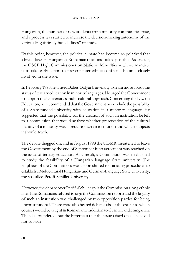## WALTER KEMP

Hungarian, the number of new students from minority communities rose, and a process was started to increase the decision-making autonomy of the various linguistically based "lines" of study.

By this point, however, the political climate had become so polarized that a breakdown in Hungarian-Romanian relations looked possible. As a result, the OSCE High Commissioner on National Minorities – whose mandate is to take early action to prevent inter-ethnic conflict – became closely involved in the issue.

In February 1998 he visited Babes-Bolyai University to learn more about the status of tertiary education in minority languages. He urged the Government to support the University's multi-cultural approach. Concerning the Law on Education, he recommended that the Government not exclude the possibility of a State-funded university with education in a minority language. He suggested that the possibility for the creation of such an institution be left to a commission that would analyze whether preservation of the cultural identity of a minority would require such an institution and which subjects it should teach.

The debate dragged on, and in August 1998 the UDMR threatened to leave the Government by the end of September if no agreement was reached on the issue of tertiary education. As a result, a Commission was established to study the feasibility of a Hungarian language State university. The emphasis of the Committee's work soon shifted to initiating procedures to establish a Multicultural Hungarian- and German-Language State University, the so-called Petöfi-Schiller University.

However, the debate over Petöfi-Schiller split the Commission along ethnic lines (the Romanians refused to sign the Commission report) and the legality of such an institution was challenged by two opposition parties for being unconstitutional. There were also heated debates about the extent to which courses would be taught in Romanian in addition to German and Hungarian. The idea foundered, but the bitterness that the issue raised on all sides did not subside.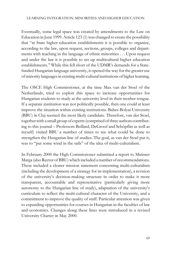Eventually, some legal space was created by amendments to the Law on Education in June 1999. Article 123 (1) was changed to create the possibility that "at State higher education establishments it is possible to organize, according to the law, upon request, sections, groups, colleges and departments with teaching in the language of ethnic minorities . . . Upon request and under the law it is possible to set up multicultural higher education establishments." While this fell short of the UDMR's demands for a Statefunded Hungarian language university, it opened the way for the greater use of minority languages in existing multi-cultural institutions of higher learning.

The OSCE High Commissioner, at the time Max van der Stoel of the Netherlands, tried to exploit this space to increase opportunities for Hungarian students to study at the university level in their mother tongue. If a separate institution was not politically possible, then one could at least improve the situation within existing institutions. Babes-Bolyai University (BBU) in Cluj seemed the most likely candidate. Therefore, van der Stoel, together with a small group of experts (comprised of three authors contributing to this journal – Professors Beillard, DeGroof and Schöpflin as well as myself) visited BBU a number of times to see what could be done to strengthen the Hungarian line of studies. The goal, as van der Stoel put it, was to "put some wind in the sails" of the idea of multi-culturalism.

In February 2000 the High Commissioner submitted a report to Minister Marga (also Rector of BBU) which included a number of recommendations. These included a clearer mission statement concerning multi-culturalism (including the development of a strategy for its implementation), a revision of the university's decision-making structure in order to make it more transparent, accountable and representative (particularly giving more autonomy to the Hungarian line of study), adaptation of the university's curriculum to reflect the multi-cultural character of the University, and a commitment to improve the quality of staff. Particular attention was given to expanding opportunities for courses in Hungarian in the faculties of law and economics. Changes along these lines were introduced in a revised University Charter in May 2000.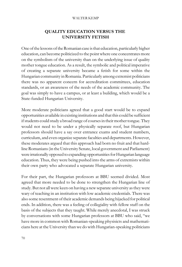#### WALTER KEMP

# **QUALITY EDUCATION VERSUS THE UNIVERSITY FETISH**

One of the lessons of the Romanian case is that education, particularly higher education, can become politicized to the point where one concentrates more on the symbolism of the university than on the underlying issue of quality mother tongue education. As a result, the symbolic and political imperative of creating a separate university became a fetish for some within the Hungarian community in Romania. Particularly among extremist politicians there was no apparent concern for accreditation committees, education standards, or an awareness of the needs of the academic community. The goal was simply to have a campus, or at least a building, which would be a State-funded Hungarian University.

More moderate politicians agreed that a good start would be to expand opportunities available in existing institutions and that this could be sufficient if students could study a broad range of courses in their mother tongue. They would not need to be under a physically separate roof, but Hungarian professors should have a say over entrance exams and student numbers, curriculum, and even organize separate faculties and departments. However, these moderates argued that this approach had born no fruit and that hardline Romanians (in the University Senate, local government and Parliament) were irrationally opposed to expanding opportunities for Hungarian language education. Thus, they were being pushed into the arms of extremists within their own party who advocated a separate Hungarian university.

For their part, the Hungarian professors at BBU seemed divided. Most agreed that more needed to be done to strengthen the Hungarian line of study. But not all were keen on having a new separate university as they were wary of teaching in an institution with low academic credentials. There was also some resentment of their academic demands being hijacked for political ends. In addition, there was a feeling of collegiality with fellow staff on the basis of the subjects that they taught. While merely anecdotal, I was struck by conversations with some Hungarian professors at BBU who said, "we have more in common with Romanian-speaking physisicts and mathematicians here at the University than we do with Hungarian-speaking politicians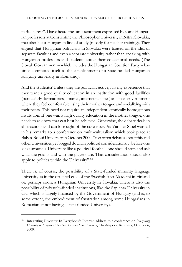in Bucharest". I have heard the same sentiment expressed by some Hungarian professors at Constantine the Philosopher University in Nitra, Slovakia, that also has a Hungarian line of study (mostly for teacher training). They argued that Hungarian politicians in Slovakia were fixated on the idea of separate faculties and even a separate university rather than speaking with Hungarian professors and students about their educational needs. (The Slovak Government – which includes the Hungarian Coalition Party – has since committed itself to the establishment of a State-funded Hungarian language university in Komarno).

And the students? Unless they are politically active, it is my experience that they want a good quality education in an institution with good facilities (particularly dormatories, libraries, internet facilities) and in an environment where they feel comfortable using their mother tongue and socializing with their peers. This need not require an independent, ethnically homogenous institution. If one wants high quality education in the mother tongue, one needs to ask how that can best be achieved. Otherwise, the debate deals in abstractions and can lose sight of the core issue. As Van der Stoel warned in his remarks to a conference on multi-culturalism which took place at Babes-Bolyai University in October 2000, "too often debates about this and other Universities get bogged down in political considerations. . . before one kicks around a University like a political football, one should stop and ask what the goal is and who the players are. That consideration should also apply to politics within the University".<sup>62</sup>

There is, of course, the possibility of a State-funded minority language university as in the oft-cited case of the Swedish Åbo Akademi in Finland or, perhaps soon, a Hungarian University in Slovakia. There is also the possibility of privately-funded institutions, like the Sapienta University in Cluj which is largely financed by the Government of Hungary (and is, to some extent, the embodiment of frustration among some Hungarians in Romanian at not having a state-funded University).

<sup>62</sup> Integrating Diversity: In Everybody's Interest: address to a conference on *Integrating Diversity in Hugher Education: Lessons from Romania*, Cluj-Napoca, Romania, October 6, 2000.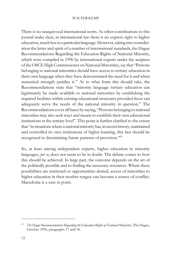#### WALTER KEMP

There is no unequivocal international norm. As other contributions to this journal make clear, in international law there is no express right to higher education, much less in a particular language. However, taking into consideration the letter and spirit of a number of international standards, the Hague Recommendations Regarding the Education Rights of National Minority, which were compiled in 1996 by international experts under the auspices of the OSCE High Commissioner on National Minorities, say that "Persons belonging to national minorities should have access to tertiary education in their own language when they have demonstrated the need for it and when numerical strength justifies it." As to what form this should take, the Recommendations state that "minority language tertiary education can legitimately be made available to national minorities by establishing the required facilities within existing educational structures provided these can adequately serve the needs of the national minority in question." The Recommendations cover all bases by saying, "Persons belonging to national minorities may also seek ways and means to establish their own educational institutions at the tertiary level". This point is further clarified to the extent that "in situations where a national minority has, in recent history, maintained and controlled its own institutions of higher learning, this fact should be recognized in determining future patterns of provision."63

So, at least among independent experts, higher education in minority languages, *per se*, does not seem to be in doubt. The debate comes to how this should be achieved. In large part, the outcome depends on the art of the politically possible and to finding the necessary resources. Where these possibilities are restricted or opportunities denied, access of minorities to higher education in their mother tongue can become a source of conflict. Macedonia is a case in point.

<sup>63</sup> *The Hague Recommendations Regarding the Education Rights of National Minorities*. The Hague, October 1996, paragraphs 17 and 18.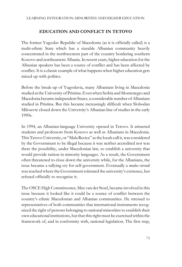# **EDUCATION AND CONFLICT IN TETOVO**

The former Yugoslav Republic of Macedonia (as it is officially called) is a multi-ethnic State which has a sizeable Albanian community heavily concentrated in the northwestern part of the country bordering southern Kosovo and northeastern Albania. In recent years, higher education for the Albanian speakers has been a source of conflict and has been affected by conflict. It is a classic example of what happens when higher education gets mixed up with politics.

Before the break-up of Yugoslavia, many Albanians living in Macedonia studied at the University of Pristina. Even when Serbia and Montenegro and Macedonia became independent States, a considerable number of Albanians studied in Pristina. But this became increasingly difficult when Slobodan Milosevic closed down the University's Albanian line of studies in the early 1990s.

In 1994, an Albanian-language University opened in Tetovo. It attracted students and professors from Kosovo as well as Albanians in Macedonia. This Tetovo University, or "Mala Recica" as the locals call it, was considered by the Government to be illegal because it was neither accredited nor was there the possibility, under Macedonian law, to establish a university that would provide tuition in minority languages. As a result, the Government often threatened to close down the university while, for the Albanians, the issue became a rallying cry for self-government. Eventually a *modus vivendi* was reached where the Government tolerated the university's existence, but refused officially to recognize it.

The OSCE High Commissoner, Max van der Stoel, became involved in this issue because it looked like it could be a source of conflict between the country's ethnic Macedonian and Albanian communities. He stressed to representatives of both communities that international instruments recognized the right of persons belonging to national minorities to establish their own educational institutions, but that this right must be exercised within the framework of, and in conformity with, national legislation. The first step,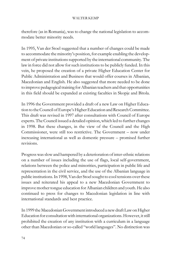#### WALTER KEMP

therefore (as in Romania), was to change the national legislation to accommodate better minority needs.

In 1995, Van der Stoel suggested that a number of changes could be made to accommodate the minority's position, for example enabling the development of private institutions supported by the international community. The law in force did not allow for such institutions to be publicly funded. In this vein, he proposed the creation of a private Higher Education Center for Public Administration and Business that would offer courses in Albanian, Macedonian and English. He also suggested that more needed to be done to improve pedagogical training for Albanian teachers and that opportunities in this field should be expanded at existing faculties in Skopje and Bitola.

In 1996 the Government provided a draft of a new Law on Higher Education to the Council of Europe's Higher Education and Research Committee. This draft was revised in 1997 after consultations with Council of Europe experts. The Council issued a detailed opinion, which led to further changes in 1998. But these changes, in the view of the Council and the High Commissioner, were still too restrictive. The Government – now under increasing international as well as domestic pressure – promised further revisions.

Progress was slow and hampered by a deterioration of inter-ethnic relations on a number of issues including the use of flags, local self-government, relations between the police and minorities, participation in public life and representation in the civil service, and the use of the Albanian language in public institutions. In 1998, Van der Stoel sought to cool tensions over these issues and reiterated his appeal to a new Macedonian Government to improve mother tongue education for Albanian children and youth. He also continued to press for changes to Macedonian legislation in line with international standards and best practice.

In 1999 the Macedonian Government introduced a new draft Law on Higher Education for consultation with international organizations. However, it still prohibited the creation of any institution with a curriculum in a language other than Macedonian or so-called "world languages". No distinction was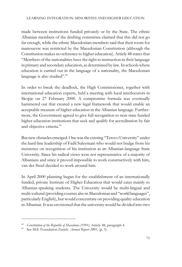made between institutions funded privately or by the State. The ethnic Albanian members of the drafting committee claimed that this did not go far enough, while the ethnic Macedonian members said that their room for manouevre was restricted by the Macedonian Constitution (although the Constitution makes no reference to higher education). Article 48 states that "Members of the nationalities have the right to instruction in their language in primary and secondary education, as determined by law. In schools where education is carried out in the language of a nationality, the Macedonian language is also studied".<sup>64</sup>

In order to break the deadlock, the High Commissioner, together with international education experts, held a meeting with local interlocutors in Skopje on 27 February 2000. A compromise formula was eventually hammered out that created a new legal framework that would enable an acceptable measure of higher education in the Albanian language. Furthermore, the Government agreed to give full recognition to non-state funded higher education institutions that seek and qualify for accreditation by fair and objective criteria.<sup>65</sup>

But new obstacles emerged. One was the existing "Tetovo University" under the hard-line leadership of Fadil Suleymani who would not budge from his insistence on recognition of his institution as an Albanian-language State University. Since his radical views were not representative of a majority of Albanians and since it proved impossible to work constructively with him, van der Stoel decided to work around him.

In April 2000 planning began for the establishment of an internationally funded, private Institute of Higher Education that would cater mainly to Albanian-speaking students. The University would be multi-lingual and multi-cultural (providing courses also in Macedonian and "world languages", particularly English), but would concentrate on providing quality education in Albanian. It was envisioned that the university would be divided into two

<sup>&</sup>lt;sup>64</sup> *Constitution of the Republic of Macedonia (1991)*, Article 48, paragraph 4.<br><sup>65</sup> See SEE Foundation Zurich. *Annual Report 2001*, (p. 3).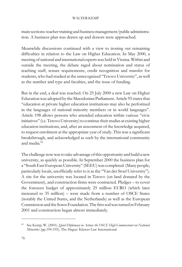#### WALTER KEMP

main sections: teacher training and business management/public administration. A business plan was drawn up and donors were approached.

Meanwhile discussions continued with a view to ironing out remaining difficulties in relation to the Law on Higher Education. In May 2000, a meeting of national and international experts was held in Vienna. Within and outside the meeting, the debate raged about nomination and status of teaching staff, tenure requirements, credit recognition and transfer for students, who had studied at the unrecognized "Tetovo University", as well as the number and type and faculties, and the issue of funding.

But in the end, a deal was reached. On 25 July 2000 a new Law on Higher Education was adopted by the Macedonian Parliament. Article 95 states that "education at private higher education institutions may also be performed in the languages of national minority members or in world languages". Article 198 allows persons who attended education within various "civic initiatives" (i.e. Tetovo University) to continue their studies at existing higher education institutions, and, after an assessment of the knowledge acquired, to request enrolment at the appropriate year of study. This was a significant breakthrough, and acknowledged as such by the international community and media.<sup>66</sup>

The challenge now was to take advantage of this opportunity and build a new university, as quickly as possible. In September 2000 the business plan for a "South East European University" (SEEU) was completed. (Many people, particularly locals, unofficially refer to it as the "Van der Stoel University"). A site for the university was located in Tetovo (on land donated by the Government), and construction firms were contracted. Pledges – to cover the foreseen budget of approximately 25 million EURO (which later increased to 35 million) – were made from a number of OSCE States (notably the United States, and the Netherlands) as well as the European Commission and the Soros Foundation. The first sod was turned in February 2001 and construction began almost immediately.

<sup>66</sup> See Kemp, W. (2001). *Quiet Diplomacy in Action: the OSCE High Commissioner on National Minorities* (pp.194-195). The Hague: Kluwer Law International.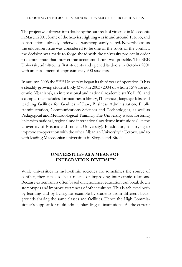The project was thrown into doubt by the outbreak of violence in Macedonia in March 2001. Some of the heaviest fighting was in and around Tetovo, and construction – already underway – was temporarily halted. Nevertheless, as the education issue was considered to be one of the roots of the conflict, the decision was made to forge ahead with the university project in order to demonstrate that inter-ethnic accommodation was possible. The SEE University admitted its first students and opened its doors in October 2001 with an enrollment of approximately 900 students.

In autumn 2003 the SEE University began its third year of operation. It has a steadily growing student body (3700 in 2003/2004 of whom 15% are not ethnic Albanians), an international and national academic staff of 150, and a campus that includes dormatories, a library, IT services, language labs, and teaching facilities for faculties of Law, Business Administration, Public Administration, Communications Sciences and Technologies, as well as Pedagogical and Methodological Training. The University is also fostering links with national, regional and international academic institutions (like the University of Pristina and Indiana University). In addition, it is trying to improve co-operation with the other Albanian University in Tetovo, and to with leading Macedonian universities in Skopje and Bitola.

# **UNIVERSITIES AS A MEANS OF INTEGRATION DIVERSITY**

While universities in multi-ethnic societies are sometimes the source of conflict, they can also be a means of improving inter-ethnic relations. Because extremism is often based on ignorance, education can break down stereotypes and improve awareness of other cultures. This is achieved both by learning and by living, for example by students from different backgrounds sharing the same classes and facilities. Hence the High Commissioner's support for multi-ethnic, pluri-lingual institutions. As the current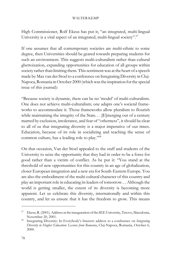#### WALTER KEMP

High Commissioner, Rolf Ekeus has put it, "an integrated, multi-lingual University is a vital aspect of an integrated, multi-lingual society".<sup>67</sup>

If one assumes that all contemporary societies are multi-ethnic to some degree, then Universities should be geared towards preparing students for such an environment. This suggests multi-culturalism rather than cultural ghettoization, expanding opportunities for education of all groups within society rather than limiting them. This sentiment was at the heart of a speech made by Max van der Stoel to a conference on Integrating Diversity in Cluj-Napoca, Romania in October 2000 (which was the inspiration for the special issue of this journal):

"Because society is dynamic, there can be no 'model' of multi-culturalism. One does not achieve multi-culturalism; one adapts one's societal frameworks to accommodate it. Those frameworks allow pluralism to flourish while maintaining the integrity of the State. . . [E]merging out of a century marred by exclusion, intolerance, and fear of "otherness", it should be clear to all of us that integrating diversity is a major imperative of our times. Education, because of its role in socializing and teaching the sense of common culture, has a leading role to play."68

On that occasion, Van der Stoel appealed to the staff and students of the University to seize the opportunity that they had in order to be a force for good rather than a victim of conflict. As he put it: "You stand at the threshold of new opportunities for this country in an age of globalization, closer European integration and a new era for South-Eastern Europe. You are also the embodiment of the multi-cultural character of this country and play an important role in educating its leaders of tomorrow. . . Although the world is getting smaller, the extent of its diversity is becoming more apparent. Let us celebrate this diversity, internationally and within this country, and let us ensure that it has the freedom to grow. This means

Ekeus, R. (2001). Address at the inauguration of the SEE University, Tetovo, Macedonia,

November 20, 2001. 68 Integrating Diversity: In Everybody's Interest: address to a conference on *Integrating Diversity in Hugher Education: Lessons from Romania*, Cluj-Napoca, Romania, October 6, 2000.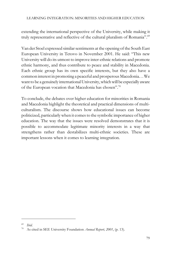extending the international perspective of the University, while making it truly representative and reflective of the cultural pluralism of Romania".<sup>69</sup>

Van der Stoel expressed similar sentiments at the opening of the South East European University in Tetovo in November 2001. He said: "This new University will do its utmost to improve inter-ethnic relations and promote ethnic harmony, and thus contribute to peace and stability in Macedonia. Each ethnic group has its own specific interests, but they also have a common interest in promoting a peaceful and prosperous Macedonia. . . We want to be a genuinely international University, which will be especially aware of the European vocation that Macedonia has chosen".70

To conclude, the debates over higher education for minorities in Romania and Macedonia highlight the theoretical and practical dimensions of multiculturalism. The discourse shows how educational issues can become politicized, particularly when it comes to the symbolic importance of higher education. The way that the issues were resolved demonstrates that it is possible to accommodate legitimate minority interests in a way that strengthens rather than destabilizes multi-ethnic societies. These are important lessons when it comes to learning integration.

<sup>69</sup> *Ibid*. 70 As cited in SEE University Foundation *Annual Report, 2001*, (p. 13).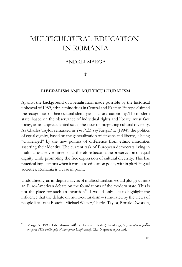# MULTICULTURAL EDUCATION IN ROMANIA

# ANDREI MARGA

 $\ast$ 

#### **LIBERALISM AND MULTICULTURALISM**

Against the background of liberialisation made possible by the historical upheaval of 1989, ethnic minorities in Central and Eastern Europe claimed the recognition of their cultural identity and cultural autonomy. The modern state, based on the observance of individual rights and liberty, must face today, on an unprecedented scale, the issue of integrating cultural diversity. As Charles Taylor remarked in *The Politics of Recognition* (1994), the politics of equal dignity, based on the generalization of citizens and liberty, is being "challenged" by the new politics of difference from ethnic minorities asserting their identity. The current task of European democrats living in multicultural environments has therefore become the preservation of equal dignity while promoting the free expression of cultural diversity. This has practical implications when it comes to education policy within pluri-lingual societies. Romania is a case in point.

Undoubtedly, an in-depth analysis of multiculturalism would plunge us into an Euro-American debate on the foundations of the modern state. This is not the place for such an incursion<sup>71</sup>. I would only like to highlight the influence that the debate on multi-culturalism – stimulated by the views of people like Louis Boudin, Michael Walzer, Charles Taylor, Ronald Dworkin,

<sup>&</sup>lt;sup>71</sup> Marga, A. (1998). Liberalismul ast**ă**zi (Liberalism Today). In: Marga, A., *Filosofia unificării europene (The Philosophy of European Unification)*. Cluj-Napoca: Apostrof.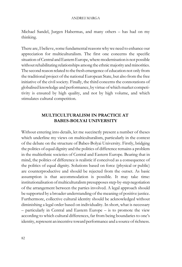Michael Sandel, Jurgen Habermas, and many others – has had on my thinking.

There are, I believe, some fundamental reasons why we need to enhance our appreciation for multiculturalism. The first one concerns the specific situation of Central and Eastern Europe, where modernisation is not possible without rehabilitating relationships among the ethnic majority and minorities. The second reason related to the fresh emergence of education not only from the traditional project of the national European State, but also from the free initiative of the civil society. Finally, the third concerns the connotations of globalised knowledge and performance, by virtue of which market competitivity is ensured by high quality, and not by high volume, and which stimulates cultural competition.

# **MULTICULTURALISM IN PRACTICE AT BABES-BOLYAI UNIVERSITY**

Without entering into details, let me succinctly present a number of theses which underline my views on multiculturalism, particularly in the context of the debate on the structure of Babes-Bolyai University. Firstly, bridging the politics of equal dignity and the politics of difference remains a problem in the multiethnic societies of Central and Eastern Europe. Bearing that in mind, the politics of difference is realistic if conceived as a consequence of the politics of equal dignity. Solutions based on force (physical or public) are counterproductive and should be rejected from the outset. As basic assumption is that accommodation is possible. It may take time: institutionalisation of multiculturalism presupposes step-by-step negotiation of the arrangement between the parties involved. A legal approach should be supported by a broader understanding of the meaning of positive justice. Furthermore, collective cultural identity should be acknowledged without diminishing a legal order based on individuality. In short, what is necessary – particularly in Central and Eastern Europe – is to promote the view according to which cultural differences, far from being boundaries to one's identity, represent an incentive toward performance and a source of richness.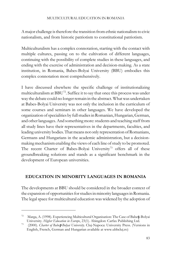#### MULTICULTURAL EDUCATION IN ROMANIA

A major challenge is therefore the transition from ethnic nationalism to civic nationalism, and from historic patriotism to constitutional patriotism.

Multiculturalism has a complex connotation, starting with the contact with multiple cultures, passing on to the cultivation of different languages, continuing with the possibility of complete studies in these languages, and ending with the exercise of administration and decision-making. As a state institution, in Romania, Babes-Bolyai University (BBU) embodies this complex connotation most comprehensively.

I have discussed elsewhere the specific challenge of institutionalizing multiculturalism at BBU<sup>72</sup>. Suffice it to say that once this process was under way the debate could no longer remain in the abstract. What was undertaken at Babes-Bolyai University was not only the inclusion in the curriculum of some courses and seminars in other languages. We have developed the organization of specialities by full studies in Romanian, Hungarian, German, and other languages. And something more: students and teaching staff from all study lines have their representatives in the departments, faculties, and leading university bodies. That means not only representation of Romanians, Germans and Hungarians in the academic administration, but a decisionmaking mechanism enabling the views of each line of study to be promoted. The recent Charter of Babes-Bolyai University<sup>73</sup> offers all of these groundbreaking solutions and stands as a significant benchmark in the development of European universities.

## **EDUCATION IN MINORITY LANGUAGES IN ROMANIA**

The developments at BBU should be considered in the broader context of the expansion of opportunities for studies in minority languages in Romania. The legal space for multicultural education was widened by the adoption of

Marga, A. (1998). Experiencing Multicultural Organisation: The Case of BabeŞ-Bolyai University. *Higher Education in Europe*, 23(1). Abingdon: Carfax Publishing Ltd.

<sup>&</sup>lt;sup>73</sup> (2000). *Charter of Babe* S-Bolyai University. Cluj-Napoca: University Press. (Versions in English, French, German and Hungarian available at www.ubbcluj.ro)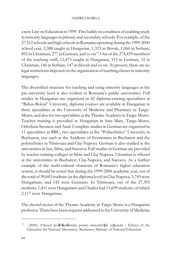#### ANDREI MARGA

a new Law on Education in 1999. This builds on a tradition of enabling study in minority languages in primary and secondary schools. For example, of the 27,512 schools and high schools in Romania operating during the 1999-2000 school year, 2,388 taught in Hungarian, 1,323 in Slovak, 1,066 in Serbian, 892 in Ukrainian, 277 in German, and so on<sup>74</sup>. Out of the 274,439 members of the teaching staff, 12,473 taught in Hungarian, 515 in German, 32 in Ukrainian, 146 in Serbian, 147 in Slovak and so on. At present, there are no legal restrictions imposed on the organization of teaching classes in minority languages.

The diversified structure for teaching and using minority languages at the pre-university level is also evident in Romania's public universities. Full studies in Hungarian are organized in 42 diploma-earning specialities at "Babes-Bolyai" University, diploma courses are available in Hungarian in three specialities at the University of Medicine and Pharmacy in Targu-Mures, and also for two specialities at the Theatre Academy in Targu-Mures. Teacher training is provided in Hungarian in Satu Mare, Targu-Mures, Odorheiu Secuiesc and Aiud. Complete studies in German are organized in 11 specialities at BBU, two specialities at the "Politechnica" University in Bucharest, one each at the Academy of Economics in Bucharest and the polytechnics in Timisoara and Cluj-Napoca. German is also studied at the universities in Iasi, Sibiu, and Suceava. Full studies in German are provided by teacher training colleges in Sibiu and Cluj-Napoca. Ukrainian is offered at the universities in Bucharest, Cluj-Napoca, and Suceava. As a further example of the multi-cultural character of Romania's higher education system, it should be noted that during the 1999-2000 academic year, out of the total of 39,043 students (at the diploma level) in Cluj-Napoca, 3,745 were Hungarians, and 142 were Germans. In Timisoara, out of the 27,393 students, 1,411 were Hungarians and Oradea had 13,699 students, of which 2,117 were Hungarians.

The elected rector of the Theatre Academy in Targu-Mures is a Hungarian professor. There have been requests addressed to the University of Medicine

 $74$  (2000). Ethosul înv $\bar{a}$ ? $\bar{a}$ m $\bar{a}$ ntului pentru minorita? $\bar{b}$ le na $\bar{b}$ ionale ( Ethnos of the Education for National Minorities). Bucharest: Ministry of National Education.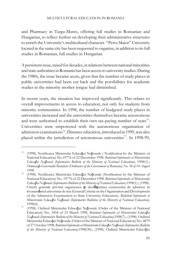#### MULTICULTURAL EDUCATION IN ROMANIA

and Pharmacy in Targu-Mures, offering full studies in Romanian and Hungarian, to reflect further on developing their administrative structures to enrich the University's multicultural character. "Petru Maior" University located in the same city has been requested to organize, in addition to its full studies in Romanian, full studies in Hungarian.

A persistent issue, raised for decades, in relations between national minorities and state authorities in Romania has been access to university studies. During the 1980s, the issue became acute, given that the number of study places in public universities had been cut back and the possibilities for academic studies in the minority mother tongue had diminished.

In recent years, the situation has improved significantly. This relates to overall improvements in access to education, not only for students from minority communities. In 1998, the number of budgeted study places in universities increased and the universities themselves became autonomous and were authorised to establish their own tax-paying number of seats<sup>75</sup>. Universities were empowered with the autonomous organisation of admission examinations<sup>76</sup>. Distance education, introduced in 1999, was also placed within the jurisdiction of autonomous universities $77$ . In 1998-99,

 $75$  (1998). Notificarea Ministrului Educației Naționale ( Notification by the Minister of National Education) No.19776 of 22 December 1998. *Buletinul Informativ al Ministerului Educa*Û*iei Na*Û*ionale (Informative Bulletin of the Ministry of National Education)*, 1998(1).; *Ordonan*Û*a Guvernului României (Ordinance of the Government of Romania) No. 54 of 14 August 1998*.

<sup>&</sup>lt;sup>76</sup> (1998). Notificarea Ministrului Educației Naționale (Notification by the Minister of National Education) No. 19776 of 22 December 1998. *Buletinul Informativ al Ministerului Educa*Û*iei Na*Û*ionale (Informative Bulletin of the Ministry of National Education)* 1998(1).; (1998). Criterii generale privind organizarea  $\varsigma$ i desf $\breve{a}$ Surarea examenului de admitere in învatam**ā**ntul universitar de stat (General Criteria on the Organisation and Development of the Admission Examination to State University Education). *Buletinul Informativ al Ministerului Educatiei Nationale (Informative Bulletine of the Ministry of National Education)*, 1998(4).

 $77$  (1998). Ordinul Ministrului Educației Naționale (Order of the Minister of National Education) No. 3454 of 23 March 1998. *Buletinul Informativ al Ministerului Educatiei Na*Û*ionale (Informative Bulletin of the Ministry of National Education),*1998(7).; (1998). Ordinul Ministrului Educației Naționale (Order of the Minister of National Education) No. 4879 of 27 October 1998. *Buletinul Informativ al Ministerului Educației Naționale (Informative Bulletin* of the Ministry of National Education),1998(30).; (1998). Ordinul Ministrului Educației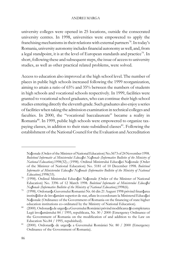#### ANDREI MARGA

university colleges were opened in 25 locations, outside the consecrated university centres. In 1998, universities were empowered to apply the franchising mechanisms in their relations with external partners<sup>78</sup>. In today's Romania, university autonomy includes financial autonomy as well, and, from a legal standpoint, it is at the level of European standards and practice<sup>79</sup>. In short, following these and subsequent steps, the issue of access to university studies, as well as other practical related problems, were solved.

Access to education also improved at the high school level. The number of places in public high schools increased following the 1999 reorganization, aiming to attain a ratio of 65% and 35% between the numbers of students in high schools and vocational schools respectively. In 1999, facilities were granted to vocational school graduates, who can continue their high school studies entering directly the eleventh grade. Such graduates also enjoy a series of facilities when taking the admission examination in technical colleges and faculties. In 2000, the "vocational baccalaureate" became a reality in Romania<sup>80</sup>. In 1999, public high schools were empowered to organize taxpaying classes, in addition to their state-subsidised classes<sup>81</sup>. Following the establishment of the National Council for the Evaluation and Accreditation

Naționale (Order of the Minister of National Education) No.5673 of 24 November 1998. *Buletinul Informativ al Ministerului Educa*Û*iei Na*Û*ionale (Informative Bulletin of the Ministry of National Education)*,1998(32).; (1998). Ordinul Ministrului Educației Naționale (Order of the Minister of National Education) No. 5181 of 10 December 1998. *Buletinul* Informativ al Ministerului Educa**ț**iei Naționale (Informative Bulletin of the Ministry of National *Education),*1998(33).

<sup>&</sup>lt;sup>78</sup> (1998). Ordinul Ministrului Educației Naționale (Order of the Minister of National Education) No. 3396 of 12 March 1998. *Buletinul Informativ al Ministerului Educației Na*Û*ionale (Informative Bulletin of the Ministry of National Education)*,1998(6).

 $79$  (1998). Ordonanța Guvernului Romaniei Nr. 66 din 21 August 1998 privind finanțarea instituțiiilor de învațamânt superior de stat, aflate în coordonare la Ministerul Educației Naționale (Ordinance of the Government of Romania on the financing of state higher education institutions co-ordinated by the Ministry of National Education).

<sup>&</sup>lt;sup>80</sup> (2000). Ordonanța de urgența a Guvernului României privind modificarea Și completarea Legii învațamântului 84 / 1995, republicata, Nr. 30 / 2000 (Emergency Ordinance of the Government of Romania on the modification of and addition to the Law on Education No.84 / 1995, repubished).

<sup>&</sup>lt;sup>81</sup> (2000). Ordonanța de urgența a Guvernului României Nr. 80 / 2000 (Emergency Ordinance of the Government of Romania).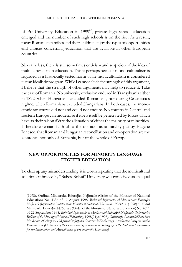#### MULTICULTURAL EDUCATION IN ROMANIA

of Pre-University Education in 1999<sup>82</sup>, private high school education emerged and the number of such high schools is on the rise. As a result, today Romanian families and their children enjoy the types of opportunities and choices concerning education that are available in other European countries.

Nevertheless, there is still sometimes criticism and suspicion of the idea of multiculturalism in education. This is perhaps because mono-culturalism is regarded as a historically tested norm while multiculturalism is considered just an idealistic program. While I cannot elude the strength of this argument, I believe that the strength of other arguments may help to reduce it. Take the case of Romania. No university exclusion endured in Transylvania either in 1872, when Hungarians excluded Romanians, nor during Ceausescu's regime, when Romanians excluded Hungarians. In both cases, the monoethnic structures did not and could not endure. No country in Central and Eastern Europe can modernise if it lets itself be penetrated by forces which have as their raison d'être the alienation of either the majority or minorities. I therefore remain faithful to the opinion, as admirably put by Eugene Ionesco, that Romanian-Hungarian reconciliation and co-operation are the keystones not only of Romania, but of the whole of Europe.

# **NEW OPPORTUNITIES FOR MINORITY LANGUAGE HIGHER EDUCATION**

To clear up any misunderstanding, it is worth repeating that the multicultural solution embraced by "Babes-Bolyai" University was conceived as an equal

<sup>82 (1998).</sup> Ordinul Ministrului Educației Naționale (Order of the Minister of National Education) No. 4336 of 17 August 1998. *Buletinul Informativ al Ministerului Educației Na*Û*ionale (Informative Bulletin of the Ministry of National Education),* 1998(21).; (1998). Ordinul Ministrului Educației Naționale (Order of the Minister of National Education) No. 4611 of 22 September 1998. *Buletinul Informativ al Ministerului Educației Naționale (Informative Bulletin of the Ministry of National Education),* 1998(24).; (1998). *Ordonan*Û*a Guvernului României Nr. 87 din 25 August 1998 privind înfin*Û*area Comisiei de Evaluare* Õ*i Acreditate a Inva*Û*amântului Preuniversiar (Ordinance of the Government of Romania on Setting up of the National Commission for the Evaluation and Accreditation of Pre-university Education).*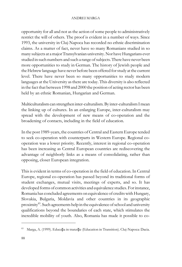#### ANDREI MARGA

opportunity for all and not as the action of some people to administratively restrict the will of others. The proof is evident in a number of ways. Since 1993, the university in Cluj-Napoca has recorded no ethnic discrimination claims. As a matter of fact, never have so many Romanians studied in so many subjects at a major Transylvanian university. Nor have Hungarians ever studied in such numbers and such a range of subjects. There have never been more opportunities to study in German. The history of Jewish people and the Hebrew language have never before been offered for study at the current level. There have never been so many opportunities to study modern languages at the University as there are today. This diversity is also reflected in the fact that between 1998 and 2000 the position of acting rector has been held by an ethnic Romanian, Hungarian and German.

Multiculturalism can strengthen inter-culturalism. By inter-culturalism I mean the linking up of cultures. In an enlarging Europe, inter-culturalism may spread with the development of new means of co-operation and the broadening of contacts, including in the field of education.

In the post 1989-years, the countries of Central and Eastern Europe tended to seek co-operation with counterparts in Western Europe. Regional cooperation was a lower priority. Recently, interest in regional co-operation has been increasing as Central European countries are rediscovering the advantage of neighborly links as a means of consolidating, rather than opposing, closer European integration.

This is evident in terms of co-operation in the field of education. In Central Europe, regional co-operation has passed beyond its traditional forms of student exchanges, mutual visits, meetings of experts, and so. It has developed forms of common activities and equivalence studies. For instance, Romania has concluded agreements on equivalence of credits with Hungary, Slovakia, Bulgaria, Moldavia and other countries in its geographic proximity<sup>83</sup>. Such agreements help in the equivalence of school and university qualifications beyond the boundaries of each state, which stimulates the incredible mobility of youth. Also, Romania has made it possible to co-

<sup>&</sup>lt;sup>83</sup> Marga, A. (1999). Educația in tranziție (Education in Transition). Cluj-Napoca: Dacia.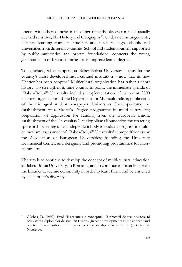#### MULTICULTURAL EDUCATION IN ROMANIA

operate with other countries in the design of textbooks, even in fields usually deemed sensitive, like History and Geography<sup>84</sup>. Under new arrangements, distance learning connects students and teachers, high schools and universities from different countries. School and student tourism, supported by public authorities and private foundations, connects the young generations in different countries to an unprecedented degree.

To conclude, what happens at Babes-Bolyai University – thus far the country's most developed multi-cultural institution – now that its new Charter has been adopted? Multicultural organization has rather a short history. To strengthen it, time counts. In point, the immediate agenda of "Babes-Bolyai" University includes: implementation of its recent 2000 Charter; organization of the Department for Multiculturalism; publication of the tri-lingual student newspaper, Universitas Claudiopolitana; the establishment of a Master's Degree programme in multi-culturalism; preparation of application for funding from the European Union; establishment of the Universitas Claudiopolitana Foundation for attracting sponsorship; setting up an independent body to evaluate progress in multiculturalism; assessment of "Babes-Bolyai" University's competitiveness by the Association of European Universities; founding the University Ecumenical Center; and designing and promoting programmes for interculturalism.

The aim is to continue to develop the concept of multi-cultural education at Babes-Bolyai University, in Romania, and to continue to foster links with the broader academic community in order to learn from, and be enriched by, each other's diversity.

Gārbea, D. (1999). Evolu?ii recente ale conceptului ?i practicii de recunoastere Și echivalare a diplomelor de studii in Europa (Recent developments in the concept and practice of recognition and equivalence of study diplomas in Europe). Bucharest: Niculescu.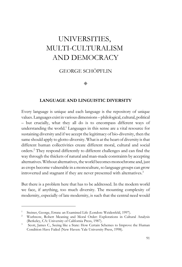# UNIVERSITIES, MULTI-CULTURALISM AND DEMOCRACY

GEORGE SCHÖPFLIN

 $\ast$ 

### **LANGUAGE AND LINGUISTIC DIVERSITY**

Every language is unique and each language is the repository of unique values. Languages exist in various dimensions – philological, cultural, political – but crucially, what they all do is to encompass different ways of understanding the world.<sup>1</sup> Languages in this sense are a vital resource for sustaining diversity and if we accept the legitimacy of bio-diversity, then the same should apply to glotto-diversity. What is at the heart of diversity is that different human collectivities create different moral, cultural and social orders.<sup>2</sup> They respond differently to different challenges and can find the way through the thickets of natural and man-made constraints by accepting alternatives. Without alternatives, the world becomes monochrome and, just as crops become vulnerable in a monoculture, so language groups can grow introverted and stagnant if they are never presented with alternatives.<sup>3</sup>

But there is a problem here that has to be addressed. In the modern world we face, if anything, too much diversity. The mounting complexity of modernity, especially of late modernity, is such that the central need would

<sup>&</sup>lt;sup>1</sup> Steiner, George, Errata: an Examined Life (London: Weidenfeld, 1997).<br><sup>2</sup> Wuthnow, Robert Meaning and Moral Order: Explorations in Cultu

<sup>2</sup> Wuthnow, Robert Meaning and Moral Order: Explorations in Cultural Analysis (Berkeley, CA: University of California Press, 1987).

<sup>&</sup>lt;sup>3</sup> Scott, James C., Seeing like a State: How Certain Schemes to Improve the Human Condition Have Failed (New Haven: Yale University Press, 1998).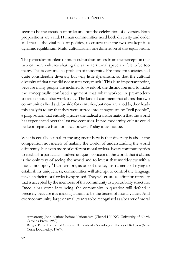seem to be the creation of order and not the celebration of diversity. Both propositions are valid. Human communities need both diversity and order and that is the vital task of politics, to ensure that the two are kept in a dynamic equilibrium. Multi-culturalism is one dimension of this equilibrium.

The particular problem of multi-culturalism arises from the perception that two or more cultures sharing the same territorial space are felt to be too many. This is very much a problem of modernity. Pre-modern societies had quite considerable diversity but very little dynamism, so that the cultural diversity of that time did not matter very much.<sup>4</sup> This is an important point, because many people are inclined to overlook the distinction and to make the conceptually confused argument that what worked in pre-modern societies should also work today. The kind of comment that claims that two communities lived side by side for centuries, but now are at odds, then leads this analysis to say that they were stirred into antagonism by "evil people", a proposition that entirely ignores the radical transformation that the world has experienced over the last two centuries. In pre-modernity, culture could be kept separate from political power. Today it cannot be.

What is equally central to the argument here is that diversity is about the competition not merely of making the world, of understanding the world differently, but even more of different moral orders. Every community tries to establish a particular – indeed unique – concept of the world, that it claims is the only way of seeing the world and to invest that world-view with a moral monopoly.5 Furthermore, as one of the key instruments of trying to establish its uniqueness, communities will attempt to control the language in which their moral order is expressed. They will create a definition of reality that is accepted by the members of that community as a plausibility structure. Once it has come into being, the community in question will defend it precisely because it is making a claim to be the bearer of moral values. And every community, large or small, wants to be recognised as a bearer of moral

<sup>4</sup> Armstrong, John Nations before Nationalism (Chapel Hill NC: University of North Carolina Press, 1982).

<sup>5</sup> Berger, Peter The Sacred Canopy: Elements of a Sociological Theory of Religion (New York: Doubleday, 1967).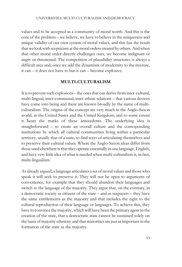values and to be accepted as a community of moral worth. And this is the core of the problem – we believe, we have to believe in the uniqueness and unique validity of our own system of moral values, and this has the result that we look with scepticism at the moral orders created by others. And when that other moral order directly challenges ours, we become indignant or angry or threatened. The competition of plausibility structures is always a difficult area and, once we add the dynamism of modernity to the mixture, it can – it does not have to but it can – become explosive.

#### **MULTI-CULTURALISM**

It is to prevent such explosions – the ones that can derive from inter-cultural, multi-lingual, inter-communal, inter-ethnic relations – that various devices have come into being and these are known broadly by the name of multiculturalism. The origins of the concept are very much in the Anglo-Saxon world, in the United States and the United Kingdom, and to some extent it bears the marks of these antecedents. The underlying idea is straightforward – to create an overall culture and the corresponding institutions by which all cultural communities living within a particular territory, usually that of a state, to find ways of articulating themselves and to preserve their cultural values. Where the Anglo-Saxon ideas differ from those used elsewhere is that they operate essentially in one language, English, and have very little idea of what is needed when multi-culturalism is, in fact, multi-lingualism.

As already argued, a language articulates a set of moral values and those who speak it will seek to preserve it. They will not be open to arguments of convenience, for example that they should abandon their languages and switch to the language of the majority. They argue that, on the contrary, in a democratic society as citizens of the state – and as taxpayers – they have the same entitlements as the majority and that includes the right to the cultural reproduction of their language or languages. To achieve this, they have to convince the majority, which will have been the primary agent in the creation of the state, that a democratic state cannot be sustained solely on the basis of majority ethnicity and that minorities are just as important in the formation of the state as the majority.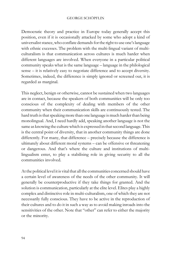Democratic theory and practice in Europe today generally accept this position, even if it is occasionally attacked by some who adopt a kind of universalist stance, who conflate demands for the right to use one's language with ethnic excesses. The problem with the multi-lingual variant of multiculturalism is that communication across cultures is much harder when different languages are involved. When everyone in a particular political community speaks what is the same language – language in the philological sense – it is relatively easy to negotiate difference and to accept diversity. Sometimes, indeed, the difference is simply ignored or screened out, it is regarded as marginal.

This neglect, benign or otherwise, cannot be sustained when two languages are in contact, because the speakers of both communities will be only too conscious of the complexity of dealing with members of the other community when their communication skills are continuously tested. The hard truth is that speaking more than one language is much harder than being monolingual. And, I need hardly add, speaking another language is not the same as knowing the culture which is expressed in that second language. This is the central point of diversity, that in another community things are done differently. For many, that difference – precisely because the difference is ultimately about different moral systems – can be offensive or threatening or dangerous. And that's where the culture and institutions of multilingualism enter, to play a stabilising role in giving security to all the communities involved.

At the political level it is vital that all the communities concerned should have a certain level of awareness of the needs of the other community. It will generally be counterproductive if they take things for granted. And the solution is communication, particularly at the elite level. Elites play a highly complex and distinctive role in multi-culturalism, one of which they are not necessarily fully conscious. They have to be active in the reproduction of their cultures and to do it in such a way as to avoid making inroads into the sensitivities of the other. Note that "other" can refer to either the majority or the minority.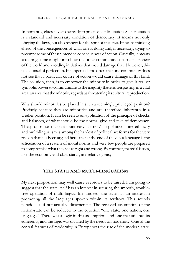Importantly, elites have to be ready to practise self-limitation. Self-limitation is a standard and necessary condition of democracy. It means not only obeying the laws, but also respect for the sprit of the laws. It means thinking ahead of the consequences of what one is doing and, if necessary, trying to preempt some of the unintended consequences of action. Crucially, it means acquiring some insight into how the other community constructs its view of the world and avoiding initiatives that would damage that. However, this is a counsel of perfection. It happens all too often that one community does not see that a particular course of action would cause damage of this kind. The solution, then, is to empower the minority in order to give it real or symbolic power to communicate to the majority that it is trespassing in a vital area, an area that the minority regards as threatening its cultural reproduction.

Why should minorities be placed in such a seemingly privileged position? Precisely because they are minorities and are, therefore, inherently in a weaker position. It can be seen as an application of the principle of checks and balances, of what should be the normal give-and-take of democracy. That proposition makes it sound easy. It is not. The politics of inter-ethnicity and multi-lingualism is among the hardest of political art forms for the very reason that has been argued here, that at the end of the day a language is the articulation of a system of moral norms and very few people are prepared to compromise what they see as right and wrong. By contrast, material issues, like the economy and class status, are relatively easy.

### **THE STATE AND MULTI-LINGUALISM**

My next proposition may well cause eyebrows to be raised. I am going to suggest that the state itself has an interest in securing the smooth, troublefree operation of multi-lingual life. Indeed, the state has an interest in promoting all the languages spoken within its territory. This sounds paradoxical if not actually idiosyncratic. The received assumption of the nation-state can be reduced to the equation "one state, one nation, one language". There was a logic in this assumption, and one that still has its adherents, and the logic was dictated by the needs of modernity. One of the central features of modernity in Europe was the rise of the modern state.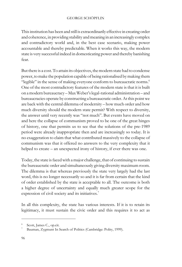This institution has been and still is extraordinarily effective in creating order and coherence, in providing stability and meaning in an increasingly complex and contradictory world and, in the best case scenario, making power accountable and thereby predictable. When it works this way, the modern state is very successful indeed in domesticating power and thereby banishing fear.

But there is a cost. To attain its objectives, the modern state had to condense power, to make the population capable of being rationalised by making them "legible" in the sense of making everyone conform to bureaucratic norms.<sup>6</sup> One of the most contradictory features of the modern state is that it is built on a modern bureaucracy – Max Weber's legal-rational administration – and bureaucracies operate by constructing a bureaucratic order. At this point we are back with the central dilemma of modernity – how much order and how much diversity should the modern state permit? With respect to diversity, the answer until very recently was "not much". But events have moved on and here the collapse of communism proved to be one of the great hinges of history, one that permits us to see that the solutions of the pre-1989 period were already inappropriate then and are increasingly so today. It is no exaggeration to claim that what contributed massively to the collapse of communism was that it offered no answers to the very complexity that it helped to create – an unexpected irony of history, if ever there was one.

Today, the state is faced with a major challenge, that of continuing to sustain the bureaucratic order and simultaneously giving diversity maximum room. The dilemma is that whereas previously the state very largely had the last word, this is no longer necessarily so and it is far from certain that the kind of order established by the state is acceptable to all. The outcome is both a higher degree of uncertainty and equally much greater scope for the expression of civil society and its initiatives.<sup>7</sup>

In all this complexity, the state has various interests. If it is to retain its legitimacy, it must sustain the civic order and this requires it to act as

<sup>6</sup> Scott, James C., op.cit.

Bauman, Zygmunt In Search of Politics (Cambridge: Polity, 1999).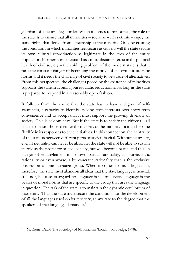guardian of a neutral legal order. When it comes to minorities, the role of the state is to ensure that all minorities – social as well as ethnic – enjoy the same rights that derive from citizenship as the majority. Only by creating the conditions in which minorities feel secure as citizens will the state secure its own cultural reproduction as legitimate in the eyes of the entire population. Furthermore, the state has a more distant interest in the political health of civil society – the abiding problem of the modern state is that it runs the constant danger of becoming the captive of its own bureaucratic norms and it needs the challenge of civil society to be aware of alternatives. From this perspective, the challenges posed by the existence of minorities supports the state in avoiding bureaucratic reductionism as long as the state is prepared to respond in a reasonably open fashion.

It follows from the above that the state has to have a degree of selfawareness, a capacity to identify its long term interests over short term convenience and to accept that it must support the growing diversity of society. This is seldom easy. But if the state is to satisfy the citizens – all citizens not just those of either the majority or the minority – it must become flexible in its responses to civic initiatives. In this connection, the neutrality of the state as between different parts of society is vital. Without neutrality, even if neutrality can never be absolute, the state will not be able to sustain its role as the protector of civil society, but will become partial and thus in danger of entanglement in its own partial rationality, its bureaucratic rationality or even worse, a bureaucratic rationality that is the exclusive possession of one language group. When it comes to multi-lingualism, therefore, the state must abandon all ideas that the state language is neutral. It is not, because as argued no language is neutral, every language is the bearer of moral norms that are specific to the group that uses the language in question. The task of the state is to maintain the dynamic equilibrium of modernity. Thus the state must secure the conditions for the development of all the languages used on its territory, at any rate to the degree that the speakers of that language demand it.<sup>8</sup>

McCrone, David The Sociology of Nationalism (London: Routledge, 1998).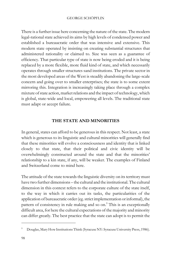There is a further issue here concerning the nature of the state. The modern legal-rational state achieved its aims by high levels of condensed power and established a bureaucratic order that was intensive and extensive. This modern state operated by insisting on creating substantial structures that administered rationality or claimed to. Size was seen as a guarantee of efficiency. That particular type of state is now being eroded and it is being replaced by a more flexible, more fluid kind of state, and which necessarily operates through smaller structures sand institutions. The private sector in the most developed areas of the West is steadily abandoning the large-scale concern and going over to smaller enterprises; the state is to some extent mirroring this. Integration is increasingly taking place through a complex mixture of state action, market relations and the impact of technology, which is global, state-wide and local, empowering all levels. The traditional state must adapt or accept failure.

## **THE STATE AND MINORITIES**

In general, states can afford to be generous in this respect. Not least, a state which is generous to its linguistic and cultural minorities will generally find that these minorities will evolve a consciousness and identity that is linked closely to that state, that their political and civic identity will be overwhelmingly constructed around the state and that the minorities' relationship to a kin state, if any, will be weaker. The examples of Finland and Switzerland come to mind here.

The attitude of the state towards the linguistic diversity on its territory must have two further dimensions – the cultural and the institutional. The cultural dimension in this context refers to the corporate culture of the state itself, to the way in which it carries out its tasks, the particularities of the application of bureaucratic order (eg. strict implementation or informal), the pattern of consistency in rule making and so on.<sup>9</sup> This is an exceptionally difficult area, for here the cultural expectations of the majority and minority can differ greatly. The best practice that the state can adopt is to permit the

Douglas, Mary How Institutions Think (Syracuse NY: Syracuse University Press, 1986).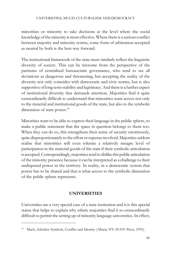#### UNIVERSITIES, MULTI-CULTURALISM AND DEMOCRACY

minorities or minority to take decisions at the level where the social knowledge of the minority is most effective. Where there is a serious conflict between majority and minority norms, some form of arbitration accepted as neutral by both is the best way forward.

The institutional framework of the state must similarly reflect the linguistic diversity of society. This can be tiresome from the perspective of the partisans of centralised bureaucratic governance, who tend to see all deviations as dangerous and threatening, but accepting the reality of the diversity not only coincides with democratic and civic norms, but is also supportive of long term stability and legitimacy. And there is a further aspect of institutional diversity that demands attention. Majorities find it quite extraordinarily difficult to understand that minorities want access not only to the material and institutional goods of the state, but also to the symbolic dimension of state power.<sup>10</sup>

Minorities want to be able to express their language in the public sphere, to make a public statement that the space in question belongs to them too. When they can do so, this strengthens their sense of security enormously, quite disproportionately to the effort or expense involved. Majorities seldom realise that minorities will even tolerate a relatively meagre level of participation in the material goods of the state if their symbolic articulation is accepted. Correspondingly, majorities tend to dislike this public articulation of the minority presence because it can be interpreted as a challenge to their undisputed power in the territory. In reality, in a democratic system that power has to be shared and that is what access to the symbolic dimension of the public sphere represents.

## **UNIVERSITIES**

Universities are a very special case of a state institution and it is this special status that helps to explain why ethnic majorities find it so extraordinarily difficult to permit the setting up of minority language universities. In effect,

Mach, Zdzislaw Symbols, Conflict and Identity (Albany NY: SUNY Press, 1993).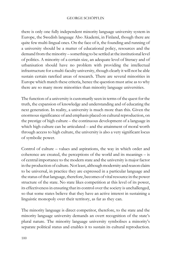there is only one fully independent minority language university system in Europe, the Swedish language Abo Akademi, in Finland, though there are quite few multi-lingual ones. On the face of it, the founding and running of a university should be a matter of educational policy, resources and the demand from the minority – something to be settled at the institutional level of politics. A minority of a certain size, an adequate level of literacy and of urbanisation should have no problem with providing the intellectual infrastructure for a multi-faculty university, though clearly it will not be able sustain certain rarefied areas of research. There are several minorities in Europe which match these criteria, hence the question must arise as to why there are so many more minorities than minority language universities.

The function of a university is customarily seen in terms of the quest for the truth, the expansion of knowledge and understanding and of educating the next generation. In reality, a university is much more than this. Given the enormous significance of and emphasis placed on cultural reproduction, on the prestige of high culture – the continuous development of a language in which high culture can be articulated – and the attainment of moral worth through access to high culture, the university is also a very significant locus of symbolic power.

Control of culture – values and aspirations, the way in which order and coherence are created, the perceptions of the world and its meanings – is of central importance to the modern state and the university is major factor in the production of culture. Not least, although modernity and reason claim to be universal, in practice they are expressed in a particular language and the status of that language, therefore, becomes of vital resource in the power structure of the state. No state likes competition at this level of its power, its effectiveness in ensuring that its control over the society is unchallenged, so that some states believe that they have an active interest in sustaining a linguistic monopoly over their territory, as far as they can.

The minority language is direct competitor, therefore, to the state and the minority language university demands an overt recognition of the state's plural nature. The minority language university symbolises a minority's separate political status and enables it to sustain its cultural reproduction.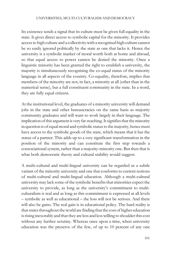Its existence sends a signal that its culture must be given full equality in the state. It gives direct access to symbolic capital for the minority. It provides access to high culture and a collectivity with a recognised high culture cannot be so easily ignored politically by the state as one that lacks it. Hence the university is a symbolic marker of moral worth both at home and abroad, so that equal access to power cannot be denied the minority. Once a linguistic minority has been granted the right to establish a university, the majority is simultaneously recognising the co-equal status of the minority language in all aspects of the country. Co-equality, therefore, implies that members of the minority are not, in fact, a minority at all (other than in the numerical sense), but a full constituent community in the state. In a word, they are fully equal citizens.

At the institutional level, the graduates of a minority university will demand jobs in the state and other bureaucracies on the same basis as majority community graduates and will want to work largely in their language. The implication of this argument is very far-reaching. It signifies that the minority in question is of equal moral and symbolic status to the majority, hence must have access to the symbolic goods of the state, which means that it has the status of a partner. This adds up to a very significant transformation in the position of the minority and can constitute the first step towards a consociational system, rather than a majority-minority one. But then that is what both democratic theory and cultural stability would suggest.

A multi-cultural and multi-lingual university can be regarded as a subtle variant of the minority university and one that conforms to current notions of multi-cultural and multi-lingual education. Although a multi-cultural university may lack some of the symbolic benefits that minorities expect the university to provide, as long as the university's commitment to multiculturalism is real and as long as this commitment is expressed at all levels – symbolic as well as educational – the loss will not be serious. And there will also be gains. The real gain is in educational policy. The hard reality is that states throughout the world are finding that the cost of higher education is rising inexorably and that they are less and less willing to shoulder this cost without any further scrutiny. Whereas once upon a time, when university education was the preserve of the few, of up to 10 percent of any one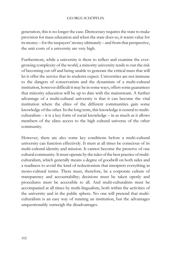generation, this is no longer the case. Democracy requires the state to make provision for mass education and when the state does so, it wants value for its money – for the taxpayers' money ultimately – and from that perspective, the unit costs of a university are very high.

Furthermore, while a university is there to reflect and examine the evergrowing complexity of the world, a minority university tends to run the risk of becoming cut off and being unable to generate the critical mass that will let it offer the service that its students expect. Universities are not immune to the dangers of conservatism and the dynamism of a multi-cultural institution, however difficult it may be in some ways, offers some guarantees that minority education will be up to date with the mainstream. A further advantage of a multi-cultural university is that it can become the vital institution where the elites of the different communities gain some knowledge of the other. In the long term, this knowledge is central to multiculturalism – it is a key form of social knowledge – in as much as it allows members of the elites access to the high cultural universe of the other community.

However, there are also some key conditions before a multi-cultural university can function effectively. It must at all times be conscious of its multi-cultural identity and mission. It cannot become the preserve of one cultural community. It must operate by the rules of the best practice of multiculturalism, which generally means a degree of goodwill on both sides and a readiness to avoid the kind of reductionism that interprets everything in mono-cultural terms. There must, therefore, be a corporate culture of transparency and accountability; decisions must be taken openly and procedures must be accessible to all. And multi-culturalism must be accompanied at all times by multi-lingualism, both within the activities of the university and in the public sphere. No one will pretend that multiculturalism is an easy way of running an institution, but the advantages unquestionably outweigh the disadvantages.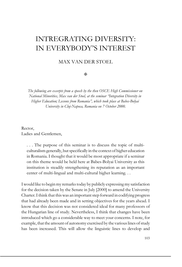# INTREGRATING DIVERSITY: IN EVERYBODY'S INTEREST

## MAX VAN DER STOEL

 $\ast$ 

*The following are excerpts from a speech by the then OSCE High Commissioner on National Minorities, Max van der Stoel, at the seminar "Integration Diversity in Higher Education; Lessons from Romania", which took place at Babes-Bolyai University in Cluj-Napoca, Romania on 7 October 2000.*

Rector, Ladies and Gentlemen,

> . . . The purpose of this seminar is to discuss the topic of multiculturalism generally, but specifically in the context of higher education in Romania. I thought that it would be most appropriate if a seminar on this theme would be held here at Babes-Bolyai University as this institution is steadily strengthening its reputation as an important center of multi-lingual and multi-cultural higher learning. . .

I would like to begin my remarks today by publicly expressing my satisfaction for the decision taken by the Senate in July [2000] to amend the University Charter. I think that this was an important step forward in codifying progress that had already been made and in setting objectives for the years ahead. I know that this decision was not considered ideal for many professors of the Hungarian line of study. Nevertheless, I think that changes have been introduced which go a considerable way to meet your concerns. I note, for example, that the amount of autonomy exercised by the various lines of study has been increased. This will allow the linguistic lines to develop and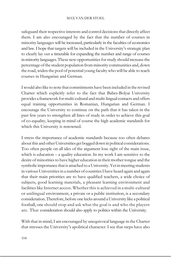safeguard their respective interests and control decisions that directly affect them. I am also encouraged by the fact that the number of courses in minority languages will be increased, particularly in the faculties of economics and law. I hope that targets will be included in the University's strategic plan to clearly lay out a timetable for expanding the number and range of courses in minority languages. These new opportunities for study should increase the percentage of the student population from minority communities and, down the road, widen the pool of potential young faculty who will be able to teach courses in Hungarian and German.

I would also like to note that commitments have been included in the revised Charter which explicitly refer to the fact that Babes-Bolyai University provides a framework for multi-cultural and multi-lingual contacts and offers equal training opportunities in Romanian, Hungarian and German. I encourage the University to continue on the path that it has taken in the past few years to strengthen all lines of study in order to achieve this goal of co-equality, keeping in mind of course the high academic standards for which this University is renowned.

I stress the importance of academic standards because too often debates about this and other Universities get bogged down in political considerations. Too often people on all ides of the argument lose sight of the main issue, which is education – a quality education. In my work I am sensitive to the desire of minorities to have higher education in their mother tongue and the symbolic importance that is attached to a University. Yet in meeting students in various Universities in a number of countries I have heard again and again that their main priorities are to have qualified teachers, a wide choice of subjects, good learning materials, a pleasant learning environment and facilities like Internet access. Whether this is achieved in a multi-cultural or unilingual environment, a private or a public institution, is a secondary consideration. Therefore, before one kicks around a University like a political football, one should stop and ask what the goal is and who the players are. That consideration should also apply to politics within the University.

With that in mind, I am encouraged by unequivocal language in the Charter that stresses the University's apolitical character. I see that steps have also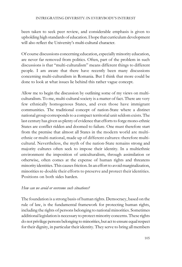#### INTREGRATING DIVERSITY: IN EVERYBODY'S INTEREST

been taken to seek peer review, and considerable emphasis is given to upholding high standards of education. I hope that curriculum development will also reflect the University's multi-cultural character.

Of course discussions concerning education, especially minority education, are never far removed from politics. Often, part of the problem in such discussions is that "multi-culturalism" means different things to different people. I am aware that there have recently been many discussions concerning multi-culturalism in Romania. But I think that more could be done to look at what issues lie behind this rather vague concept.

Allow me to begin the discussion by outlining some of my views on multiculturalism. To me, multi-cultural society is a matter of fact. There are very few ethnically homogenous States, and even those have immigrant communities. The traditional concept of nation-State where a distinct national group corresponds to a compact territorial unit seldom exists. The last century has given us plenty of evidence that efforts to forge mono-ethnic States are conflict ridden and doomed to failure. One must therefore start from the premise that almost all States in the modern world are multiethnic or multi-national, made up of different cultures: therefore multicultural. Nevertheless, the myth of the nation-State remains strong and majority cultures often seek to impose their identity. In a multiethnic environment the imposition of uniculturalism, through assimilation or otherwise, often comes at the expense of human rights and threatens minority identities. This causes friction. In an effort to avoid marginalization, minorities re-double their efforts to preserve and protect their identities. Positions on both sides harden.

## *How can we avoid or overcome such situations?*

The foundation is a strong basis of human rights. Democracy, based on the rule of law, is the fundamental framework for protecting human rights, including the rights of persons belonging to national minorities. Sometimes additional legislation is necessary to protect minority concerns. These rights do not privilege persons belonging to minorities, but act to ensure equal respect for their dignity, in particular their identity. They serve to bring all members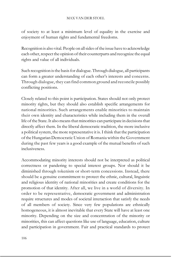of society to at least a minimum level of equality in the exercise and enjoyment of human rights and fundamental freedoms.

Recognition is also vital. People on all sides of the issue have to acknowledge each other, respect the opinion of their counterparts and recognize the equal rights and value of all individuals.

Such recognition is the basis for dialogue. Through dialogue, all participants can form a greater understanding of each other's interests and concerns. Through dialogue, they can find common ground and reconcile possibly conflicting positions.

Closely related to this point is participation. States should not only protect minority rights, but they should also establish specific arrangements for national minorities. Such arrangements enable minorities to maintain their own identity and characteristics while including them in the overall life of the State. It also means that minorities can participate in decisions that directly affect them. In the liberal democratic tradition, the more inclusive a political system, the more representative it is. I think that the participation of the Hungarian Democratic Union of Romania within the Government during the past few years is a good example of the mutual benefits of such inclusiveness.

Accommodating minority interests should not be interpreted as political correctness or pandering to special interest groups. Nor should it be diminished through tokenism or short-term concessions. Instead, there should be a genuine commitment to protect the ethnic, cultural, linguistic and religious identity of national minorities and create conditions for the promotion of that identity. After all, we live in a world of diversity. In order to be representative, democratic government and administration require structures and modes of societal interaction that satisfy the needs of all members of society. Since very few populations are ethnically homogeneous, it is almost inevitable that every State will have at least one minority. Depending on the size and concentration of the minority or minorities, this can affect questions like use of language, education, culture and participation in government. Fair and practical standards to protect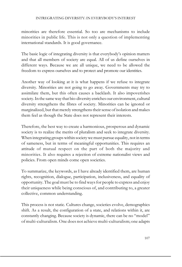#### INTREGRATING DIVERSITY: IN EVERYBODY'S INTEREST

minorities are therefore essential. So too are mechanisms to include minorities in public life. This is not only a question of implementing international standards. It is good governance.

The basic logic of integrating diversity is that everybody's opinion matters and that all members of society are equal. All of us define ourselves in different ways. Because we are all unique, we need to be allowed the freedom to express ourselves and to protect and promote our identities.

Another way of looking at it is what happens if we refuse to integrate diversity. Minorities are not going to go away. Governments may try to assimilate them, but this often causes a backlash. It also impoverishes society. In the same way that bio-diversity enriches our environment, cultural diversity strengthens the fibres of society. Minorities can be ignored or marginalized, but that merely strengthens their sense of isolation and makes them feel as though the State does not represent their interests.

Therefore, the best way to create a harmonious, prosperous and dynamic society is to realize the merits of pluralism and seek to integrate diversity. When integrating groups within society we must pursue equality, not in terms of sameness, but in terms of meaningful opportunities. This requires an attitude of mutual respect on the part of both the majority and minorities. It also requires a rejection of extreme nationalist views and policies. From open minds come open societies.

To summarize, the keywords, as I have already identified them, are human rights, recognition, dialogue, participation, inclusiveness, and equality of opportunity. The goal must be to find ways for people to express and enjoy their uniqueness while being conscious of, and contributing to, a greater collective, common understanding.

This process is not static. Cultures change, societies evolve, demographics shift. As a result, the configuration of a state, and relations within it, are constantly changing. Because society is dynamic, there can be no "model" of multi-culturalism. One does not achieve multi-culturalism; one adapts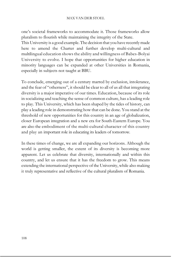one's societal frameworks to accommodate it. Those frameworks allow pluralism to flourish while maintaining the integrity of the State.

This University is a good example. The decision that you have recently made here to amend the Charter and further develop multi-cultural and multilingual education shows the ability and willingness of Babes-Bolyai University to evolve. I hope that opportunities for higher education in minority languages can be expanded at other Universities in Romania, especially in subjects not taught at BBU.

To conclude, emerging out of a century marred by exclusion, intolerance, and the fear of "otherness", it should be clear to all of us all that integrating diversity is a major imperative of our times. Education, because of its role in socializing and teaching the sense of common culture, has a leading role to play. This University, which has been shaped by the tides of history, can play a leading role in demonstrating how that can be done. You stand at the threshold of new opportunities for this country in an age of globalization, closer European integration and a new era for South-Eastern Europe. You are also the embodiment of the multi-cultural character of this country and play an important role in educating its leaders of tomorrow.

In these times of change, we are all expanding our horizons. Although the world is getting smaller, the extent of its diversity is becoming more apparent. Let us celebrate that diversity, internationally and within this country, and let us ensure that it has the freedom to grow. This means extending the international perspective of the University, while also making it truly representative and reflective of the cultural pluralism of Romania.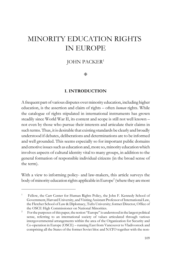# MINORITY EDUCATION RIGHTS IN EUROPE

# JOHN PACKER1

 $\ast$ 

#### **I. INTRODUCTION**

A frequent part of various disputes over minority education, including higher education, is the assertion and claim of rights – often *human* rights. While the catalogue of rights stipulated in international instruments has grown steadily since World War II, its content and scope is still not well known – not even by those who pursue their interests and articulate their claims in such terms. Thus, it is desirable that existing standards be clearly and broadly understood if debates, deliberations and determinations are to be informed and well grounded. This seems especially so for important public domains and emotive issues such as education and, more so, minority education which involves aspects of cultural identity vital to many groups, in addition to the general formation of responsible individual citizens (in the broad sense of the term).

With a view to informing policy- and law-makers, this article surveys the body of minority education rights applicable in Europe<sup>2</sup> (where they are most

<sup>&</sup>lt;sup>1</sup> Fellow, the Carr Center for Human Rights Policy, the John F. Kennedy School of Government, Harvard University, and Visiting Assistant Professor of International Law, the Fletcher School of Law & Diplomacy, Tufts University; former Director, Office of the OSCE High Commissioner on National Minorities.

 $2^2$  For the purposes of this paper, the notion "Europe" is understood in the largest political sense, referring to an international society of values articulated through various intergovernmental arrangements within the area of the Organization for Security and Co-operation in Europe (OSCE) – running East from Vancouver to Vladivostock and comprising all the States of the former Soviet bloc and NATO together with the non-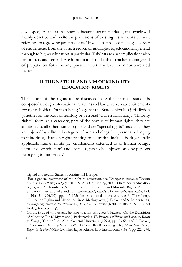developed). As this is an already substantial set of standards, this article will mainly describe and recite the provisions of existing instruments without reference to a growing jurisprudence.<sup>3</sup> It will also proceed in a logical order of entitlements from the basic freedom of, and rights to, education in general through to higher education in particular. This last area has implications also for primary and secondary education in terms both of teacher-training and of preparation for scholarly pursuit at tertiary level in minority-related matters.

# **II.THE NATURE AND AIM OF MINORITY EDUCATION RIGHTS**

The nature of the rights to be discussed take the form of standards composed through international relations and law which create entitlements for rights-holders (human beings) against the State which has jurisdiction (whether on the basis of territory or personal/citizen affiliation). "Minority rights" form, as a category, part of the corpus of human rights; they are additional to all other human rights and are "special rights" insofar as they are enjoyed by a limited category of human beings (i.e. persons belonging to minorities). Human rights relating to education include both generally applicable human rights (i.e. entitlements extended to all human beings, without discrimination) and special rights to be enjoyed only by persons belonging to minorities.<sup>4</sup>

aligned and neutral States of continental Europe.

<sup>3</sup> For a general treatment of the right to education, see *The right to education; Towards education for all throughout life* (Paris: UNESCO Publishing, 2000). On minority education rights, see P. Thornberry & D. Gibbons, "Education and Minority Rights: A Short Survey of International Standards", *International Journal of Minority and Group Rights*, Vol. 4, No. 2 (1996/97), pp. 115-152; for an up-to-date analysis, see P. Thornberry, "Education Rights and Minorities" in Z. Machnyikova, J. Packer and S. Ratner (eds.), *Contemporary Issues in the Protection of Minorities in Europe* (Kehl am Rhein: N.P. Engel

Verlag, forthcoming). 4 On the issue of who exactly belongs to a minority, see: J. Packer, "On the Definition of Minorities" in K. Myntti and J. Packer (eds.), *The Protection of Ethnic and Linguistic Rights in Europe*, Turku/Abo: Abo Akademi University (1993), pp. 23-65; and J. Packer, "Problems in Defining Minorities" in D. Fottrell & B. Bowring (eds.), *Minority and Group Rights in the New Millennium*, The Hague: Kluwer Law International (1999), pp. 223-274.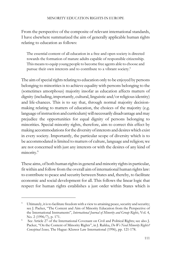From the perspective of the composite of relevant international standards, I have elsewhere summarized the aim of generally applicable human rights relating to education as follows:

The essential content of all education in a free and open society is directed towards the formation of mature adults capable of responsible citizenship. This means to equip young people to become free agents able to choose and pursue their own interests and to contribute to a vibrant society.5

The aim of special rights relating to education only to be enjoyed by persons belonging to minorities is to achieve equality with persons belonging to the (sometimes amorphous) majority insofar as education affects matters of dignity (including, importantly, cultural, linguistic and/or religious identity) and life-chances. This is to say that, through normal majority decisionmaking relating to matters of education, the choices of the majority (e.g. language of instruction and curriculum) will necessarily disadvantage and may prejudice the opportunities for equal dignity of persons belonging to minorities. Special minority rights, therefore, aim to correct this effect by making accommodations for the diversity of interests and desires which exist in every society. Importantly, the particular scope of diversity which is to be accommodated is limited to matters of culture, language and religion; we are not concerned with just any interests or with the desires of any kind of minority.<sup>6</sup>

These aims, of both human rights in general and minority rights in particular, fit within and follow from the overall aim of international human rights law: to contribute to peace and security between States and, thereby, to facilitate economic and social development for all. This follows the linear logic that respect for human rights establishes a just order within States which is

<sup>&</sup>lt;sup>5</sup> Ultimately, it is to facilitate freedom with a view to attaining peace, security and security; see J. Packer, "The Content and Aim of Minority Education from the Perspective of the International Instruments", *International Journal of Minority and Group Rights*, Vol. 4, No. 2 (1996/7), p. 171.

<sup>6</sup> See Article 27 of the International Covenant on Civil and Political Rights; see also J. Packer, "On the Content of Minority Rights", in J. Raikka, *Do We Need Minority Rights? Conceptual Issues,* The Hague: Kluwer Law International (1996), pp. 121-178.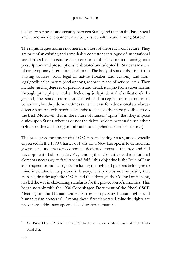necessary for peace and security between States, and that on this basis social and economic development may be pursued within and among States.<sup>7</sup>

The rights in question are not merely matters of theoretical conjecture. They are part of an existing and remarkably consistent catalogue of international standards which constitute accepted norms of behaviour (containing both prescriptions and proscriptions) elaborated and adopted by States as matters of contemporary international relations. The body of standards arises from varying sources, both legal in nature (treaties and custom) and nonlegal/political in nature (declarations, accords, plans of actions, etc.). They include varying degrees of precision and detail, ranging from super norms through principles to rules (including jurisprudential clarifications). In general, the standards are articulated and accepted as minimums of behaviour, but they do sometimes (as is the case for educational standards) direct States towards maximalist ends: to achieve the most possible, to do the best. Moreover, it is in the nature of human "rights" that they impose duties upon States, whether or not the rights-holders necessarily seek their rights or otherwise bring or indicate claims (whether needs or desires).

The broader commitment of all OSCE participating States, unequivocally expressed in the 1990 Charter of Paris for a New Europe, is to democratic governance and market economies dedicated towards the free and full development of all societies. Key among the substantive and institutional elements necessary to facilitate and fulfill this objective is the Rule of Law and respect for human rights, including the rights of persons belonging to minorities. Due to its particular history, it is perhaps not surprising that Europe, first through the OSCE and then through the Council of Europe, has led the way in elaborating standards for the protection of minorities. This began notably with the 1990 Copenhagen Document of the (then) CSCE Meeting on the Human Dimension (encompassing human rights and humanitarian concerns). Among these first elaborated minority rights are provisions addressing specifically educational matters.

<sup>7</sup> See Preamble and Article 1 of the UN Charter, and also the "decalogue" of the Helsinki Final Act.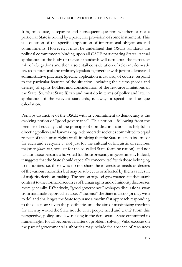#### MINORITY EDUCATION RIGHTS IN EUROPE

It is, of course, a separate and subsequent question whether or not a particular State is bound by a particular provision of some instrument. This is a question of the specific application of international obligations and commitments. However, it must be underlined that OSCE standards are political commitments binding upon all OSCE participating States. Actual application of the body of relevant standards will turn upon the particular mix of obligations and then also entail consideration of relevant domestic law (constitutional and ordinary legislation, together with jurisprudence and administrative practice). Specific application must also, of course, respond to the particular features of the situation, including the claims (needs and desires) of rights-holders and consideration of the resource limitations of the State. So, what State X can and must do in terms of policy and law, in application of the relevant standards, is always a specific and unique calculation.

Perhaps distinctive of the OSCE with its commitment to democracy is the evolving notion of "good governance". This notion – following from the premise of equality and the principle of non-discrimination – is helpful in directing policy- and law-making in democratic societies committed to equal respect of the human rights of all, implying that the State must do its utmost for each and everyone… not just for the cultural or linguistic or religious majority (*inter alia*, not just for the so-called State-forming nation), and not just for those persons who voted for those presently in government. Indeed, it suggests that the State should especially concern itself with those belonging to minorities, i.e. those who do not share the interests or needs or desires of the various majorities but may be subject to or affected by them as a result of majority decision-making. The notion of good governance stands in stark contrast to the normal discourses of human rights and of minority discourses more generally. Effectively, "good governence" reshapes discussions away from minimalist approaches about "the least" the State must do (or may wish to do) and challenges the State to pursue a maximalist approach responding to the question: Given the possibilities and the aim of maximizing freedom for all, why would the State not do what people need and want? From this perspective, policy- and law-making in the democratic State committed to human rights for all becomes a matter of problem-solving. Valid excuses on the part of governmental authorities may include the absence of resources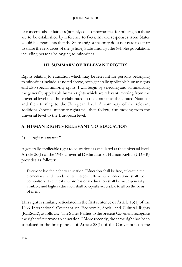or concerns about fairness (notably equal opportunities for others), but these are to be established by reference to facts. Invalid responses from States would be arguments that the State and/or majority does not care to act or to share the resources of the (whole) State amongst the (whole) population, including persons belonging to minorities.

# **III. SUMMARY OF RELEVANT RIGHTS**

Rights relating to education which may be relevant for persons belonging to minorities include, as noted above, both generally applicable human rights and also special minority rights. I will begin by selecting and summarising the generally applicable human rights which are relevant, moving from the universal level (i.e. those elaborated in the context of the United Nations) and then turning to the European level. A summary of the relevant additional/special minority rights will then follow, also moving from the universal level to the European level.

# **A. HUMAN RIGHTS RELEVANT TO EDUCATION**

(i) *A "right to education"*

A generally applicable right to education is articulated at the universal level. Article 26(1) of the 1948 Universal Declaration of Human Rights (UDHR) provides as follows:

Everyone has the right to education. Education shall be free, at least in the elementary and fundamental stages. Elementary education shall be compulsory. Technical and professional education shall be made generally available and higher education shall be equally accessible to all on the basis of merit.

This right is similarly articulated in the first sentence of Article 13(1) of the 1966 International Covenant on Economic, Social and Cultural Rights (ICESCR), as follows: "The States Parties to the present Covenant recognise the right of everyone to education." More recently, the same right has been stipulated in the first phrases of Article 28(1) of the Convention on the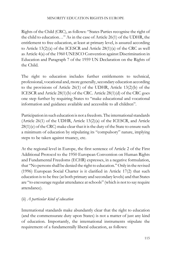#### MINORITY EDUCATION RIGHTS IN EUROPE

Rights of the Child (CRC), as follows: "States Parties recognise the right of the child to education…" As in the case of Article 26(1) of the UDHR, the entitlement to free education, at least at primary level, is assured according to Article 13(2)(a) of the ICESCR and Article 28(1)(a) of the CRC as well as Article 4(a) of the 1960 UNESCO Convention against Discrimination in Education and Paragraph 7 of the 1959 UN Declaration on the Rights of the Child.

The right to education includes further entitlements to technical, professional, vocational and, more generally, secondary education according to the provisions of Article 26(1) of the UDHR, Article 13(2)(b) of the ICESCR and Article 28(1)(b) of the CRC. Article 28(1)(d) of the CRC goes one step further by requiring States to "make educational and vocational information and guidance available and accessible to all children".

Participation in such education is not a freedom. The international standards (Article 26(1) of the UDHR, Article 13(2)(a) of the ICESCR, and Article 28(1)(e) of the CRC) make clear that it is the duty of the State to ensure such a minimum of education by stipulating its "compulsory" nature, implying steps to be taken against truancy, etc.

At the regional level in Europe, the first sentence of Article 2 of the First Additional Protocol to the 1950 European Convention on Human Rights and Fundamental Freedoms (ECHR) expresses, in a negative formulation, that "No persons shall be denied the right to education." Only in the revised (1996) European Social Charter is it clarified in Article 17(2) that such education is to be free (at both primary and secondary levels) and that States are "to encourage regular attendance at schools" (which is not to say require attendance).

# (ii) *A particular kind of education*

International standards make abundantly clear that the right to education (and the commensurate duty upon States) is not a matter of just any kind of education. Importantly, the international instruments stipulate the requirement of a fundamentally liberal education, as follows: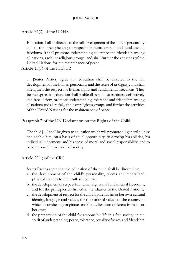## Article 26(2) of the UDHR

Education shall be directed to the full development of the human personality and to the strengthening of respect for human rights and fundamental freedoms. It shall promote understanding, tolerance and friendship among all nations, racial or religious groups, and shall further the activities of the United Nations for the maintenance of peace.

Article 13(1) of the ICESCR

… [States Parties] agree that education shall be directed to the full development of the human personality and the sense of its dignity, and shall strengthen the respect for human rights and fundamental freedoms. They further agree that education shall enable all persons to participate effectively in a free society, promote understanding, tolerance and friendship among all nations and all racial, ethnic or religious groups, and further the activities of the United Nations for the maintenance of peace.

Paragraph 7 of the UN Declaration on the Rights of the Child

The child […] shall be given an education which will promote his general culture and enable him, on a basis of equal opportunity, to develop his abilities, his individual judgement, and his sense of moral and social responsibility, and to become a useful member of society.

Article 29(1) of the CRC

States Parties agree that the education of the child shall be directed to:

- a. the development of the child's personality, talents and mental and physical abilities to their fullest potential;
- b. the development of respect for human rights and fundamental freedoms, and for the principles enshrined in the Charter of the United Nations;
- c. the development of respect for the child's parents, his or her own cultural identity, language and values, for the national values of the country in which he or she may originate, and for civilizations different from his or her own;
- d. the preparation of the child for responsible life in a free society, in the spirit of understanding, peace, tolerance, equality of sexes, and friendship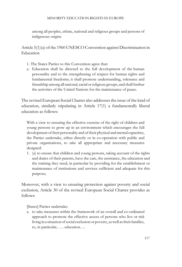#### MINORITY EDUCATION RIGHTS IN EUROPE

among all peoples, ethnic, national and religious groups and persons of indigenous origins

Article 5(1)(a) of the 1960 UNESCO Convention against Discrimination in Education

- 1. The States Parties to this Convention agree that:
- a. Education shall be directed to the full development of the human personality and to the strengthening of respect for human rights and fundamental freedoms; it shall promote understanding, tolerance and friendship among all national, racial or religious groups, and shall further the activities of the United Nations for the maintenance of peace.

The revised European Social Charter also addresses the issue of the kind of education, similarly stipulating in Article 17(1) a fundamentally liberal education as follows:

With a view to ensuring the effective exercise of the right of children and young persons to grow up in an environment which encourages the full development of their personality and of their physical and mental capacities, the Parties undertake, either directly or in co-operation with public and private organisations, to take all appropriate and necessary measures designed:

1. (a) to ensure that children and young persons, taking account of the rights and duties of their parents, have the care, the assistance, the education and the training they need, in particular by providing for the establishment or maintenance of institutions and services sufficient and adequate for this purpose;

Moreover, with a view to ensuring protection against poverty and social exclusion, Article 30 of the revised European Social Charter provides as follows:

[States] Parties undertake:

a. to take measures within the framework of an overall and co-ordinated approach to promote the effective access of persons who live or risk living in a situation of social exclusion or poverty, as well as their families, to, in particular, …. education….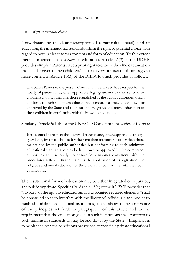## (iii) *A right to parental choice*

Notwithstanding the clear prescription of a particular (liberal) kind of education, the international standards affirm the right of parental choice with regard to both (at least some) content and form of education. To this extent there is provided also a *freedom* of education. Article 26(3) of the UDHR provides simply: "Parents have a prior right to choose the kind of education that shall be given to their children." This not very precise stipulation is given more content in Article 13(3) of the ICESCR which provides as follows:

The States Parties to the present Covenant undertake to have respect for the liberty of parents and, when applicable, legal guardians to choose for their children schools, other than those established by the public authorities, which conform to such minimum educational standards as may e laid down or approved by the State and to ensure the religious and moral education of their children in conformity with their own convictions.

Similarly, Article 5(1)(b) of the UNESCO Convention provides as follows:

It is essential to respect the liberty of parents and, where applicable, of legal guardians, firstly to choose for their children institutions other than those maintained by the public authorities but conforming to such minimum educational standards as may be laid down or approved by the competent authorities and, secondly, to ensure in a manner consistent with the procedures followed in the State for the application of its legislation, the religious and moral education of the children in conformity with their own convictions.

The institutional form of education may be either integrated or separated, and public or private. Specifically, Article 13(4) of the ICESCR provides that "no part" of the right to education and its associated required elements "shall be construed so as to interfere with the liberty of individuals and bodies to establish and direct educational institutions, subject always to the observance of the principles set forth in paragraph 1 of this article and to the requirement that the education given in such institutions shall conform to such minimum standards as may be laid down by the State." Emphasis is to be placed upon the conditions prescribed for possible private educational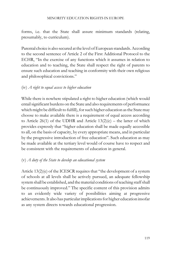#### MINORITY EDUCATION RIGHTS IN EUROPE

forms, i.e. that the State shall assure minimum standards (relating, presumably, to curriculum).

Parental choice is also secured at the level of European standards. According to the second sentence of Article 2 of the First Additional Protocol to the ECHR, "In the exercise of any functions which it assumes in relation to education and to teaching, the State shall respect the right of parents to ensure such education and teaching in conformity with their own religious and philosophical convictions."

## (iv) *A right to equal access to higher education*

While there is nowhere stipulated a right to higher education (which would entail significant burdens on the State and also requirements of performance which might be difficult to fulfill), for such higher education as the State may choose to make available there is a requirement of equal access according to Article 26(1) of the UDHR and Article  $13(2)(c)$  – the latter of which provides expressly that "higher education shall be made equally accessible to all, on the basis of capacity, by every appropriate means, and in particular by the progressive introduction of free education". Such education as may be made available at the tertiary level would of course have to respect and be consistent with the requirements of education in general.

# (v) *A duty of the State to develop an educational system*

Article 13(2)(e) of the ICESCR requires that "the development of a system of schools at all levels shall be actively pursued, an adequate fellowship system shall be established, and the material conditions of teaching staff shall be continuously improved." The specific content of this provision admits to an evidently wide variety of possibilities aiming at progressive achievements. It also has particular implications for higher education insofar as any system directs towards educational progression.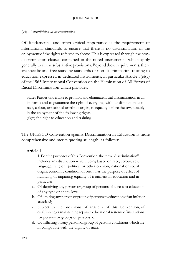# (vi) *A prohibition of discrimination*

Of fundamental and often critical importance is the requirement of international standards to ensure that there is no discrimination in the enjoyment of the rights referred to above. This is expressed through the nondiscrimination clauses contained in the noted instruments, which apply generally to all the substantive provisions. Beyond these requirements, there are specific and free-standing standards of non-discrimination relating to education expressed in dedicated instruments, in particular Article 5(e)(v) of the 1965 International Convention on the Elimination of All Forms of Racial Discrimination which provides:

States Parties undertake to prohibit and eliminate racial discrimination in all its forms and to guarantee the right of everyone, without distinction as to race, colour, or national or ethnic origin, to equality before the law, notably in the enjoyment of the following rights: (e)(v) the right to education and training

The UNESCO Convention against Discrimination in Education is more comprehensive and merits quoting at length, as follows:

## **Article 1**

1. For the purposes of this Convention, the term "discrimination" includes any distinction which, being based on race, colour, sex, language, religion, political or other opinion, national or social origin, economic condition or birth, has the purpose of effect of nullifying or impairing equality of treatment in education and in particular:

- a. Of depriving any person or group of persons of access to education of any type or at any level;
- b. Of limiting any person or group of persons to education of an inferior standard;
- c. Subject to the provisions of article 2 of this Convention, of establishing or maintaining separate educational systems of institutions for persons or groups of persons; or
- d. Of inflicting on any person or group of persons conditions which are in compatible with the dignity of man.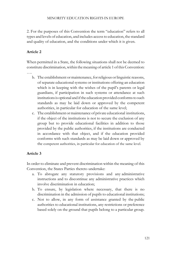2. For the purposes of this Convention the term "education" refers to all types and levels of education, and includes access to education, the standard and quality of education, and the conditions under which it is given.

# **Article 2**

When permitted in a State, the following situations shall not be deemed to constitute discrimination, within the meaning of article 1 of this Convention:

- ….
	- b. The establishment or maintenance, for religious or linguistic reasons, of separate educational systems or institutions offering an education which is in keeping with the wishes of the pupil's parents or legal guardians, if participation in such systems or attendance at such institutions is optional and if the education provided conforms to such standards as may be laid down or approved by the competent authorities, in particular for education of the same level;
	- c. The establishment or maintenance of private educational institutions, if the object of the institutions is not to secure the exclusion of any group but to provide educational facilities in addition to those provided by the public authorities, if the institutions are conducted in accordance with that object, and if the education provided conforms with such standards as may be laid down or approved by the competent authorities, in particular for education of the same level.

## **Article 3**

In order to eliminate and prevent discrimination within the meaning of this Convention, the States Parties thereto undertake:

- a. To abrogate any statutory provisions and any administrative instructions and to discontinue any administrative practices which involve discrimination in education;
- b. To ensure, by legislation where necessary, that there is no discrimination in the admission of pupils to educational institutions;
- c. Not to allow, in any form of assistance granted by the public authorities to educational institutions, any restrictions or preference based solely on the ground that pupils belong to a particular group.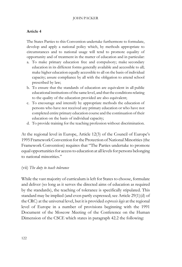## **Article 4**

The States Parties to this Convention undertake furthermore to formulate, develop and apply a national policy which, by methods appropriate to circumstances and to national usage will tend to promote equality of opportunity and of treatment in the matter of education and in particular:

- a. To make primary education free and compulsory; make secondary education in its different forms generally available and accessible to all; make higher education equally accessible to all on the basis of individual capacity; assure compliance by all with the obligation to attend school prescribed by law;
- b. To ensure that the standards of education are equivalent in all public educational institutions of the same level, and that the conditions relating to the quality of the education provided are also equivalent;
- c. To encourage and intensify by appropriate methods the education of persons who have not received any primary education or who have not completed entire primary education course and the continuation of their education on the basis of individual capacity;
- d. To provide training for the teaching profession without discrimination.

At the regional level in Europe, Article 12(3) of the Council of Europe's 1995 Framework Convention for the Protection of National Minorities (the Framework Convention) requires that "The Parties undertake to promote equal opportunities for access to education at all levels for persons belonging to national minorities."

#### (vii) *The duty to teach tolerance*

While the vast majority of curriculum is left for States to choose, formulate and deliver (so long as it serves the directed aims of education as required by the standards), the teaching of tolerance is specifically stipulated. This standard may be implied (and even partly expressed; see Article 29(1)(d) of the CRC) at the universal level, but it is provided *expressis legis* at the regional level of Europe in a number of provisions beginning with the 1991 Document of the Moscow Meeting of the Conference on the Human Dimension of the CSCE which states in paragraph 42.2 the following: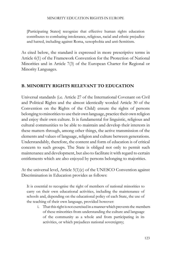#### MINORITY EDUCATION RIGHTS IN EUROPE

[Participating States] recognize that effective human rights education contributes to combating intolerance, religious, racial and ethnic prejudice and hatred, including against Roma, xenophobia and anti-Semitism.

As cited below, the standard is expressed in more prescriptive terms in Article 6(1) of the Framework Convention for the Protection of National Minorities and in Article 7(3) of the European Charter for Regional or Minority Languages.

## **B. MINORITY RIGHTS RELEVANT TO EDUCATION**

Universal standards (i.e. Article 27 of the International Covenant on Civil and Political Rights and the almost identically worded Article 30 of the Convention on the Rights of the Child) ensure the rights of persons belonging to minorities to use their own language, practice their own religion and enjoy their own culture. It is fundamental for linguistic, religious and cultural communities to be able to maintain and develop their interests in these matters through, among other things, the active transmission of the elements and values of language, religion and culture between generations. Understandably, therefore, the content and form of education is of critical concern to such groups. The State is obliged not only to permit such maintenance and development, but also to facilitate it with regard to certain entitlements which are also enjoyed by persons belonging to majorities.

At the universal level, Article 5(1)(c) of the UNESCO Convention against Discrimination in Education provides as follows:

It is essential to recognise the right of members of national minorities to carry on their own educational activities, including the maintenance of schools and, depending on the educational policy of each State, the use of the teaching of their own language, provided however:

i. That this right is not exercised in a manner which prevents the members of these minorities from understanding the culture and language of the community as a whole and from participating in its activities, or which prejudices national sovereignty;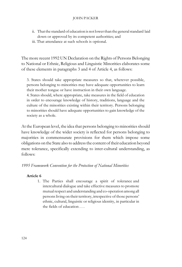- ii. That the standard of education is not lower than the general standard laid down or approved by its competent authorities; and
- iii. That attendance at such schools is optional.

The more recent 1992 UN Declaration on the Rights of Persons Belonging to National or Ethnic, Religious and Linguistic Minorities elaborates some of these elements in paragraphs 3 and 4 of Article 4, as follows:

3. States should take appropriate measures so that, wherever possible, persons belonging to minorities may have adequate opportunities to learn their mother tongue or have instruction in their own language. 4. States should, where appropriate, take measures in the field of education in order to encourage knowledge of history, traditions, language and the culture of the minorities existing within their territory. Persons belonging to minorities should have adequate opportunities to gain knowledge of the society as a whole.

At the European level, the idea that persons belonging to minorities should have knowledge of the wider society is reflected for persons belonging to majorities in commensurate provisions for them which impose some obligations on the State also to address the content of their education beyond mere tolerance, specifically extending to inter-cultural understanding, as follows:

## *1995 Framework Convention for the Protection of National Minorities*

## **Article 6**

1. The Parties shall encourage a spirit of tolerance and intercultural dialogue and take effective measures to promote mutual respect and understanding and co-operation among all persons living on their territory, irrespective of those persons' ethnic, cultural, linguistic or religious identity, in particular in the fields of education . . .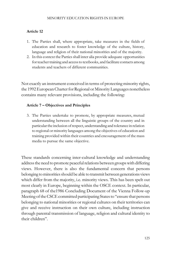#### MINORITY EDUCATION RIGHTS IN EUROPE

### **Article 12**

- 1. The Parties shall, where appropriate, take measures in the fields of education and research to foster knowledge of the culture, history, language and religion of their national minorities and of the majority.
- 2. In this context the Parties shall inter alia provide adequate opportunities for teacher training and access to textbooks, and facilitate contacts among students and teachers of different communities.

Not exactly an instrument conceived in terms of protecting minority rights, the 1992 European Charter for Regional or Minority Languages nonetheless contains many relevant provisions, including the following:

## **Article 7 – Objectives and Principles**

3. The Parties undertake to promote, by appropriate measures, mutual understanding between all the linguistic groups of the country and in particular the inclusion of respect, understanding and tolerance in relation to regional or minority languages among the objectives of education and training provided within their countries and encouragement of the mass media to pursue the same objective.

These standards concerning inter-cultural knowledge and understanding address the need to promote peaceful relations between groups with differing views. However, there is also the fundamental concern that persons belonging to minorities should be able to transmit between generations views which differ from the majority, i.e. minority views. This has been spelt out most clearly in Europe, beginning within the OSCE context. In particular, paragraph 68 of the1986 Concluding Document of the Vienna Follow-up Meeting of the CSCE committed participating States to "ensure that persons belonging to national minorities or regional cultures on their territories can give and receive instruction on their own culture, including instruction through parental transmission of language, religion and cultural identity to their children".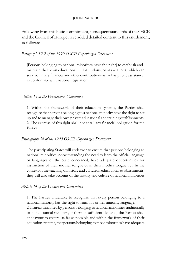Following from this basic commitment, subsequent standards of the OSCE and the Council of Europe have added detailed content to this entitlement, as follows:

## *Paragraph 32.2 of the 1990 OSCE Copenhagen Document*

[Persons belonging to national minorities have the right] to establish and maintain their own educational … institutions, or associations, which can seek voluntary financial and other contributions as well as public assistance, in conformity with national legislation.

#### *Article 13 of the Framework Convention*

1. Within the framework of their education systems, the Parties shall recognise that persons belonging to a national minority have the right to set up and to manage their own private educational and training establishments. 2. The exercise of this right shall not entail any financial obligation for the Parties.

#### *Praragraph 34 of the 1990 OSCE Copenhagen Document*

The participating States will endeavor to ensure that persons belonging to national minorities, notwithstanding the need to learn the official language or languages of the State concerned, have adequate opportunities for instruction of their mother tongue or in their mother tongue . . . In the context of the teaching of history and culture in educational establishments, they will also take account of the history and culture of national minorities

#### *Article 14 of the Framework Convention*

1. The Parties undertake to recognise that every person belonging to a national minority has the right to learn his or her minority language. 2. In areas inhabited by persons belonging to national minorities traditionally or in substantial numbers, if there is sufficient demand, the Parties shall endeavour to ensure, as far as possible and within the framework of their education systems, that persons belonging to those minorities have adequate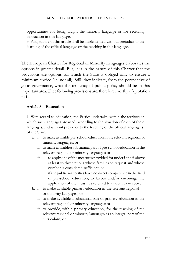opportunities for being taught the minority language or for receiving instruction in this language.

3. Paragraph 2 of this article shall be implemented without prejudice to the learning of the official language or the teaching in this language.

The European Charter for Regional or Minority Languages elaborates the options in greater detail. But, it is in the nature of this Charter that the provisions are options for which the State is obliged only to ensure a minimum choice (i.e. not all). Still, they indicate, from the perspective of good governance, what the tendency of public policy should be in this important area. Thee following provisions are, therefore, worthy of quotation in full.

#### **Article 8 – Education**

1. With regard to education, the Parties undertake, within the territory in which such languages are used, according to the situation of each of these languages, and without prejudice to the teaching of the official language(s) of the State:

- a. i. to make available pre-school education in the relevant regional or minority languages; or
	- ii. to make available a substantial part of pre-school education in the relevant regional or minority languages; or
	- iii. to apply one of the measures provided for under i and ii above at least to those pupils whose families so request and whose number is considered sufficient; or
	- iv. if the public authorities have no direct competence in the field of pre-school education, to favour and/or encourage the application of the measures referred to under i to iii above;
- b. i. to make available primary education in the relevant regional or minority languages; or
	- ii. to make available a substantial part of primary education in the relevant regional or minority languages; or
	- iii. to provide, within primary education, for the teaching of the relevant regional or minority languages as an integral part of the curriculum; or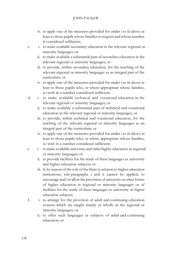- iv. to apply one of the measures provided for under i to iii above at least to those pupils whose families so request and whose number is considered sufficient;
- c. i. to make available secondary education in the relevant regional or minority languages; or
	- ii. to make available a substantial part of secondary education in the relevant regional or minority languages; or
	- iii. to provide, within secondary education, for the teaching of the relevant regional or minority languages as an integral part of the curriculum; or
	- iv. to apply one of the measures provided for under i to iii above at least to those pupils who, or where appropriate whose families, so wish in a number considered sufficient;
- d. i. to make available technical and vocational education in the relevant regional or minority languages; or
	- ii. to make available a substantial part of technical and vocational education in the relevant regional or minority languages; or
	- iii. to provide, within technical and vocational education, for the teaching of the relevant regional or minority languages as an integral part of the curriculum; or
	- iv. to apply one of the measures provided for under i to iii above at least to those pupils who, or where appropriate whose families, so wish in a number considered sufficient;
- e. i. to make available university and other higher education in regional or minority languages; or
	- ii. to provide facilities for the study of these languages as university and higher education subjects; or
	- iii. if, by reason of the role of the State in relation to higher education institutions, sub-paragraphs i and ii cannot be applied, to encourage and/or allow the provision of university or other forms of higher education in regional or minority languages or of facilities for the study of these languages as university or higher education subjects;
- f. i. to arrange for the provision of adult and continuing education courses which are taught mainly or wholly in the regional or minority languages; or
	- ii. to offer such languages as subjects of adult and continuing education; or
- 128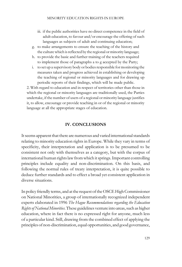- iii. if the public authorities have no direct competence in the field of adult education, to favour and/or encourage the offering of such languages as subjects of adult and continuing education;
- g. to make arrangements to ensure the teaching of the history and the culture which is reflected by the regional or minority language;
- h. to provide the basic and further training of the teachers required to implement those of paragraphs a to g accepted by the Party;
- i. to set up a supervisory body or bodies responsible for monitoring the measures taken and progress achieved in establishing or developing the teaching of regional or minority languages and for drawing up periodic reports of their findings, which will be made public.

2. With regard to education and in respect of territories other than those in which the regional or minority languages are traditionally used, the Parties undertake, if the number of users of a regional or minority language justifies it, to allow, encourage or provide teaching in or of the regional or minority language at all the appropriate stages of education.

# **IV. CONCLUSIONS**

It seems apparent that there are numerous and varied international standards relating to minority education rights in Europe. While they vary in terms of specificity, their interpretation and application is to be presumed to be consistent not only with themselves as a category, but with the corpus of international human rights law from which it springs. Important controlling principles include equality and non-discrimination. On this basis, and following the normal rules of treaty interpretation, it is quite possible to deduce further standards and to effect a broad yet consistent application in diverse situations.

In policy friendly terms, and at the request of the OSCE High Commissioner on National Minorities, a group of internationally recognized independent experts elaborated in 1996 *The Hague Recommendations regarding the Education Rights of National Minorities*. These guidelines venture into areas, such as higher education, where in fact there is no expressed right for anyone, much less of a particular kind. Still, drawing from the combined effect of applying the principles of non-discrimination, equal opportunities, and good governance,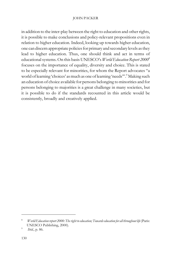in addition to the inter-play between the right to education and other rights, it is possible to make conclusions and policy-relevant propositions even in relation to higher education. Indeed, looking up towards higher education, one can discern appropriate policies for primary and secondary levels as they lead to higher education. Thus, one should think and act in terms of educational systems. On this basis UNESCO's *World Education Report 20008* focuses on the importance of equality, diversity and choice. This is stated to be especially relevant for minorities, for whom the Report advocates "a world of learning 'choices' as much as one of learning 'needs"'.<sup>9</sup> Making such an education of choice available for persons belonging to minorities and for persons belonging to majorities is a great challenge in many societies, but it is possible to do if the standards recounted in this article would be consistently, broadly and creatively applied.

<sup>8</sup> *World Education report 2000: The right to education; Towards education for all throughout life* (Paris: UNESCO Publishing, 2000). 9 *Ibid.*, p. 86.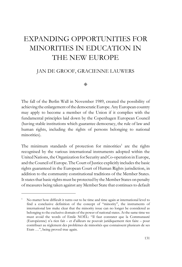# EXPANDING OPPORTUNITIES FOR MINORITIES IN EDUCATION IN THE NEW EUROPE

# JAN DE GROOF, GRACIENNE LAUWERS

 $\ast$ 

The fall of the Berlin Wall in November 1989, created the possibility of achieving the enlargement of the democratic Europe. Any European country may apply to become a member of the Union if it complies with the fundamental principles laid down by the Copenhagen European Council (having stable institutions which guarantee democracy, the rule of law and human rights, including the rights of persons belonging to national minorities).

The minimum standards of protection for minorities<sup>1</sup> are the rights recognised by the various international instruments adopted within the United Nations, the Organization for Security and Co-operation in Europe, and the Council of Europe. The Court of Justice explicitly includes the basic rights guaranteed in the European Court of Human Rights jurisdiction, in addition to the community constitutional traditions of the Member States. It states that basic rights must be protected by the Member States on penalty of measures being taken against any Member State that continues to default

<sup>1</sup> No matter how difficult it turns out to be time and time again at international level to find a conclusive definition of the concept of "minority", the instruments of international law make clear that the minority issue can no longer be considered as belonging to the exclusive domain of the power of national states. At the same time we must avoid the words of Emile NOËL: "Il faut constater que la Communauté (Européenne) n'a rien fait – et d'ailleurs ne pouvait juridiquement rien faire – pour contribuer au règlement des problèmes de minorités que connaissent plusieurs de ses Etats …", being proved true again.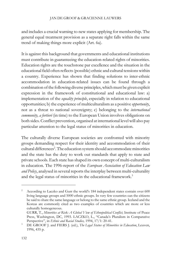#### JAN DE GROOF & GRACIENNE LAUWERS

and includes a crucial warning to new states applying for membership. The general equal treatment provision as a separate right falls within the same trend of making things more explicit (Art. 6a).

It is against this background that governments and educational institutions must contribute in guaranteeing the education-related rights of minorities. Education rights are the touchstone par excellence and the situation in the educational field often reflects (possible) ethnic and cultural tensions within a country. Experience has shown that finding solutions to inter-ethnic accommodation in education-related issues can be found through a combination of the following diverse principles, which must be given explicit expression in the framework of constitutional and educational law: a) implementation of the *equality principle*, especially in relation to educational opportunities; b) the experience of multiculturalism as a positive *opportunity*, not as a threat to national sovereignty; c) belonging to the *international community, a fortiori* (in time) to the European Union involves obligations on both sides. Conflict prevention, organised at international level will also pay particular attention to the legal status of minorities in education.

The culturally diverse European societies are confronted with minority groups demanding respect for their identity and accommodation of their cultural differences<sup>2</sup>. The education system should accommodate minorities and the state has the duty to work out standards that apply to state and private schools. Each state has shaped its own concept of multi-culturalism in education. The 1996-report of the *European Association of Education Law and Policy*, analysed in several reports the interplay between multi-culturality and the legal status of minorities in the educational framework.<sup>3</sup>

<sup>2</sup> According to Laczko and Gurr the world's 184 independent states contain over 600 living language groups and 5000 ethnic groups. In very few countries can the citizens be said to share the same language or belong to the same ethnic group. Iceland and the Koreas are commonly cited as two examples of countries which are more or less culturally homogeneous.

GURR, T., *Minorities at Risk: A Global View of Ethnopolitical Conflict,* Institute of Peace Press, Washington, DC, 1993. LACZKO, L., "Canada's Pluralism in Comparative Perspective", in *Ethnic and Racial Studies,* 1994, 17/1: 20-41.

<sup>3</sup> DE GROOF J. and FIERS J. (ed.), *The Legal Status of Minorities in Education*, Leuven, 1996, 435 p.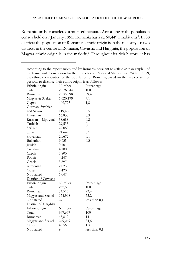Romania can be considered a multi-ethnic state. According to the population census held on 7 January 1992, Romania has 22,760,449 inhabitants<sup>4</sup>. In 38 districts the population of Romanian ethnic origin is in the majority. In two districts in the centre of Romania, Covasna and Harghita, the population of Magyar ethnic origin is in the majority<sup>5</sup>. Throughout its rich history, it has

4 According to the report submitted by Romania persuant to article 25 paragraph 1 of the framework Convention for the Protection of National Minorities of 24 June 1999, the ethnic composition of the population of Romania, based on the free consent of persons to disclose their ethnic origin, is as follows: Ethnic origin Number Percentage Total 22,760,449 100 Romania 20,350,980 89,4 Magyar & Szekel 1,620,199 7,1 Gypsy 409,723 1,8 German, Swabian and Saxon 119,436 0,5 Ukrainian 66,833 0,3 Russian – Lipoveni 38,688 0,2 Turkish 29,533 0,1 Serbian 29,080 0,1 Tatar 24,649 0,1 Slovakian 20,672 0,1 Bulgarian 9,935 0,3 Jewish 9,107 Croatian 4,180 Czech 5,800 Polish 4,247 Greek 3,897 Armenian 2,023 Other 8,420 Not stated 1,047 5 District of Covasna Ethnic origin Number Percentage Total 232,592 100 Romanian 54,517 23,4 Magyar and Szekel 174,968 75,2 Not stated 27 less than 0,1 District of Harghita Ethnic origin Number Percentage Total 347,637 100 Romanian 48,812 14 Magyar and Szekel 249,269 84,6 Other 4,556 1,3

Not stated 9 less than 0,1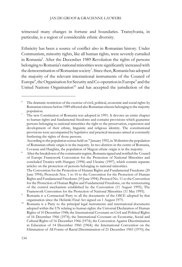#### JAN DE GROOF & GRACIENNE LAUWERS

witnessed many changes in fortune and boundaries. Transylvania, in particular, is a region of considerable ethnic diversity.

Ethnicity has been a source of conflict also in Romanian history. Under Communism, minority rights, like all human rights, were severely curtailed in Romania<sup>6</sup>. After the December 1989 Revolution the rights of persons belonging to Romania's national minorities were significantly increased with the democratisation of Romanian society<sup>7</sup>. Since then, Romania has adopted the majority of the relevant international instruments of the Council of Europe<sup>8</sup>, the Organisation for Security and Co-operation in Europe<sup>9</sup> and the United Nations Organisation $10$  and has accepted the jurisdiction of the

According to the population census held on 7 January 1992, in 38 districts the population of Romanian ethnic origin is in the majority. In two districts in the centre of Romania, Covasna and Harghita, the population of Magyar ethnic origin is in the majority.

8 After the breakdown of the communist regime, Romania signed and notified the Council of Europe Framework Convention for the Protection of National Minorities and concluded Treaties with Hungary (1996) and Ukraine (1997), which contain separate articles on the protection of persons belonging to national minorities. The Convention for the Protection of Human Rights and Fundamental Freedoms (20

June 1994); Protocols Nos. 1 to 10 to the Convention for the Protection of Human Rights and Fundamental Freedoms (10 June 1994); Protocol No. 11 to the Convention for the Protection of Human Rights and Fundamental Freedoms, on the restructuring of the control mechanism established by the Convention (11 August 1995); The Framework Convention for the Protection of National Minorities (11 May 1995).

<sup>6</sup> The dramatic restriction of the exercise of civil, political, economic and social rights by Romanian citizens before 1989 affected also Romanian citizens belonging to the majority population.

<sup>7</sup> The new Constitution of Romania was adopted in 1991. It devotes an entire chapter to human rights and fundamental freedoms and contains provisions which guarantee persons belonging to national minorities the right to the preservation, expression and development of their ethnic, linguistic and religious identity. The constitutional provisions were accompanied by legislative and practical measures aimed at constantly furthering the rights of those persons.

<sup>9</sup> Romania is a Contractual Party to all the documents of the OSCE adopted by that organisation since the Helsinki Final Act signed on 1 August 1975.

<sup>&</sup>lt;sup>10</sup> Romania is a Party to the principal legal instruments and international documents adopted within the UN relating to human rights: the Universal Declaration of Human Rights of 10 December 1948; the International Covenant on Civil and Political Rights of 16 December 1966 (1974); the International Covenant on Economic, Social and Cultural Rights of 16 December 1966 (1974); the Convention Against Discrimination in Education of 14 December 1960 (1964); the International Convention on the Elimination of All Forms of Racial Discrimination of 21 December 1965 (1970); the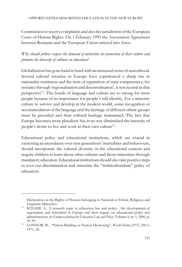Commission to receive complaints and also the jurisdiction of the European Court of Human Rights. On 1 February 1995 the Association Agreement between Romania and the European Union entered into force.

*Why should politics respect the demand of minorities for protection of their culture and promote the diversity of cultures in education?*

Globalisation has gone hand in hand with an increased sense of nationhood. Several cultural societies in Europe have experienced a sharp rise in nationalist sentiment and the item of repartition of state competences, for instance through 'regionalisation and decentralisation', is not neutral in that perspective<sup>11</sup>. The bonds of language and culture are so strong for most people because of its importance for people's self-identity. For a minority culture to survive and develop in the modern world, some recognition or accommodation of the language and the heritage of different ethnic groups must be provided and their cultural heritage maintained. The fact that Europe becomes more pluralistic has in no way diminished the intensity of people's desire to live and work in their own culture<sup>12</sup>.

Educational policy and educational institutions, which are crucial in exercising an ascendancy over new generations' mentalities and behaviours, should incorporate the cultural diversity in the educational content and require children to learn about other cultures and about minorities through mandatory education. Educational institutions should also take positive steps to root out discrimination and stimulate the "multiculturalism" policy of education.

Declaration on the Rights of Persons belonging to National or Ethnic, Religious and Linguistic Minorities.

<sup>&</sup>lt;sup>11</sup> SCHADE A., A research topic in education law and policy : the development of regionalism and federalism in Europe and their impact on educational policy and administration, in *European Journal for Education Law and Policy*, Volume 4, nr. 1, 2000, p. 35-39.

<sup>12</sup> CONNOR, W., "Nation-Building or Nation-Destroying", *World Politics*,1972, 350-1; 1973, 20.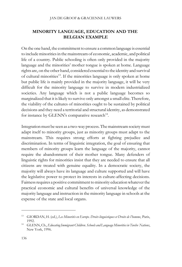#### JAN DE GROOF & GRACIENNE LAUWERS

# **MINORITY LANGUAGE, EDUCATION AND THE BELGIAN EXAMPLE**

On the one hand, the commitment to ensure a common language is essential to include minorities in the mainstream of economic, academic, and political life of a country. Public schooling is often only provided in the majority language and the minorities' mother tongue is spoken at home. Language rights are, on the other hand, considered essential to the identity and survival of cultural minorities<sup>13</sup>. If the minorities language is only spoken at home but public life is mainly provided in the majority language, it will be very difficult for the minority language to survive in modern industrialized societies. Any language which is not a public language becomes so marginalized that it is likely to survive only amongst a small elite. Therefore, the viability of the cultures of minorities ought to be sustained by political decisions and they need a territorial and structural identity, as demonstrated for instance by GLENN's comparative research<sup>14</sup>.

Integration must be seen as a two-way process. The mainstream society must adapt itself to minority groups, just as minority groups must adapt to the mainstream. This requires strong efforts at fighting prejudice and discrimination. In terms of linguistic integration, the goal of ensuring that members of minority groups learn the language of the majority, cannot require the abandonment of their mother tongue. Many defenders of linguistic rights for minorities insist that they are needed to ensure that all citizens are treated with genuine equality. In a democratic society, the majority will always have its language and culture supported and will have the legislative power to protect its interests in culture-affecting decisions. Fairness requires a positive commitment to minority education whatever the practical economic and cultural benefits of universal knowledge of the majority language and instruction in the minority language in schools at the expense of the state and local organs.

<sup>13</sup> GIORDAN, H. (ed.), *Les Minorités en Europe. Droits linguistiques et Droits de l'homme*, Paris, 1992.

<sup>14</sup> GLENN, Ch., *Educating Immigrant Children. Schools and Language Minorities in Twelve Nations*, New York, 1996.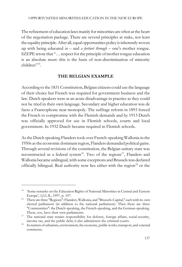The refinement of education laws mainly for minorities are often at the heart of the negotiation package. There are several principles at stake, not least the equality principle. After all, equal opportunities policy is inherently woven up with being educated *in* – and *a fortiori through* – one's mother tongue. SZEPE wrote that "… respect for the principle of mother tongue education is an absolute must: this is the basis of non-discrimination of minority children"<sup>15</sup>.

## **THE BELGIAN EXAMPLE**

According to the 1831 Constitution, Belgian citizens could use the language of their choice but French was required for government business and the law. Dutch speakers were at an acute disadvantage in practice as they could not be tried in their own language. Secondary and higher education was de facto a Francophone near monopoly. The suffrage reform in 1893 forced the French to compromise with the Flemish demands and by 1913 Dutch was officially approved for use in Flemish schools, courts and local government. In 1932 Dutch became required in Flemish schools.

As the Dutch speaking Flanders took over French-speaking Wallonia in the 1950s as the economic dominant region, Flanders demanded political gains. Through several revisions of the constitution, the Belgian unitary state was reconstructed as a federal system<sup>16</sup>. Two of the regions<sup>17</sup>, Flanders and Wallonia became unilingual, with some exceptions and Brussels was declared officially bilingual. Real authority now lies either with the region<sup>18</sup> or the

<sup>&</sup>lt;sup>15</sup> 'Some remarks on the Education Rights of National Minorities in Central and Eastern Europe', *I.J.G.R.*, 1997, p. 107.

<sup>16</sup> There are three "Regions": Flanders, Wallonia, and "Brussels-Capital," each with its own elected parliament (in addition to the national parliament). Then there are three "Communities": the Dutch-speaking, the French-speaking, and the German-speaking.

These, too, have their own parliaments.<br><sup>17</sup> The national state retains responsibility for defense, foreign affairs, social security, income tax, and the public debt; it also administers the criminal courts.

<sup>&</sup>lt;sup>18</sup> In matters of urbanism, environment, the economy, public works, transport, and external commerce.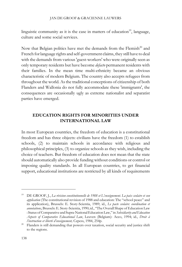#### JAN DE GROOF & GRACIENNE LAUWERS

linguistic community as it is the case in matters of education<sup>19</sup>, language, culture and some social services.

Now that Belgian politics have met the demands from the Flemish<sup>20</sup> and French for language rights and self-government claims, they still have to deal with the demands from various 'guest-workers' who were originally seen as only temporary residents but have become *defacto* permanent residents with their families. In the mean time multi-ethnicity became an obvious characteristic of modern Belgium. The country also accepts refugees from throughout the world. As the traditional conceptions of citizenship of both Flanders and Wallonia do not fully accommodate these 'immigrants', the consequences are occasionally ugly as extreme nationalist and separatist parties have emerged.

# **EDUCATION RIGHTS FOR MINORITIES UNDER INTERNATIONAL LAW**

In most European countries, the freedom of education is a constitutional freedom and has three objects: civilians have the freedom (1) to establish schools, (2) to maintain schools in accordance with religious and philosophical principles, (3) to organize schools as they wish, including the choice of teachers. But freedom of education does not mean that the state should automatically also provide funding without conditions or control or imposing quality standards. In all European countries, to get financial support, educational institutions are restricted by all kinds of requirements

<sup>19</sup> DE GROOF, J., *La révision constitutionnelle de 1988 et L'enseignement. La paix scolaire et son application* (The constitutional revision of 1988 and education: The "school peace" and its application), Brussels: E. Story-Scientia, 1989; id., *Le pacte scolaire: coordination et annotations*, Brussels: E. Story-Scientia, 1990; id., "The Overall Shape of Education Law : Status of Comparative and Supra-National Education Law," in *Subsidiarity and Education Aspects of Comparative Educational Law*, Leuven (Belgium): Acco, 1994; id., *Droit à l'instruction et liberté d'enseignement,* Cepess, 1984, 254p.

<sup>&</sup>lt;sup>20</sup> Flanders is still demanding that powers over taxation, social security and justice shift to the regions.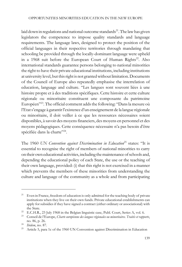laid down in regulations and national outcome standards<sup>21</sup>. The law has given legislators the competence to impose quality standards and language requirements. The language laws, designed to protect the position of the official languages in their respective territories through mandating that schooling be provided through the locally-dominant language were upheld in a 1968 suit before the European Court of Human Rights<sup>22</sup>. Also international standards guarantee persons belonging to national minorities the right to have their private educational institutions, including institutions at university level, but this right is not granted without limitation. Documents of the Council of Europe also repeatedly emphasise the interrelation of education, language and culture. "Les langues sont souvent liées à une histoire propre et à des traditions spécifiques. Cette histoire et cette culture régionale ou minoritaire constituent une composante du patrimoine Européen"23. The official comment adds the following: "Dans la mesure où l'Etat s'engage à garantir l'existence d'un enseignement de la langue régionale ou minoritaire, il doit veiller à ce que les ressources nécessaires soient disponibles, à savoir des moyens financiers, des moyens en personnel et des moyens pédagogiques. Cette conséquence nécessaire n'a pas besoin d'être spécifiée dans la charte"<sup>24</sup>.

The 1960 *UN Convention against Discrimination in Education*<sup>25</sup> states: "It is essential to recognise the right of members of national minorities to carry on their own educational activities, including the maintenance of schools and, depending the educational policy of each State, the use or the teaching of their own language, provided: (i) that this right is not exercised in a manner which prevents the members of these minorities from understanding the culture and language of the community as a whole and from participating

<sup>&</sup>lt;sup>21</sup> Even in France, freedom of education is only admitted for the teaching body of private institutions when they live on their own funds. Private educational establishments can apply for subsidies if they have signed a contract (either ordinary or associational) with the State.

<sup>&</sup>lt;sup>22</sup> E.C.H.R., 23 July 1968 in the Belgian linguistic case, Publ. Court, Series A, vol. 6.<br><sup>23</sup> Conseil de l'Europe *Charte européenne des langues régionales ou minoritaires Traités et rappe* 

<sup>23</sup> Conseil de l'Europe, *Charte européenne des langues régionales ou minoritaires. Traités et rapports*, no. 86, p. 26.

<sup>24</sup> *Ibidem*, no. 87.

 $25$  Article 5, para 1c of the 1960 UN Convention against Discrimination in Education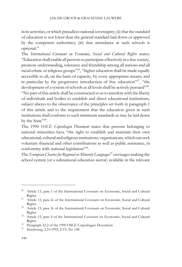in its activities, or which prejudices national sovereignty; (ii) that the standard of education is not lower than the general standard laid down or approved by the competent authorities; (iii) that attendance at such schools is optional."

The *International Covenant on Economic, Social and Cultural Rights* states: "Education shall enable all persons to participate effectively in a free society, promote understanding, tolerance and friendship among all nations and all racial ethnic or religious groups"<sup>26</sup>, "higher education shall be made equally accessible to all, on the basis of capacity, by every appropriate means, and in particular by the progressive introduction of free education"27, "the development of a system of schools at all levels shall be actively pursued"<sup>28</sup>. "No part of this article shall be constructed so as to interfere with the liberty of individuals and bodies to establish and direct educational institutions, subject always to the observance of the principles set forth in paragraph 1 of this article and to the requirement that the education given in such institutions shall conform to such minimum standards as may be laid down by the State"<sup>29</sup>.

The 1990 *OSCE Copenhagen Document* states that persons belonging to national minorities have "the right to establish and maintain their own educational, cultural and religious institutions, organisations, which can seek voluntary financial and other contributions as well as public assistance, in conformity with national legislation"<sup>30</sup>.

The *European Charter for Regional or Minority Languages*<sup>31</sup> envisages making the school system (or a subnational education sector) available in the relevant

<sup>&</sup>lt;sup>26</sup> Article 13, para 1 of the International Covenant on Economic, Social and Cultural Rights.

<sup>&</sup>lt;sup>27</sup> Article 13, para 2c of the International Covenant on Economic, Social and Cultural Rights.

<sup>&</sup>lt;sup>28</sup> Article 13, para 2c of the International Covenant on Economic, Social and Cultural Rights.

<sup>&</sup>lt;sup>29</sup> Article 13, para 4 of the International Covenant on Economic, Social and Cultural Rights.

<sup>30</sup> Paragraph 32.2 of the 1990 OSCE Copenhagen Document.

<sup>31</sup> Strasbourg, 2.10.1992, *ETS*, No 148.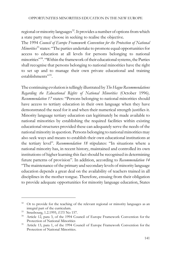regional or minority languages<sup>32</sup>. It provides a number of options from which a state party may choose in seeking to realise the objective.

The 1994 *Council of Europe Framework Convention for the Protection of National Minorities*<sup>33</sup> states: "The parties undertake to promote equal opportunities for access to education at all levels for persons belonging to national minorities"34. "Within the framework of their educational systems, the Parties shall recognise that persons belonging to national minorities have the right to set up and to manage their own private educational and training establishments"<sup>35</sup>.

The continuing evolution is tellingly illustrated by *The Hague Recommendations Regarding the Educational Rights of National Minorities* (October 1996). *Recommendation 17* states: "Persons belonging to national minorities should have access to tertiary education in their own language when they have demonstrated the need for it and when their numerical strength justifies it. Minority language tertiary education can legitimately be made available to national minorities by establishing the required facilities within existing educational structures provided these can adequately serve the needs of the national minority in question. Persons belonging to national minorities may also seek ways and means to establish their own educational institutions at the tertiary level". *Recommendation 18* stipulates: "In situations where a national minority has, in recent history, maintained and controlled its own institutions of higher learning this fact should be recognised in determining future patterns of provision". In addition, according to *Recommendation 14* "The maintenance of the primary and secondary levels of minority language education depends a great deal on the availability of teachers trained in all disciplines in the mother tongue. Therefore, ensuing from their obligation to provide adequate opportunities for minority language education, States

<sup>&</sup>lt;sup>32</sup> Or to provide for the teaching of the relevant regional or minority languages as an integral part of the curriculum.

<sup>&</sup>lt;sup>33</sup> Strasbourg, 1.2.1995, *ETS* No 157.<br><sup>34</sup> Article 12, para 3, of the 1994 Co.

Article 12, para 3, of the 1994 Council of Europe Framework Convention for the Protection of National Minorities

<sup>35</sup> Article 13, para 1, of the 1994 Council of Europe Framework Convention for the Protection of National Minorities.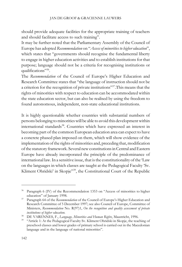should provide adequate facilities for the appropriate training of teachers and should facilitate access to such training".

It may be further noted that the Parliamentary Assembly of the Council of Europe has adopted *Recommendation* on "*Access of minorities to higher education*", which states that "governments should recognise the fundamental liberty to engage in higher education activities and to establish institutions for that purpose; language should not be a criteria for recognising institutions or qualifications"36.

The *Recommendation* of the Council of Europe's Higher Education and Research Committee states that "the language of instruction should not be a criterion for the recognition of private institutions"37.This means that the rights of minorities with respect to education can be accommodated within the state education sector, but can also be realised by using the freedom to found autonomous, independent, non-state educational institutions.

It is highly questionable whether countries with substantial numbers of persons belonging to minorities will be able to avoid this development within international standards<sup>38</sup>. Countries which have expressed an interest in becoming part of the common European education area can expect to have a concrete phased plan imposed on them, which will show evidence of the implementation of the rights of minorities and, preceding that, modification of the statutory framework. Several new constitutions in Central and Eastern Europe have already incorporated the principle of the predominance of international law. In a sensitive issue, that is the constitutionality of the 'Law on the languages in which classes are taught at the Pedagogical Faculty 'Sv. Kliment Ohridski' in Skopje"<sup>39</sup>, the Constitutional Court of the Republic

<sup>&</sup>lt;sup>36</sup> Paragraph 6 (IV) of the Recommendation 1353 on "Access of minorities to higher education" of January 1998.

<sup>37</sup> Paragraph 64 of the *Recommendation* of the Council of Europe's Higher Education and Research Committee of 5 December 1997; see also Council of Europe, Committee of Ministers, *Recommendation* No. R(97)1, *On the recognition and quality assessment of private institutions of higher education*.

<sup>38</sup> DE VARENNES, F., *Language, Minorities and Human Rights*, Maastricht, 1996.

<sup>&</sup>quot;Article 1: At the Pedagogical Faculty Sv. Kliment Ohridski in Skopje, the teaching of preschool classes and lower grades of primary school is carried out in the Macedonian language and in the language of national minorities".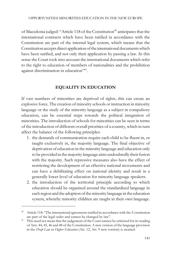of Macedonia judged: "Article 118 of the Constitution<sup>40</sup> anticipates that the international contracts which have been ratified in accordance with the Constitution are part of the internal legal system, which means that the Constitution accepts direct application of the international documents which have been ratified, and not only their application by passing a law. In this sense the Court took into account the international documents which refer to the right to education of members of nationalities and the prohibition against discrimination in education"41.

# **EQUALITY IN EDUCATION**

If vast numbers of minorities are deprived of rights, this can create an explosive force. The creation of minority schools or instruction in minority language or the study of the minority language as a subject in compulsory education, can be essential steps towards the political integration of minorities. The introduction of schools for minorities can be seen in terms of the introduction of different overall priorities of a country, which in turn affect the balance of the following principles:

- 1. the demands of communication require each child to be fluent in, or taught exclusively in, the majority language. The final objective of deprivation of education in the minority language and education only to be provided in the majority language aims undoubtedly their fusion with the majority. Such repressive measures also have the effect of restricting the development of an effective national movements and can have a debilitating effect on national identity and result in a generally lower level of education for minority language speakers.
- 2. the introduction of the territorial principle according to which education should be organised around the standardised language in each region and the adoption of the minority language in the education system, whereby minority children are taught in their own language.

<sup>40</sup> Article 118: "The international agreements ratified in accordance with the Constitution are part of the legal order and cannot be changed by law".

 $41$  This need not mean that the judgement of the Court cannot be criticised for its reading of Arts. 44, 45, 46 and 48 of the Constitution. A new version of the language provision in the *Draft Law on Higher Education* (Art. 12, Art. 9 new version) is awaited.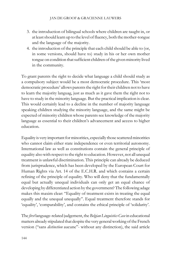- 3. the introduction of bilingual schools where children are taught in, or at least should learn up to the level of fluency, both the mother-tongue and the language of the majority.
- 4. the introduction of the principle that each child should be able to (or, in some versions, should have to) study in his or her own mother tongue on condition that sufficient children of the given minority lived in the community.

To grant parents the right to decide what language a child should study as a compulsory subject would be a most democratic procedure. This 'most democratic procedure' allows parents the right for their children not to have to learn the majority languag, just as much as it gave them the right not to have to study in the minority language. But the practical implication is clear. This would certainly lead to a decline in the number of majority language speaking children studying the minority language, and the same might be expected of minority children whose parents see knowledge of the majority language as essential to their children's advancement and access to higher education.

Equality is very important for minorities, especially those scattered minorities who cannot claim either state independence or even territorial autonomy. International law as well as constitutions contain the general principle of equality also with respect to the right to education. However, not all unequal treatment is unlawful discrimination. This principle can already be deduced from jurisprudence, which has been developed by the European Court for Human Rights via Art. 14 of the E.C.H.R. and which contains a certain refining of the principle of equality. Who will deny that the fundamentally equal but actually unequal individuals can only get an equal chance of developing by differentiated action by the government? The following adage makes this maxim clear: "Equality of treatment exists in treating the equal equally and the unequal unequally". Equal treatment therefore stands for 'equality', 'comparability', and contains the ethical principle of 'solidarity'.

The *first* language-related judgement, the *Belgian Linguistics Case* in educational matters already stipulated that despite the very general working of the French version ("sans *distinction* aucune"- without any distinction), the said article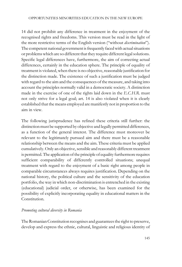14 did not prohibit any difference in treatment in the enjoyment of the recognised rights and freedoms. This version must be read in the light of the more restrictive terms of the English version ("without *discrimination*"). The competent national government is frequently faced with actual situations or problems which are so different that they require different legal solutions. Specific legal differences have, furthermore, the aim of correcting actual differences, certainly in the education sphere. The principle of equality of treatment is violated, when there is no objective, reasonable justification for the distinction made. The existence of such a justification must be judged with regard to the aim and the consequences of the measure, and taking into account the principles normally valid in a democratic society. A distinction made in the exercise of one of the rights laid down in the *E.C.H.R.* must not only strive for a legal goal; art. 14 is also violated when it is clearly established that the means employed are manifestly not in proportion to the aim in view.

The following jurisprudence has refined these criteria still further: the distinction must be supported by objective and legally permitted differences, as a function of the general interest. The difference must moreover be relevant to the legitimately pursued aim and there must be a reasonable relationship between the means and the aim. These criteria must be applied cumulatively. Only an objective, sensible and reasonably different treatment is permitted. The application of the principle of equality furthermore requires sufficient comparability of differently controlled situations; unequal treatment with regard to the enjoyment of a basic right among people in comparable circumstances always requires justification. Depending on the national history, the political culture and the sensitivity of the education portfolio, the way in which non-discrimination is entrenched in the existing (educational) judicial order, or otherwise, has been examined for the possibility of explicitly incorporating equality in educational matters in the Constitution.

## *Promoting cultural diversity in Romania*

The Romanian Constitution recognises and guarantees the right to preserve, develop and express the ethnic, cultural, linguistic and religious identity of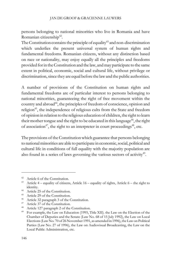persons belonging to national minorities who live in Romania and have Romanian citizenship<sup>42</sup>.

The Constitution contains the principle of equality<sup>43</sup> and non-discrimination which underlies the present universal system of human rights and fundamental freedoms. Romanian citizens, without any distinction based on race or nationality, may enjoy equally all the principles and freedoms provided for in the Constitution and the law, and may participate to the same extent in political, economic, social and cultural life, without privilege or discrimination, since they are equal before the law and the public authorities.

A number of provisions of the Constitution on human rights and fundamental freedoms are of particular interest to persons belonging to national minorities, guaranteeing the right of free movement within the country and abroad<sup>44</sup>, the principles of freedom of conscience, opinion and religion<sup>45</sup>, the independence of religious cults from the State and freedom of opinion in relation to the religious education of children, the right to learn their mother tongue and the right to be educated in this language<sup>46</sup>, the right of association<sup>47</sup>, the right to an interpreter in court proceedings<sup>48</sup>, etc.

The provisions of the Constitution which guarantee that persons belonging to national minorities are able to participate in economic, social, political and cultural life in conditions of full equality with the majority population are also found in a series of laws governing the various sectors of activity<sup>49</sup>.

<sup>42</sup> Article 6 of the Constitution.

<sup>&</sup>lt;sup>43</sup> Article 4 – equality of citizens, Article 16 – equality of rights, Article 6 – the right to identity.

<sup>&</sup>lt;sup>44</sup> Article 25 of the Constitution.

<sup>&</sup>lt;sup>45</sup> Article 29 of the Constitution.

<sup>&</sup>lt;sup>46</sup> Article 32 paragraph 3 of the Constitution.<br><sup>47</sup> Article 37 of the Constitution.

<sup>&</sup>lt;sup>47</sup> Article 37 of the Constitution.

<sup>&</sup>lt;sup>48</sup> Article 127 paragraph 2 of the Constitution.<br><sup>49</sup> Eor example, the Law on Education (1995)

<sup>49</sup> For example, the Law on Education (1995, Title XII). the Law on the Election of the Chamber of Deputies and the Senate (Law No. 68 of 15 July 1992), the Law on Local Elections (Law No. 70 of 26 November 1991, as amended in 1996), the Law on Political Parties (Law No. 27 of 1996), the Law on Audiovisual Broadcasting, the Law on the Local Public Administration, etc.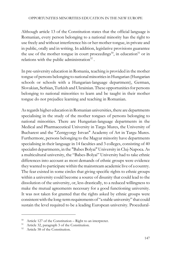Although article 13 of the Constitution states that the official language is Romanian, every person belonging to a national minority has the right to use freely and without interference his or her mother tongue, in private and in public, orally and in writing. In addition, legislative provisions guarantee the use of the mother tongue in court proceedings<sup>50</sup>, in education<sup>51</sup> or in relations with the public administration $52$ .

In pre-university education in Romania, teaching is provided in the mother tongue of persons belonging to national minorities in Hungarian (Hungarian schools or schools with a Hungarian-language department), German, Slovakian, Serbian, Turkish and Ukrainian. These opportunities for persons belonging to national minorities to learn and be taught in their mother tongue do not prejudice learning and teaching in Romanian.

As regards higher education in Romanian universities, there are departments specialising in the study of the mother tongues of persons belonging to national minorities. There are Hungarian-language departments in the Medical and Pharmaceutical University in Targu Mures, the University of Bucharest and the "Zentgyorgy Istvan" Academy of Art in Targu Mures. Furthermore, persons belonging to the Magyar minority have departments specialising in their language in 14 faculties and 3 colleges, consisting of 40 specialist departments, in the "Babes Bolyai" University in Cluj-Napoca. As a multicultural university, the "Babes-Bolyai" University had to take ethnic differences into account as most demands of ethnic groups were evidence they wanted to participate within the mainstream academic live of a country. The fear existed in some circles that giving specific rights to ethnic groups within a university could become a source of disunity that could lead to the dissolution of the university, or, less drastically, to a reduced willingness to make the mutual agreements necessary for a good functioning university. It was not taken for granted that the rights asked by ethnic groups were consistent with the long-term requirements of "a stable university" that could sustain the level required to be a leading European university. Procedural-

<sup>&</sup>lt;sup>50</sup> Article 127 of the Constitution – Right to an interpreter.<br><sup>51</sup> Article 32, paragraph 3 of the Constitution

Article 32, paragraph 3 of the Constitution.

<sup>52</sup> Article 58 of the Constitution.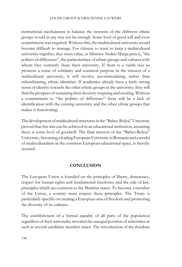#### JAN DE GROOF & GRACIENNE LAUWERS

institutional mechanisms to balance the interests of the different ethnic groups would in any way not be enough. Some level of good will and even commitment was required. Without this, the multicultural university would become difficult to manage. For citizens to want to keep a multicultural university together, they must value, as Minister Andrei Marga puts it, "the politics of difference", the particularities of ethnic groups and cultures with whom they currently share their university. If there is a viable way to promote a sense of solidarity and common purpose in the mission of a multicultural university, it will involve accommodating, rather than subordinating, ethnic identities. If academics already have a fairly strong sense of identity towards the other ethnic groups in the university, they will find the prospect of sustaining their diversity inspiring and exciting. Without a commitment to "the politics of difference" there will be a lack of identification with the existing university and the other ethnic groups that makes it functioning.

The development of multicultural structures in the "Babes-Bolyai" University proved that this aim can be achieved in an educational institution, assuming there is some level of goodwill. The final mission of the "Babes-Bolyai" University, becoming a leading European University in Romania and a model of multiculturalism in the common European educational space, is thereby secured.

# **CONCLUSION**

The European Union is founded on the principles of liberty, democracy, respect for human rights and fundamental freedoms, and the rule of law, principles which are common to the Member states. To become a member of the Union, a country must respect these principles. The Treaty is particularly specific on creating a European area of freedom and promoting the diversity of its cultures.

The establishment of a formal equality of all parts of the population regardless of their nationality revealed the unequal position of minorities as such in several candidate member states. The introduction of the freedom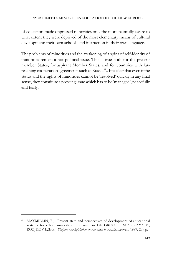### OPPORTUNITIES MINORITIES EDUCATION IN THE NEW EUROPE

of education made oppressed minorities only the more painfully aware to what extent they were deprived of the most elementary means of cultural development: their own schools and instruction in their own language.

The problems of minorities and the awakening of a spirit of self-identity of minorities remain a hot political issue. This is true both for the present member States, for aspirant Member States, and for countries with farreaching cooperation agreements such as Russia<sup>53</sup>.. It is clear that even if the status and the rights of minorities cannot be 'resolved' quickly in any final sense, they constitute a pressing issue which has to be 'managed', peacefully and fairly.

MAYMILLIN, R., "Present state and perspectives of development of educational systems for ethnic minorities in Russia", in DE GROOF J, SPASSKAYA V., ROZJKOV I.,(Eds.) *Shaping new legislation on education in Russia*, Leuven, 1997, 239 p.